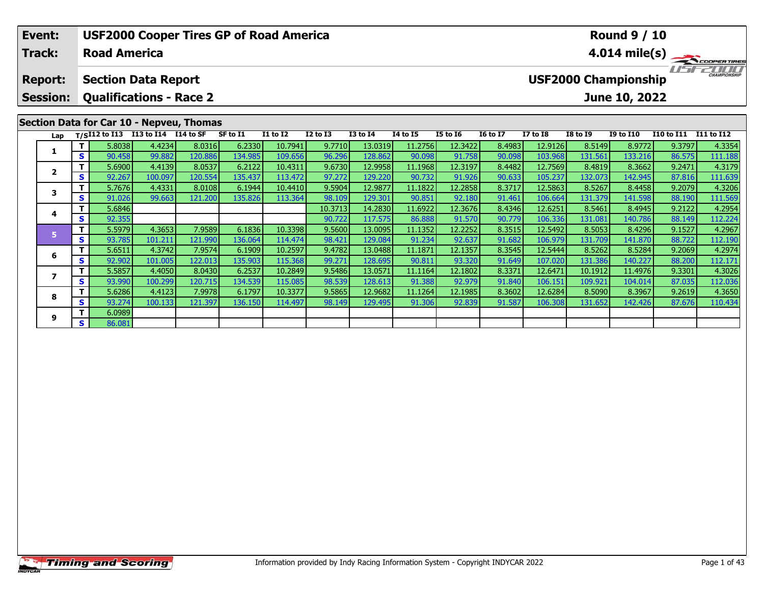| Event:<br><b>Track:</b>                                                                           |     | <b>Road America</b>                |                  | <b>USF2000 Cooper Tires GP of Road America</b> |                   |                    |                  |                    |                   | <b>Round 9 / 10</b><br>$4.014 \text{ mile(s)}$ |                  |                    |                   |                                              |                   |                   |
|---------------------------------------------------------------------------------------------------|-----|------------------------------------|------------------|------------------------------------------------|-------------------|--------------------|------------------|--------------------|-------------------|------------------------------------------------|------------------|--------------------|-------------------|----------------------------------------------|-------------------|-------------------|
| <b>Section Data Report</b><br><b>Report:</b><br><b>Qualifications - Race 2</b><br><b>Session:</b> |     |                                    |                  |                                                |                   |                    |                  |                    |                   |                                                |                  |                    |                   | <b>USF2000 Championship</b><br>June 10, 2022 |                   | CHAMPIONSHIP      |
|                                                                                                   |     |                                    |                  | Section Data for Car 10 - Nepveu, Thomas       |                   |                    |                  |                    |                   |                                                |                  |                    |                   |                                              |                   |                   |
| Lap                                                                                               |     | T/SI12 to I13 I13 to I14 I14 to SF |                  |                                                | SF to I1          | <b>I1 to I2</b>    | $I2$ to $I3$     | <b>I3 to I4</b>    | 14 to 15          | <b>I5 to 16</b>                                | <b>16 to 17</b>  | <b>I7 to I8</b>    | <b>I8 to I9</b>   | <b>I9 to I10</b>                             | <b>I10 to I11</b> | <b>I11 to I12</b> |
| 1                                                                                                 | S   | 5.8038<br>90.458                   | 4.4234<br>99.882 | 8.0316<br>120.886                              | 6.2330<br>134.985 | 10.7941<br>109.656 | 9.7710<br>96.296 | 13.0319<br>128.862 | 11.2756<br>90.098 | 12.3422<br>91.758                              | 8.4983<br>90.098 | 12.9126<br>103.968 | 8.5149<br>131.561 | 8.9772<br>133.216                            | 9.3797<br>86.575  | 4.3354<br>111.188 |
|                                                                                                   |     | 5.6900                             | 4.4139           | 8.0537                                         | 6.2122            | 10.4311            | 9.6730           | 12.9958            | 11.1968           | 12.3197                                        | 8.4482           | 12.7569            | 8.4819            | 8.3662                                       | 9.2471            | 4.3179            |
| $\overline{2}$                                                                                    | S   | 92.267                             | 100.097          | 120.554                                        | 135.437           | 113.472            | 97.272           | 129.220            | 90.732            | 91.926                                         | 90.633           | 105.237            | 132.073           | 142.945                                      | 87.816            | 111.639           |
|                                                                                                   | T.  | 5.7676                             | 4.4331           | 8.0108                                         | 6.1944            | 10.4410            | 9.5904           | 12.9877            | 11.1822           | 12.2858                                        | 8.3717           | 12.5863            | 8.5267            | 8.4458                                       | 9.2079            | 4.3206            |
| 3                                                                                                 | S   | 91.026                             | 99.663           | 121.200                                        | 135.826           | 113.364            | 98.109           | 129.301            | 90.851            | 92.180                                         | 91.461           | 106.664            | 131.379           | 141.598                                      | 88.190            | 111.569           |
| 4                                                                                                 |     | 5.6846                             |                  |                                                |                   |                    | 10.3713          | 14.2830            | 11.6922           | 12.3676                                        | 8.4346           | 12.6251            | 8.5461            | 8.4945                                       | 9.2122            | 4.2954            |
|                                                                                                   | S.  | 92.355                             |                  |                                                |                   |                    | 90.722           | 117.575            | 86.888            | 91.570                                         | 90.779           | 106.336            | 131.081           | 140.786                                      | 88.149            | 112.224           |
| 5                                                                                                 |     | 5.5979                             | 4.3653           | 7.9589                                         | 6.1836            | 10.3398            | 9.5600           | 13.0095            | 11.1352           | 12.2252                                        | 8.3515           | 12.5492            | 8.5053            | 8.4296                                       | 9.1527            | 4.2967            |
|                                                                                                   | S   | 93.785                             | 101.211          | 121.990                                        | 136.064           | 114.474            | 98.421           | 129.084            | 91.234            | 92.637                                         | 91.682           | 106.979            | 131.709           | 141.870                                      | 88.722            | 112.190           |
| 6                                                                                                 |     | 5.6511                             | 4.3742           | 7.9574                                         | 6.1909            | 10.2597            | 9.4782           | 13.0488            | 11.1871           | 12.1357                                        | 8.3545           | 12.5444            | 8.5262            | 8.5284                                       | 9.2069            | 4.2974            |
|                                                                                                   | S   | 92.902                             | 101.005          | 122.013                                        | 135.903           | 115.368            | 99.271           | 128.695            | 90.811            | 93.320                                         | 91.649           | 107.020            | 131.386           | 140.227                                      | 88.200            | 112.171           |
|                                                                                                   | T I | 5.5857                             | 4.4050           | 8.0430                                         | 6.2537            | 10.2849            | 9.5486           | 13.0571            | 11.1164           | 12.1802                                        | 8.3371           | 12.6471            | 10.1912           | 11.4976                                      | 9.3301            | 4.3026            |

7 | T | 5.5857| 4.4050| 8.0430| 6.2537| 10.2849| 9.5486| 13.0571| 11.1164| 12.1802| 8.3371| 12.6471| 10.1912| 11.4976| 9.3301| 4.3026<br>7 | S | 93.990 100.299| 120.715| 134.539| 115.085| 98.539| 128.613| 91.388| 92.979| 91.8

8 T | 5.6286 4.4123 7.9978 6.1797 10.3377 9.5865 12.9682 11.1264 12.1985 8.3602 12.6284 8.5090 8.3967 9.2619 4.3650<br>S S 93.274 100.133 121.397 136.150 114.497 98.149 129.495 91.306 92.839 91.587 106.308 131.652 142.426 87.

**7**

**8**

**9**

**<sup>T</sup>** 6.0989 **<sup>S</sup>** 86.081

112.036<br>4.3650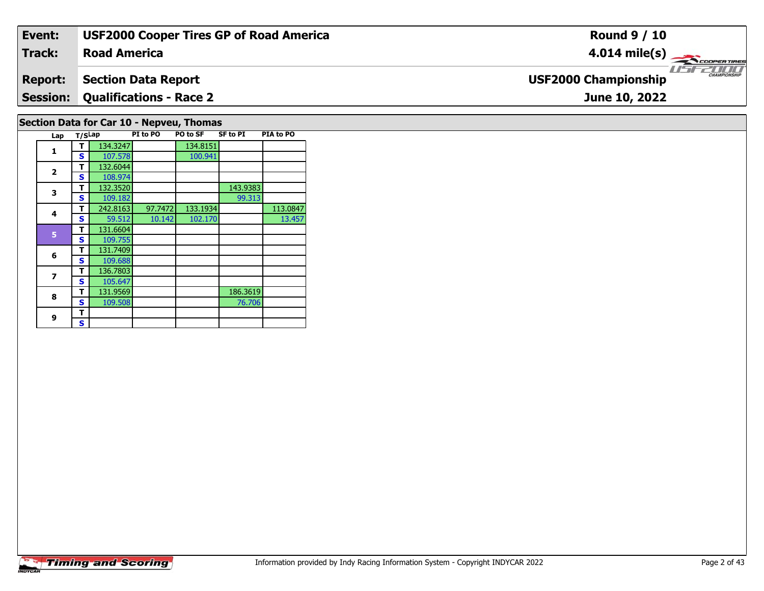| Event:         | <b>USF2000 Cooper Tires GP of Road America</b> | <b>Round 9 / 10</b>                                     |
|----------------|------------------------------------------------|---------------------------------------------------------|
| Track:         | <b>Road America</b>                            | $4.014 \text{ mile(s)}$                                 |
| <b>Report:</b> | Section Data Report                            | <b>LIST CHAMPIONSHIP</b><br><b>USF2000 Championship</b> |
|                | <b>Session: Qualifications - Race 2</b>        | June 10, 2022                                           |
|                | Section Data for Car 10 - Nepveu, Thomas       |                                                         |

|                       | <b>Timing and Scoring</b> |
|-----------------------|---------------------------|
| <i><b>INDYCAR</b></i> |                           |

**Lap T/SLap PI to PO PO to SF SF to PI PIA to PO** 

**T** 242.8163 97.7472 133.1934 113.0847<br>**S** 59.512 10.142 102.170 13.457

100.941

99.313

76.706

13.457

**<sup>T</sup>** 134.3247 134.8151 **<sup>S</sup>** 107.578 100.941

**T** 132.3520 143.9383<br> **S** 109.182 99.313

**R T** 131.9569 186.3619<br> **S** 109.508 76.706

**1**

**2**

**3**

**4**

**5**

**6**

**7**

**8**

**9 TS** $\mathbf{s}$ 

**2 T** 132.6044<br>**S** 108.974

**<sup>T</sup>** 131.6604 **<sup>S</sup>** 109.755

**7 S** 105.647

 **<sup>T</sup>** 131.7409 **<sup>S</sup>** 109.688136.7803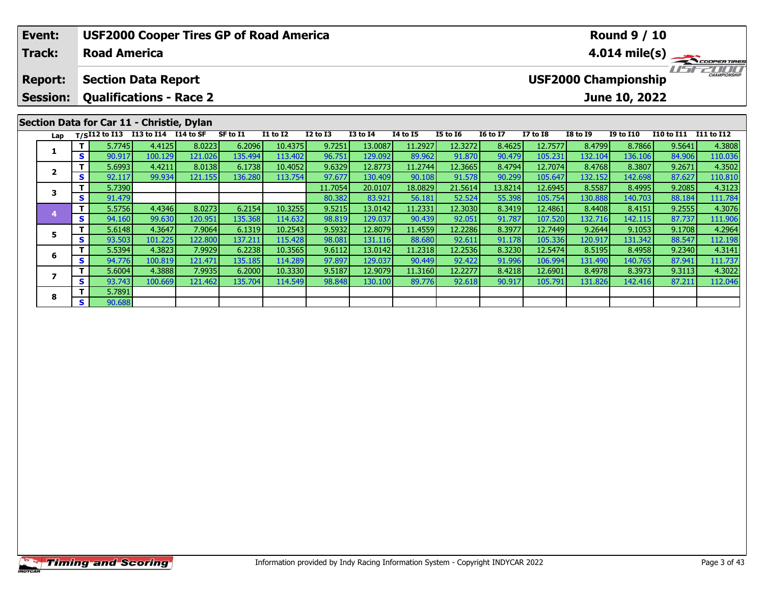| Event:                                            | <b>USF2000 Cooper Tires GP of Road America</b> |                                                 |         |         |          |                 |                 |                 |          |                 | <b>Round 9 / 10</b> |                                                    |                         |                  |                   |                   |  |  |  |  |
|---------------------------------------------------|------------------------------------------------|-------------------------------------------------|---------|---------|----------|-----------------|-----------------|-----------------|----------|-----------------|---------------------|----------------------------------------------------|-------------------------|------------------|-------------------|-------------------|--|--|--|--|
| <b>Track:</b>                                     |                                                | <b>Road America</b>                             |         |         |          |                 |                 |                 |          |                 |                     |                                                    | $4.014 \text{ mile(s)}$ |                  |                   |                   |  |  |  |  |
| <b>Report:</b>                                    |                                                | <b>Section Data Report</b>                      |         |         |          |                 |                 |                 |          |                 |                     | <b>CHAMPIONSHIP</b><br><b>USF2000 Championship</b> |                         |                  |                   |                   |  |  |  |  |
| <b>Qualifications - Race 2</b><br><b>Session:</b> |                                                |                                                 |         |         |          |                 |                 |                 |          |                 |                     | June 10, 2022                                      |                         |                  |                   |                   |  |  |  |  |
|                                                   |                                                | Section Data for Car 11 - Christie, Dylan       |         |         |          |                 |                 |                 |          |                 |                     |                                                    |                         |                  |                   |                   |  |  |  |  |
|                                                   |                                                |                                                 |         |         |          |                 |                 |                 |          |                 |                     |                                                    |                         |                  |                   |                   |  |  |  |  |
| Lap                                               |                                                | T/SI12 to I13 I13 to I14 $\overline{114}$ to SF |         |         | SF to I1 | <b>I1 to I2</b> | <b>I2 to I3</b> | <b>I3 to I4</b> | 14 to 15 | <b>I5 to 16</b> | <b>16 to 17</b>     | <b>I7 to I8</b>                                    | <b>I8 to I9</b>         | <b>I9 to I10</b> | <b>I10 to I11</b> | <b>I11 to I12</b> |  |  |  |  |
|                                                   |                                                | 5.7745                                          | 4.4125  | 8.0223  | 6.2096   | 10.4375         | 9.7251          | 13.0087         | 11.2927  | 12.3272         | 8.4625              | 12.7577                                            | 8.4799                  | 8.7866           | 9.5641            | 4.3808            |  |  |  |  |
|                                                   | S.                                             | 90.917                                          | 100.129 | 121.026 | 135.494  | 113.402         | 96.751          | 129.092         | 89.962   | 91.870          | 90.479              | 105.231                                            | 132.104                 | 136.106          | 84.906            | 110.036           |  |  |  |  |
|                                                   |                                                | 5.6993                                          | 4.4211  | 8.0138  | 6.1738   | 10.4052         | 9.6329          | 12.8773         | 11.2744  | 12.3665         | 8.4794              | 12.7074                                            | 8.4768                  | 8.3807           | 9.2671            | 4.3502            |  |  |  |  |
| $\overline{2}$                                    | S.                                             | 92.117                                          | 99.934  | 121.155 | 136.280  | 113.754         | 97.677          | 130.409         | 90.108   | 91.578          | 90.299              | 105.647                                            | 132.152                 | 142.698          | 87.627            | 110.810           |  |  |  |  |
|                                                   |                                                | 5.7390                                          |         |         |          |                 | 11.7054         | 20.0107         | 18.0829  | 21.5614         | 13.8214             | 12.6945                                            | 8.5587                  | 8.4995           | 9.2085            | 4.3123            |  |  |  |  |
| 3                                                 | S.                                             | 91.479                                          |         |         |          |                 | 80.382          | 83.921          | 56.181   | 52.524          | 55.398              | 105.754                                            | 130.888                 | 140.703          | 88.184            | 111.784           |  |  |  |  |
|                                                   |                                                | 5.5756                                          | 4.4346  | 8.0273  | 6.2154   | 10.3255         | 9.5215          | 13.0142         | 11.2331  | 12.3030         | 8.3419              | 12.4861                                            | 8.4408                  | 8.4151           | 9.2555            | 4.3076            |  |  |  |  |

5 | T | 5.6148| 4.3647| 7.9064| 6.1319| 10.2543| 9.5932| 12.8079| 11.4559| 12.2286| 8.3977| 12.7449| 9.2644| 9.1053| 9.1708| 4.2964<br>| S | 93.503 101.225 122.800 137.211 115.428| 98.081| 131.116| 88.680| 92.611| 91.178| 105

**<sup>T</sup>** 5.5394 4.3823 7.9929 6.2238 10.3565 9.6112 13.0142 11.2318 12.2536 8.3230 12.5474 8.5195 8.4958 9.2340 4.3141 **<sup>S</sup>** 94.776 100.819 121.471 135.185 114.289 97.897 129.037 90.449 92.422 91.996 106.994 131.490 140.765 87.941 111.737

7 | T | 5.6004 | 4.3888 | 7.9935 | 6.2000 | 10.3330 | 9.5187 | 12.9079 | 11.3160 | 12.2277 | 8.4218 | 12.6901 | 8.4978 | 8.3973 | 9.3113 | 4.3022<br>7 | S | 93.743 | 100.669 | 121.462 | 135.704 | 114.549 | 98.848 | 130.100 |

**5**

**6**

**7**

**8**

**<sup>T</sup>** 5.7891 **<sup>S</sup>** 90.688

111.737<br>4.3022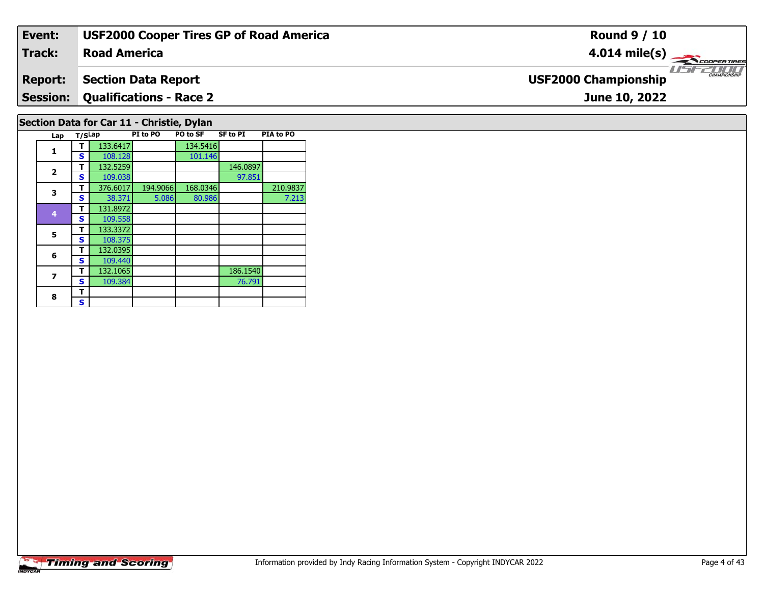| Event:          | <b>USF2000 Cooper Tires GP of Road America</b> | <b>Round 9 / 10</b>                                |
|-----------------|------------------------------------------------|----------------------------------------------------|
| Track:          | <b>Road America</b>                            | $4.014 \text{ mile(s)}$                            |
| <b>Report:</b>  | <b>Section Data Report</b>                     | <b>CHAMPIONSHIP</b><br><b>USF2000 Championship</b> |
| <b>Session:</b> | <b>Qualifications - Race 2</b>                 | June 10, 2022                                      |
|                 | Section Data for Car 11 - Christie, Dylan      |                                                    |

**Lap T/SLap PI to PO PO to SF SF to PI PIA to PO** 

**T** 376.6017 194.9066 168.0346 210.9837<br> **S** 38.371 5.086 80.986 7.213

97.851

76.791

 $7.213$ 

**d T** 132.5259 146.0897<br>**S** 109.038 97.851

**T** 132.1065 186.1540<br>**S** 109.384 76.791

**1 T** 133.6417 134.5416<br>**S** 108.128 101.146

 **<sup>T</sup>** 131.8972 **<sup>S</sup>** 109.558109.558

 **<sup>T</sup>** 132.0395 **<sup>S</sup>** 109.440132.1065

**5 T** 133.3372<br>**S** 108.375

**1**

**2**

**3**

**4**

**5**

**6**

**7**

8  $\frac{1}{s}$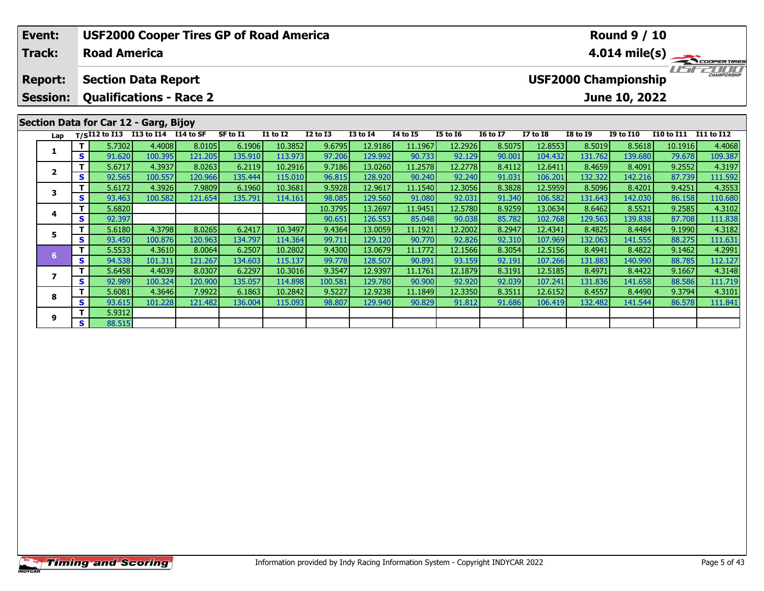| <b>USF2000 Cooper Tires GP of Road America</b><br>Event:<br><b>Track:</b><br><b>Road America</b> |                                              |                                       |                                    |         |         |          |                 |              | <b>Round 9 / 10</b><br>$4.014 \text{ mile(s)}$ |          |                 |                 |                 |                             |                  |                   |            |  |  |  |
|--------------------------------------------------------------------------------------------------|----------------------------------------------|---------------------------------------|------------------------------------|---------|---------|----------|-----------------|--------------|------------------------------------------------|----------|-----------------|-----------------|-----------------|-----------------------------|------------------|-------------------|------------|--|--|--|
|                                                                                                  |                                              |                                       |                                    |         |         |          |                 |              |                                                |          |                 |                 |                 |                             |                  |                   |            |  |  |  |
|                                                                                                  | <b>Section Data Report</b><br><b>Report:</b> |                                       |                                    |         |         |          |                 |              |                                                |          |                 |                 |                 | <b>USF2000 Championship</b> |                  |                   |            |  |  |  |
|                                                                                                  | <b>Session:</b>                              | <b>Qualifications - Race 2</b>        |                                    |         |         |          |                 |              |                                                |          |                 | June 10, 2022   |                 |                             |                  |                   |            |  |  |  |
|                                                                                                  |                                              | Section Data for Car 12 - Garg, Bijoy |                                    |         |         |          |                 |              |                                                |          |                 |                 |                 |                             |                  |                   |            |  |  |  |
|                                                                                                  | Lap                                          |                                       | T/SI12 to I13 I13 to I14 I14 to SF |         |         | SF to I1 | <b>I1 to I2</b> | $I2$ to $I3$ | <b>I3 to I4</b>                                | 14 to 15 | <b>I5 to 16</b> | <b>16 to 17</b> | <b>I7 to I8</b> | <b>I8 to I9</b>             | <b>I9 to I10</b> | <b>I10 to I11</b> | I11 to I12 |  |  |  |
|                                                                                                  | 1                                            |                                       | 5.7302                             | 4.4008  | 8.0105  | 6.1906   | 10.3852         | 9.6795       | 12.9186                                        | 11.1967  | 12.2926         | 8.5075          | 12.8553         | 8.5019                      | 8.5618           | 10.1916           | 4.4068     |  |  |  |
|                                                                                                  |                                              | S.                                    | 91.620                             | 100.395 | 121.205 | 135.910  | 113.973         | 97.206       | 129.992                                        | 90.733   | 92.129          | 90.001          | 104.432         | 131.762                     | 139.680          | 79.678            | 109.387    |  |  |  |
|                                                                                                  | $\overline{\mathbf{2}}$                      |                                       | 5.6717                             | 4.3937  | 8.0263  | 6.2119   | 10.2916         | 9.7186       | 13.0260                                        | 11.2578  | 12.2778         | 8.4112          | 12.6411         | 8.4659                      | 8.4091           | 9.2552            | 4.3197     |  |  |  |
|                                                                                                  |                                              | S.                                    | 92.565                             | 100.557 | 120.966 | 135.444  | 115.010         | 96.815       | 128.920                                        | 90.240   | 92.240          | 91.031          | 106.201         | 132.322                     | 142.216          | 87.739            | 111.592    |  |  |  |
|                                                                                                  | 3                                            | т.                                    | 5.6172                             | 4.3926  | 7.9809  | 6.1960   | 10.3681         | 9.5928       | 12.9617                                        | 11.1540  | 12.3056         | 8.3828          | 12.5959         | 8.5096                      | 8.4201           | 9.4251            | 4.3553     |  |  |  |
|                                                                                                  |                                              | S                                     | 93.463                             | 100.582 | 121.654 | 135.791  | 114.161         | 98.085       | 129.560                                        | 91.080   | 92.031          | 91.340          | 106.582         | 131.643                     | 142.030          | 86.158            | 110.680    |  |  |  |
|                                                                                                  | 4                                            |                                       | 5.6820                             |         |         |          |                 | 10.3795      | 13.2697                                        | 11.9451  | 12.5780         | 8.9259          | 13.0634         | 8.6462                      | 8.5521           | 9.2585            | 4.3102     |  |  |  |
|                                                                                                  |                                              | S.                                    | 92.397                             |         |         |          |                 | 90.651       | 126.553                                        | 85.048   | 90.038          | 85.782          | 102.768         | 129.563                     | 139.838          | 87.708            | 111.838    |  |  |  |
|                                                                                                  | 5                                            |                                       | 5.6180                             | 4.3798  | 8.0265  | 6.2417   | 10.3497         | 9.4364       | 13.0059                                        | 11.1921  | 12.2002         | 8.2947          | 12.4341         | 8.4825                      | 8.4484           | 9.1990            | 4.3182     |  |  |  |
|                                                                                                  |                                              | S.                                    | 93.450                             | 100.876 | 120.963 | 134.797  | 114.364         | 99.711       | 129.120                                        | 90.770   | 92.826          | 92.310          | 107.969         | 132.063                     | 141.555          | 88.275            | 111.631    |  |  |  |
|                                                                                                  | 6                                            | т                                     | 5.5533                             | 4.3610  | 8.0064  | 6.2507   | 10.2802         | 9.4300       | 13.0679                                        | 11.1772  | 12.1566         | 8.3054          | 12.5156         | 8.4941                      | 8.4822           | 9.1462            | 4.2991     |  |  |  |
|                                                                                                  |                                              | S.                                    | 94.538                             | 101.311 | 121.267 | 134.603  | 115.137         | 99.778       | 128.507                                        | 90.891   | 93.159          | 92.191          | 107.266         | 131.883                     | 140.990          | 88.785            | 112.127    |  |  |  |
|                                                                                                  |                                              | T I                                   | 5.6458                             | 4.4039  | 8.0307  | 6.2297   | 10.3016         | 9.3547       | 12.9397                                        | 11.1761  | 12.1879         | 8.3191          | 12.5185         | 8.4971                      | 8.4422           | 9.1667            | 4.3148     |  |  |  |

7 | T | 5.6458| 4.4039| 8.0307| 6.2297| 10.3016| 9.3547| 12.9397| 11.1761| 12.1879| 8.3191| 12.5185| 8.4971| 8.4422| 9.1667| 4.3148<br>7 | S | 92.989 100.324 120.900 135.057 114.898 100.581 129.780 90.900 92.920 92.039 107.24

8 T 5.6081 4.3646 7.9922 6.1863 10.2842 9.5227 12.9238 11.1849 12.3350 8.3511 12.6152 8.4557 8.4490 9.3794 4.3101<br>8 S 93.615 101.228 121.482 136.004 115.093 98.807 129.940 90.829 91.812 91.686 106.419 132.482 141.544 86.57

**7**

**8**

**9**

**<sup>T</sup>** 5.9312 **<sup>S</sup>** 88.515

111.719<br>4.3101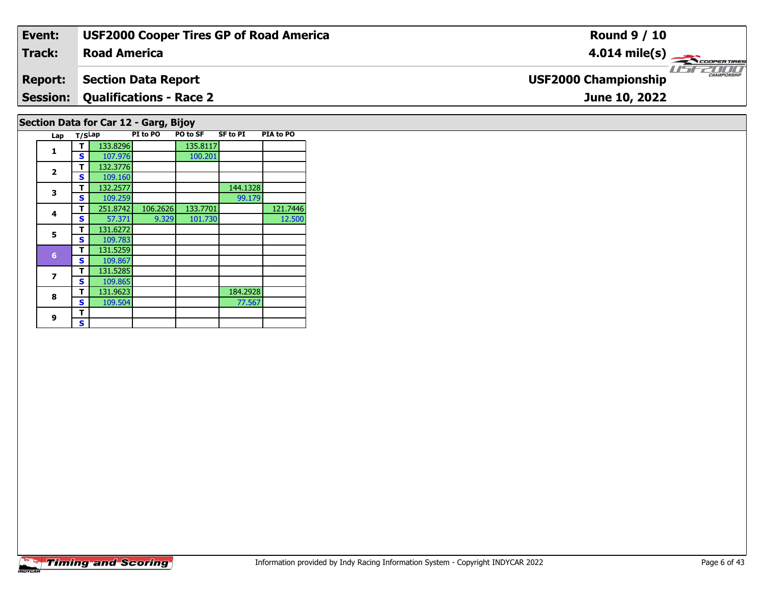| Event:         | <b>USF2000 Cooper Tires GP of Road America</b> | <b>Round 9 / 10</b>                          |
|----------------|------------------------------------------------|----------------------------------------------|
| Track:         | <b>Road America</b>                            | $4.014 \text{ mile(s)}$                      |
| <b>Report:</b> | <b>Section Data Report</b>                     | $\frac{1}{1}$<br><b>USF2000 Championship</b> |
|                | <b>Session: Qualifications - Race 2</b>        | June 10, 2022                                |
|                | Section Data for Car 12 - Garg, Bijoy          |                                              |

| Lap                     | T/SLap |          | PI to PO | PO to SF | <b>SF to PI</b> | PIA to PO |
|-------------------------|--------|----------|----------|----------|-----------------|-----------|
|                         | т      | 133.8296 |          | 135.8117 |                 |           |
| 1                       | S      | 107.976  |          | 100.201  |                 |           |
|                         | т      | 132.3776 |          |          |                 |           |
| $\overline{\mathbf{2}}$ | S      | 109.160  |          |          |                 |           |
| 3                       | т      | 132.2577 |          |          | 144.1328        |           |
|                         | S      | 109.259  |          |          | 99.179          |           |
| 4                       | т      | 251.8742 | 106.2626 | 133.7701 |                 | 121.7446  |
|                         | S      | 57.371   | 9.329    | 101.730  |                 | 12.500    |
| 5                       | т      | 131.6272 |          |          |                 |           |
|                         | S      | 109.783  |          |          |                 |           |
| $6\phantom{1}$          | т      | 131.5259 |          |          |                 |           |
|                         | S      | 109.867  |          |          |                 |           |
| 7                       | т      | 131.5285 |          |          |                 |           |
|                         | S      | 109.865  |          |          |                 |           |
| 8                       | т      | 131.9623 |          |          | 184.2928        |           |
|                         | S      | 109.504  |          |          | 77.567          |           |
| 9                       | т      |          |          |          |                 |           |
|                         | S      |          |          |          |                 |           |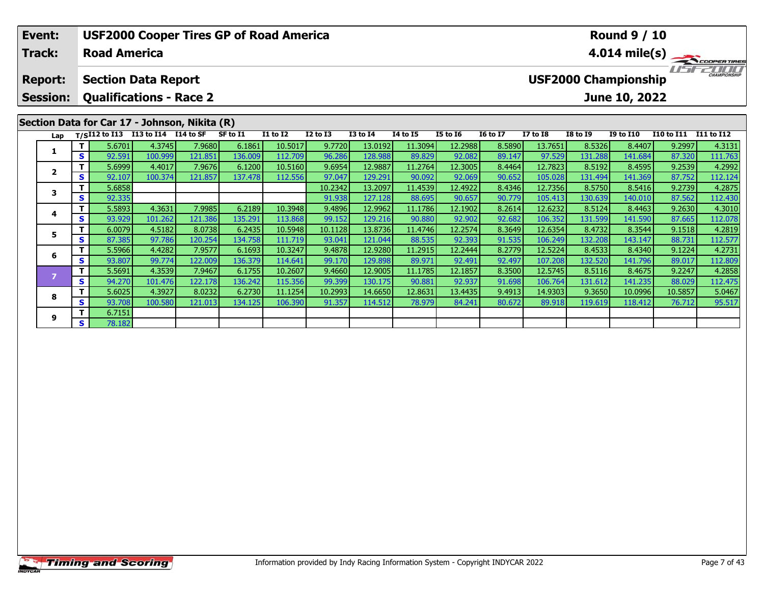| Event:<br><b>Track:</b>                                                                           |    | <b>Road America</b> |                      | <b>USF2000 Cooper Tires GP of Road America</b> |          |                 |                 | <b>Round 9 / 10</b><br>$4.014 \text{ mile(s)}$ |                 |                 |                 |                                                              |                 |                  |                   |                   |  |  |
|---------------------------------------------------------------------------------------------------|----|---------------------|----------------------|------------------------------------------------|----------|-----------------|-----------------|------------------------------------------------|-----------------|-----------------|-----------------|--------------------------------------------------------------|-----------------|------------------|-------------------|-------------------|--|--|
| <b>Section Data Report</b><br><b>Report:</b><br><b>Qualifications - Race 2</b><br><b>Session:</b> |    |                     |                      |                                                |          |                 |                 |                                                |                 |                 |                 | CHAMPIONSHIP<br><b>USF2000 Championship</b><br>June 10, 2022 |                 |                  |                   |                   |  |  |
|                                                                                                   |    |                     |                      | Section Data for Car 17 - Johnson, Nikita (R)  |          |                 |                 |                                                |                 |                 |                 |                                                              |                 |                  |                   |                   |  |  |
| Lap                                                                                               |    | $T/SI12$ to $I13$   | I13 to I14 I14 to SF |                                                | SF to I1 | <b>I1 to I2</b> | <b>I2 to I3</b> | <b>I3 to I4</b>                                | <b>I4 to I5</b> | <b>I5 to 16</b> | <b>16 to 17</b> | <b>I7 to I8</b>                                              | <b>I8 to I9</b> | <b>I9 to I10</b> | <b>I10 to I11</b> | <b>I11 to I12</b> |  |  |
| 1                                                                                                 |    | 5.6701              | 4.3745               | 7.9680                                         | 6.1861   | 10.5017         | 9.7720          | 13.0192                                        | 11.3094         | 12.2988         | 8.5890          | 13.7651                                                      | 8.5326          | 8.4407           | 9.2997            | 4.3131            |  |  |
|                                                                                                   | S. | 92.591              | 100.999              | 121.851                                        | 136.009  | 112.709         | 96.286          | 128.988                                        | 89.829          | 92.082          | 89.147          | 97.529                                                       | 131.288         | 141.684          | 87.320            | 111.763           |  |  |
|                                                                                                   |    | 5.6999              | 4.4017               | 7.9676                                         | 6.1200   | 10.5160         | 9.6954          | 12.9887                                        | 11.2764         | 12.3005         | 8.4464          | 12.7823                                                      | 8.5192          | 8.4595           | 9.2539            | 4.2992            |  |  |
| $\overline{2}$                                                                                    | S. | 92.107              | 100.374              | 121.857                                        | 137.478  | 112.556         | 97.047          | 129.291                                        | 90.092          | 92.069          | 90.652          | 105.028                                                      | 131.494         | 141.369          | 87.752            | 112.124           |  |  |
| 3                                                                                                 |    | 5.6858              |                      |                                                |          |                 | 10.2342         | 13.2097                                        | 11.4539         | 12.4922         | 8.4346          | 12.7356                                                      | 8.5750          | 8.5416           | 9.2739            | 4.2875            |  |  |
|                                                                                                   | S  | 92.335              |                      |                                                |          |                 | 91.938          | 127.128                                        | 88.695          | 90.657          | 90.779          | 105.413                                                      | 130.639         | 140.010          | 87.562            | 112.430           |  |  |
|                                                                                                   |    | 5.5893              | 4.3631               | 7.9985                                         | 6.2189   | 10.3948         | 9.4896          | 12.9962                                        | 11.1786         | 12.1902         | 8.2614          | 12.6232                                                      | 8.5124          | 8.4463           | 9.2630            | 4.3010            |  |  |
| 4                                                                                                 | S  | 93.929              | 101.262              | 121.386                                        | 135.291  | 113.868         | 99.152          | 129.216                                        | 90.880          | 92.902          | 92.682          | 106.352                                                      | 131.599         | 141.590          | 87.665            | 112.078           |  |  |
| 5                                                                                                 |    | 6.0079              | 4.5182               | 8.0738                                         | 6.2435   | 10.5948         | 10.1128         | 13.8736                                        | 11.4746         | 12.2574         | 8.3649          | 12.6354                                                      | 8.4732          | 8.3544           | 9.1518            | 4.2819            |  |  |
|                                                                                                   | S. | 87.385              | 97.786               | 120.254                                        | 134.758  | 111.719         | 93.041          | 121.044                                        | 88.535          | 92.393          | 91.535          | 106.249                                                      | 132.208         | 143.147          | 88.731            | 112.577           |  |  |
|                                                                                                   |    | 5.5966              | 4.4282               | 7.9577                                         | 6.1693   | 10.3247         | 9.4878          | 12.9280                                        | 11.2915         | 12.2444         | 8.2779          | 12.5224                                                      | 8.4533          | 8.4340           | 9.1224            | 4.2731            |  |  |
| 6                                                                                                 | S  | 93.807              | 99.774               | 122.009                                        | 136.379  | 114.641         | 99.170          | 129.898                                        | 89.971          | 92.491          | 92.497          | 107.208                                                      | 132.520         | 141.796          | 89.017            | 112.809           |  |  |

7 | T | 5.5691 | 4.3539 | 7.9467 | 6.1755 | 10.2607 | 9.4660 | 12.9005 | 11.1785 | 12.1857 | 8.3500 | 12.5745 | 8.5116 | 8.4675 | 9.2247 | 4.2858 |<br>2 | S | 94.270 | 101.476 | 122.178 | 136.242 | 115.356 | 99.399 | 130.175

8 T | 5.6025 4.3927 8.0232 6.2730 11.1254 10.2993 14.6650 12.8631 13.4435 9.4913 14.9303 9.3650 10.0996 10.5857 5.0467<br>S S 93.708 100.580 121.013 134.125 106.390 91.357 114.512 78.979 84.241 80.672 89.918 119.619 118.412 7

**8**

**9**

**<sup>T</sup>** 6.7151 **<sup>S</sup>** 78.182

112.475<br>5.0467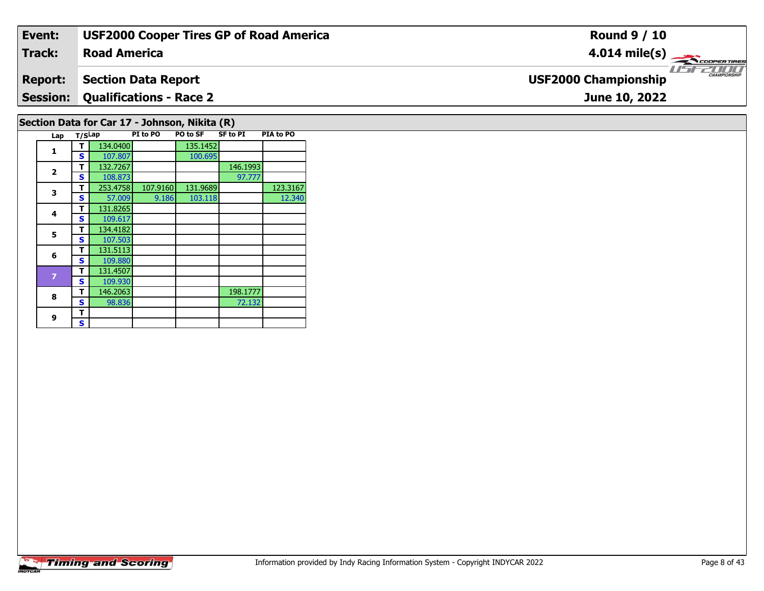| Event:         | <b>USF2000 Cooper Tires GP of Road America</b> | <b>Round 9 / 10</b>                                     |
|----------------|------------------------------------------------|---------------------------------------------------------|
| Track:         | <b>Road America</b>                            | $4.014 \text{ mile(s)}$                                 |
| <b>Report:</b> | <b>Section Data Report</b>                     | <b>LIST CHAMPIONSHIP</b><br><b>USF2000 Championship</b> |
|                | <b>Session: Qualifications - Race 2</b>        | June 10, 2022                                           |
|                | Section Data for Car 17 - Johnson, Nikita (R)  |                                                         |

| Lap                     | T/SLap |          | PI to PO | PO to SF | <b>SF to PI</b> | PIA to PO |
|-------------------------|--------|----------|----------|----------|-----------------|-----------|
|                         | т      | 134.0400 |          | 135.1452 |                 |           |
| 1                       | S      | 107.807  |          | 100.695  |                 |           |
|                         | т      | 132.7267 |          |          | 146.1993        |           |
| $\overline{\mathbf{2}}$ | S      | 108.873  |          |          | 97.777          |           |
| 3                       | т      | 253.4758 | 107.9160 | 131.9689 |                 | 123.3167  |
|                         | S      | 57.009   | 9.186    | 103.118  |                 | 12.340    |
| 4                       | т      | 131.8265 |          |          |                 |           |
|                         | S      | 109.617  |          |          |                 |           |
| 5                       | т      | 134.4182 |          |          |                 |           |
|                         | S      | 107.503  |          |          |                 |           |
| 6                       | т      | 131.5113 |          |          |                 |           |
|                         | S      | 109.880  |          |          |                 |           |
| $\overline{z}$          | т      | 131.4507 |          |          |                 |           |
|                         | S      | 109.930  |          |          |                 |           |
| 8                       | т      | 146.2063 |          |          | 198.1777        |           |
|                         | s      | 98.836   |          |          | 72.132          |           |
| 9                       | т      |          |          |          |                 |           |
|                         | S      |          |          |          |                 |           |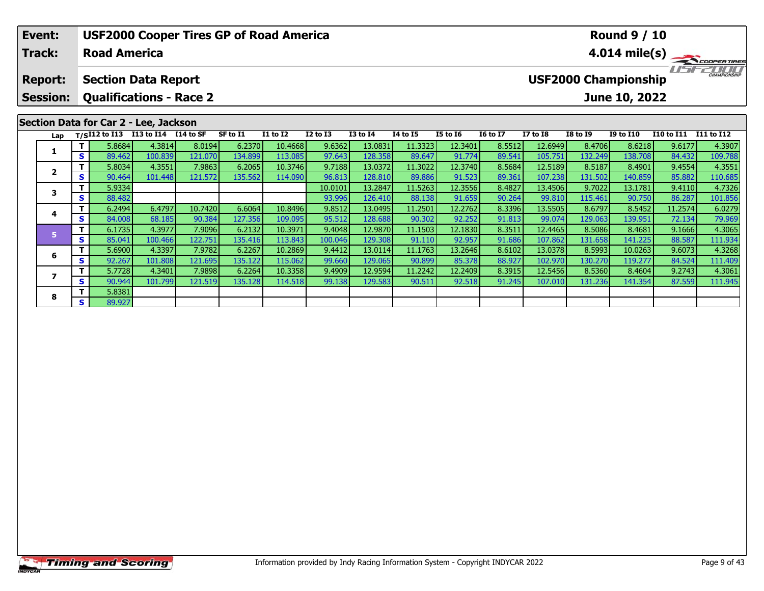| Event:          |     |                            |                                                    | <b>USF2000 Cooper Tires GP of Road America</b> |          |          |              | <b>Round 9 / 10</b> |                         |                 |                 |                             |                 |                  |                   |            |  |
|-----------------|-----|----------------------------|----------------------------------------------------|------------------------------------------------|----------|----------|--------------|---------------------|-------------------------|-----------------|-----------------|-----------------------------|-----------------|------------------|-------------------|------------|--|
| <b>Track:</b>   |     | <b>Road America</b>        |                                                    |                                                |          |          |              |                     | $4.014 \text{ mile(s)}$ |                 |                 |                             |                 |                  |                   |            |  |
| <b>Report:</b>  |     | <b>Section Data Report</b> |                                                    |                                                |          |          |              |                     |                         |                 |                 | <b>USF2000 Championship</b> |                 |                  |                   |            |  |
| <b>Session:</b> |     |                            | <b>Qualifications - Race 2</b>                     |                                                |          |          |              |                     |                         |                 |                 |                             |                 | June 10, 2022    |                   |            |  |
|                 |     |                            | Section Data for Car 2 - Lee, Jackson              |                                                |          |          |              |                     |                         |                 |                 |                             |                 |                  |                   |            |  |
|                 |     |                            | Lap T/S <sup>I12</sup> to I13 I13 to I14 I14 to SF |                                                | SF to I1 | I1 to I2 | $I2$ to $I3$ | <b>I3 to I4</b>     | <b>14 to 15</b>         | <b>I5 to 16</b> | <b>16 to 17</b> | <b>I7 to I8</b>             | <b>I8 to I9</b> | <b>I9 to I10</b> | <b>I10 to I11</b> | I11 to I12 |  |
|                 |     | 5.8684                     | 4.3814                                             | 8.0194                                         | 6.2370   | 10.4668  | 9.6362       | 13.0831             | 11.3323                 | 12.3401         | 8.5512          | 12.6949                     | 8.4706          | 8.6218           | 9.6177            | 4.3907     |  |
|                 | s l | 89.462                     | 100.839                                            | 121.070                                        | 134.899  | 113.085  | 97.643       | 128.358             | 89.647                  | 91.774          | 89.541          | 105.751                     | 132.249         | 138.708          | 84.432            | 109.788    |  |
| $\overline{2}$  |     | 5.8034                     | 4.3551                                             | 7.9863                                         | 6.2065   | 10.3746  | 9.7188       | 13.0372             | 11.3022                 | 12.3740         | 8.5684          | 12.5189                     | 8.5187          | 8.4901           | 9.4554            | 4.3551     |  |
|                 | s l | 90.464                     | 101.448                                            | 121.572                                        | 135.562  | 114.090  | 96.813       | 128.810             | 89.886                  | 91.523          | 89.361          | 107.238                     | 131.502         | 140.859          | 85.882            | 110.685    |  |
| 3               |     | 5.9334                     |                                                    |                                                |          |          | 10.0101      | 13.2847             | 11.5263                 | 12.3556         | 8.4827          | 13.4506                     | 9.7022          | 13.1781          | 9.4110            | 4.7326     |  |
|                 | s l | 88.482                     |                                                    |                                                |          |          | 93.996       | 126.410             | 88.138                  | 91.659          | 90.264          | 99.810                      | 115.461         | 90.750           | 86.287            | 101.856    |  |
|                 |     | 6.2494                     | 6.4797                                             | 10.7420                                        | 6.6064   | 10.8496  | 9.8512       | 13.0495             | 11.2501                 | 12.2762         | 8.3396          | 13.5505                     | 8.6797          | 8.5452           | 11.2574           | 6.0279     |  |
| 4               | s l | 84.008                     | 68.185                                             | 90.384                                         | 127.356  | 109.095  | 95.512       | 128.6881            | 90.302                  | 92.252          | 91.813          | 99.074                      | 129.063         | 139.951          | 72.134            | 79.969     |  |

5 11 6.1735| 4.3977| 7.9096| 6.2132| 10.3971| 9.4048| 12.9870| 11.1503| 12.1830| 8.3511| 12.4465| 8.5086| 8.4681| 9.1666| 4.3065<br>- 1 8 85.041 100.466 122.751| 135.416| 113.843| 100.046| 129.308| 91.110| 92.957| 91.686| 107

**<sup>T</sup>** 5.6900 4.3397 7.9782 6.2267 10.2869 9.4412 13.0114 11.1763 13.2646 8.6102 13.0378 8.5993 10.0263 9.6073 4.3268 **<sup>S</sup>** 92.267 101.808 121.695 135.122 115.062 99.660 129.065 90.899 85.378 88.927 102.970 130.270 119.277 84.524 111.409

7 | T | 5.7728| 4.3401| 7.9898| 6.2264| 10.3358| 9.4909| 12.9594| 11.2242| 12.2409| 8.3915| 12.5456| 8.5360| 8.4604| 9.2743| 4.3061<br>7 | S | 90.944| 101.799| 121.519| 135.128| 114.518| 99.138| 129.583| 90.511| 92.518| 91.24

**6**

**7**

**8**

**<sup>T</sup>** 5.8381 **<sup>S</sup>** 89.927

111.409<br>4.3061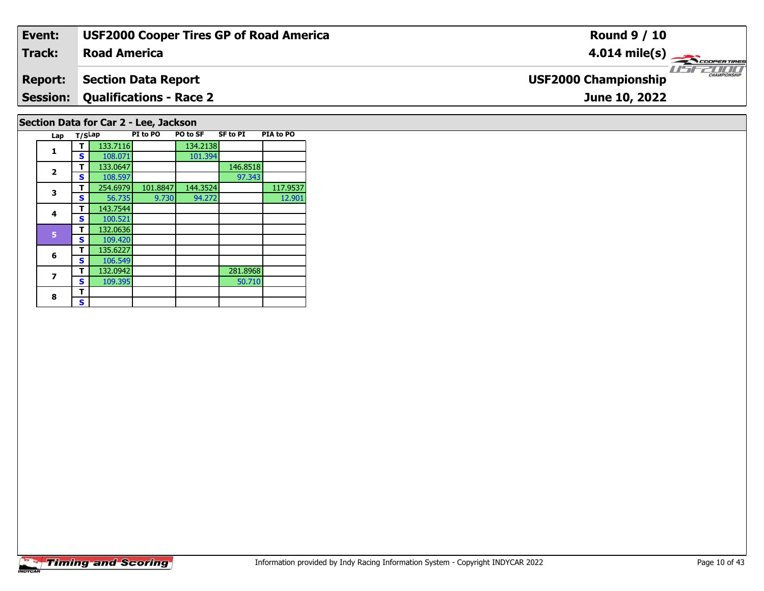| Event:                                | <b>USF2000 Cooper Tires GP of Road America</b> | <b>Round 9 / 10</b>                                |  |  |  |  |  |  |
|---------------------------------------|------------------------------------------------|----------------------------------------------------|--|--|--|--|--|--|
| <b>Track:</b>                         | <b>Road America</b>                            | $4.014 \text{ mile(s)}$                            |  |  |  |  |  |  |
| <b>Report:</b>                        | <b>Section Data Report</b>                     | <b>CHAMPIONSHIP</b><br><b>USF2000 Championship</b> |  |  |  |  |  |  |
|                                       | <b>Session: Qualifications - Race 2</b>        | June 10, 2022                                      |  |  |  |  |  |  |
| Section Data for Car 2 - Lee, Jackson |                                                |                                                    |  |  |  |  |  |  |

| 1                       | т | 133.7116 |          | 134.2138 |          |          |
|-------------------------|---|----------|----------|----------|----------|----------|
|                         | S | 108.071  |          | 101.394  |          |          |
| $\overline{\mathbf{2}}$ | т | 133.0647 |          |          | 146.8518 |          |
|                         | S | 108.597  |          |          | 97.343   |          |
| 3                       | т | 254.6979 | 101.8847 | 144.3524 |          | 117.9537 |
|                         | S | 56.735   | 9.730    | 94.272   |          | 12.901   |
| 4                       | т | 143.7544 |          |          |          |          |
|                         | s | 100.521  |          |          |          |          |
| 5                       | т | 132.0636 |          |          |          |          |
|                         | S | 109.420  |          |          |          |          |
| 6                       | т | 135.6227 |          |          |          |          |
|                         | S | 106.549  |          |          |          |          |
| 7                       | т | 132.0942 |          |          | 281.8968 |          |
|                         | S | 109.395  |          |          | 50.710   |          |
| 8                       | т |          |          |          |          |          |
|                         | S |          |          |          |          |          |

**Lap T/SLap PI to PO PO to SF SF to PI PIA to PO** 

 $\mathbf{I}$ 

 $\Box$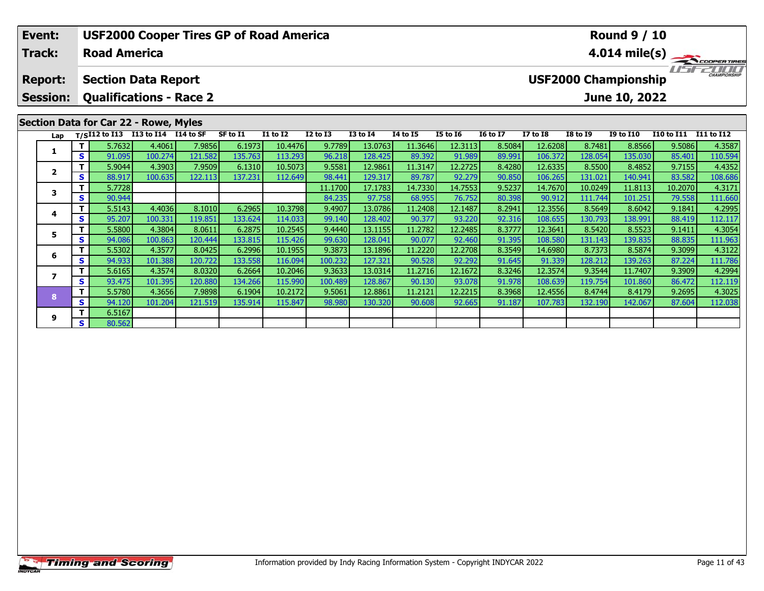| Event:<br>Track:                                                                                  |     | <b>Road America</b>                    |         |          | <b>USF2000 Cooper Tires GP of Road America</b> |                 |                 |                 | <b>Round 9 / 10</b><br>$4.014 \text{ mile(s)}$ |                 |                 |                                             |                 |                  |            |                   |  |
|---------------------------------------------------------------------------------------------------|-----|----------------------------------------|---------|----------|------------------------------------------------|-----------------|-----------------|-----------------|------------------------------------------------|-----------------|-----------------|---------------------------------------------|-----------------|------------------|------------|-------------------|--|
| <b>Section Data Report</b><br><b>Report:</b><br><b>Qualifications - Race 2</b><br><b>Session:</b> |     |                                        |         |          |                                                |                 |                 |                 |                                                |                 |                 | CHAMPIONSHIP<br><b>USF2000 Championship</b> |                 |                  |            |                   |  |
|                                                                                                   |     |                                        |         |          |                                                |                 |                 |                 |                                                |                 |                 |                                             |                 | June 10, 2022    |            |                   |  |
|                                                                                                   |     | Section Data for Car 22 - Rowe, Myles  |         |          |                                                |                 |                 |                 |                                                |                 |                 |                                             |                 |                  |            |                   |  |
|                                                                                                   |     | Lap T/SI12 to I13 I13 to I14 I14 to SF |         |          | SF to I1                                       | <b>I1 to I2</b> | <b>I2 to I3</b> | <b>I3 to I4</b> | <b>14 to 15</b>                                | <b>I5 to 16</b> | <b>16 to 17</b> | <b>I7 to I8</b>                             | <b>I8 to I9</b> | <b>I9 to I10</b> | I10 to I11 | <b>I11 to I12</b> |  |
|                                                                                                   | Τ.  | 5.7632                                 | 4.4061  | 7.9856   | 6.1973                                         | 10.4476         | 9.7789          | 13.0763         | 11.3646                                        | 12.3113         | 8.5084          | 12.6208                                     | 8.7481          | 8.8566           | 9.5086     | 4.3587            |  |
|                                                                                                   | S.  | 91.095                                 | 100.274 | 121.582  | 135.763                                        | 113.293         | 96.218          | 128.425         | 89.392                                         | 91.989          | 89.991          | 106.372                                     | 128.054         | 135.030          | 85.401     | 110.594           |  |
| $\overline{2}$                                                                                    |     | 5.9044                                 | 4.3903  | 7.9509   | 6.1310                                         | 10.5073         | 9.5581          | 12.9861         | 11.3147                                        | 12.2725         | 8.4280          | 12.6335                                     | 8.5500          | 8.4852           | 9.7155     | 4.4352            |  |
|                                                                                                   | S.  | 88.917                                 | 100.635 | 122.113  | 137.231                                        | 112.649         | 98.441          | 129.317         | 89.787                                         | 92.279          | 90.850          | 106.265                                     | 131.021         | 140.941          | 83.582     | 108.686           |  |
| 3                                                                                                 |     | 5.7728                                 |         |          |                                                |                 | 11.1700         | 17.1783         | 14.7330                                        | 14.7553         | 9.5237          | 14.7670                                     | 10.0249         | 11.8113          | 10.2070    | 4.3171            |  |
|                                                                                                   | S.  | 90.944                                 |         |          |                                                |                 | 84.235          | 97.758          | 68.955                                         | 76.752          | 80.398          | 90.912                                      | 111.744         | 101.251          | 79.558     | 111.660           |  |
| 4                                                                                                 |     | 5.5143                                 | 4.4036  | 8.1010   | 6.2965                                         | 10.3798         | 9.4907          | 13.0786         | 11.2408                                        | 12.1487         | 8.2941          | 12.3556                                     | 8.5649          | 8.6042           | 9.1841     | 4.2995            |  |
|                                                                                                   | S I | 95.207                                 | 100.331 | 119.851  | 133.624                                        | 114.033         | 99.140          | 128.402         | 90.377                                         | 93.220          | 92.316          | 108.655                                     | 130.793         | 138.991          | 88.419     | 112.117           |  |
| 5                                                                                                 |     | 5.5800                                 | 4.3804  | 8.0611   | 6.2875                                         | 10.2545         | 9.4440          | 13.1155         | 11.2782                                        | 12.2485         | 8.3777          | 12.3641                                     | 8.5420          | 8.5523           | 9.1411     | 4.3054            |  |
|                                                                                                   | S.  | 94.086                                 | 100.863 | 120.444  | 133.815                                        | 115.426         | 99.630          | 128.041         | 90.077                                         | 92.460          | 91.395          | 108.580                                     | 131.143         | 139.835          | 88.835     | 111.963           |  |
| 6                                                                                                 |     | 5.5302                                 | 4.3577  | 8.0425   | 6.2996                                         | 10.1955         | 9.3873          | 13.1896         | 11.2220                                        | 12.2708         | 8.3549          | 14.6980                                     | 8.7373          | 8.5874           | 9.3099     | 4.3122            |  |
|                                                                                                   | s l | 94.933                                 | 101.388 | 120.7221 | 133.5581                                       | 116.094         | 100.232         | 127.321         | 90.528                                         | 92.292          | 91.645          | 91.339                                      | 128.2121        | 139.2631         | 87.224     | 111.786           |  |

7 | T | 5.6165| 4.3574| 8.0320| 6.2664| 10.2046| 9.3633| 13.0314| 11.2716| 12.1672| 8.3246| 12.3574| 9.3544| 11.7407| 9.3909| 4.2994<br>7 | S | 93.475| 101.395| 120.880| 134.266| 115.990| 100.489| 128.867| 90.130| 93.078| 91.

8 T | 5.5780 4.3656 7.9898 6.1904 10.2172 9.5061 12.8861 11.2121 12.2215 8.3968 12.4556 8.4744 8.4179 9.2695 4.3025<br>8 S 94.120 101.204 121.519 135.914 115.847 98.980 130.320 90.608 92.665 91.187 107.783 132.190 142.067 87.

**7**

**8**

**9**

**<sup>T</sup>** 6.5167 **<sup>S</sup>** 80.562

111.786<br>4.2994

112.119<br>4.3025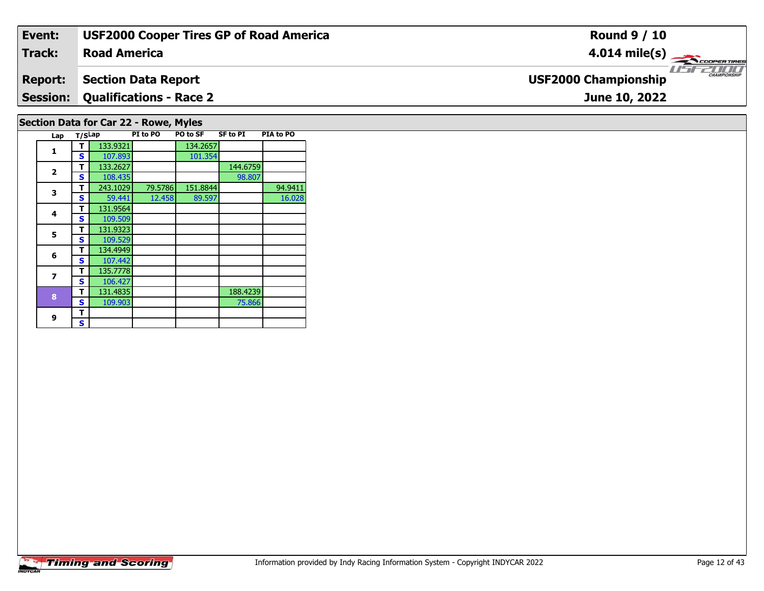| Event:                                | <b>USF2000 Cooper Tires GP of Road America</b> | <b>Round 9 / 10</b>                                       |  |  |  |  |  |  |
|---------------------------------------|------------------------------------------------|-----------------------------------------------------------|--|--|--|--|--|--|
| Track:                                | <b>Road America</b>                            | $4.014 \text{ mile(s)}$                                   |  |  |  |  |  |  |
| <b>Report:</b>                        | Section Data Report                            | <b>LISITE CHAMPIONSHIP</b><br><b>USF2000 Championship</b> |  |  |  |  |  |  |
|                                       | <b>Session: Qualifications - Race 2</b>        | June 10, 2022                                             |  |  |  |  |  |  |
| Section Data for Car 22 - Rowe, Myles |                                                |                                                           |  |  |  |  |  |  |

|                       |  | <b>Timing and Scoring</b> |
|-----------------------|--|---------------------------|
| <i><b>INDYCAR</b></i> |  |                           |

**Lap T/SLap PI to PO PO to SF SF to PI PIA to PO** 

**T** 243.1029 79.5786 151.8844 94.9411<br>**S** 59.441 12.458 89.597 16.028

98.807

75.866

16.028

**d T** 133.2627 108.435 **S** 108.435

**R T** 131.4835 109.903 188.4239

**1 T** 133.9321 134.2657<br>**S** 107.893 101.354

 **<sup>T</sup>** 131.9564 **<sup>S</sup>** 109.509109.509

 **<sup>T</sup>** 134.4949 **<sup>S</sup>** 107.442135.7778

**5 T** 131.9323<br>**S** 109.529

**T** 135.7778<br>**S** 106.427

**1**

**2**

**3**

**4**

**5**

**6**

**7**

**8**

**9**9 <mark>「S</mark>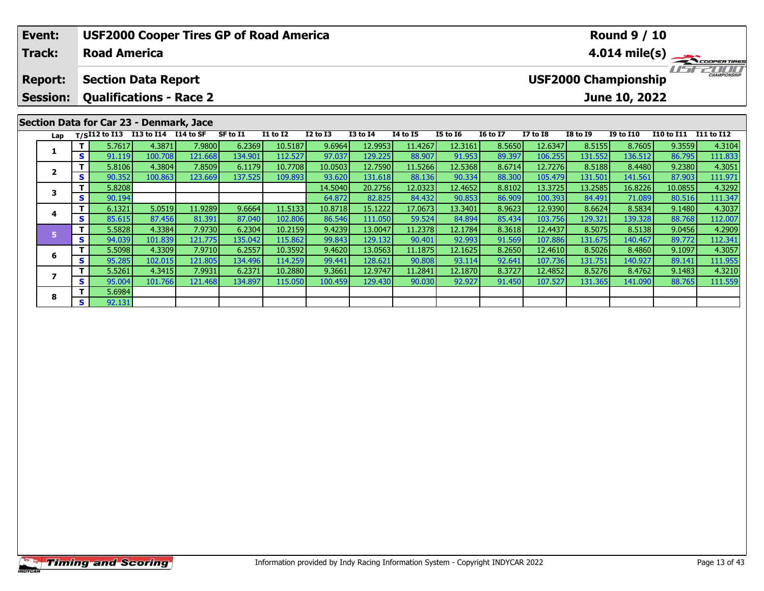| Event:          |    |                     |                                         |         | <b>USF2000 Cooper Tires GP of Road America</b> |                 |                 |                 |                 | <b>Round 9 / 10</b> |                         |                 |                 |                             |                   |              |  |
|-----------------|----|---------------------|-----------------------------------------|---------|------------------------------------------------|-----------------|-----------------|-----------------|-----------------|---------------------|-------------------------|-----------------|-----------------|-----------------------------|-------------------|--------------|--|
| <b>Track:</b>   |    | <b>Road America</b> |                                         |         |                                                |                 |                 |                 |                 |                     | $4.014 \text{ mile(s)}$ |                 |                 |                             |                   |              |  |
| <b>Report:</b>  |    |                     | <b>Section Data Report</b>              |         |                                                |                 |                 |                 |                 |                     |                         |                 |                 | <b>USF2000 Championship</b> |                   | CHAMPIONSHIP |  |
| <b>Session:</b> |    |                     | <b>Qualifications - Race 2</b>          |         |                                                |                 |                 |                 |                 |                     |                         |                 |                 | June 10, 2022               |                   |              |  |
|                 |    |                     | Section Data for Car 23 - Denmark, Jace |         |                                                |                 |                 |                 |                 |                     |                         |                 |                 |                             |                   |              |  |
| Lap             |    |                     | $T/SI12$ to I13 I13 to I14 I14 to SF    |         | SF to I1                                       | <b>I1 to I2</b> | <b>I2 to I3</b> | <b>I3 to I4</b> | <b>I4 to I5</b> | <b>I5 to 16</b>     | <b>16 to 17</b>         | <b>I7 to I8</b> | <b>I8 to 19</b> | <b>I9 to I10</b>            | <b>I10 to I11</b> | I11 to I12   |  |
|                 |    | 5.7617              | 4.3871                                  | 7.9800  | 6.2369                                         | 10.5187         | 9.6964          | 12.9953         | 11.4267         | 12.3161             | 8.5650                  | 12.6347         | 8.5155          | 8.7605                      | 9.3559            | 4.3104       |  |
|                 | S. | 91.119              | 100.708                                 | 121.668 | 134.901                                        | 112.527         | 97.037          | 129.225         | 88.907          | 91.953              | 89.397                  | 106.255         | 131.552         | 136.512                     | 86.795            | 111.833      |  |
| $\overline{2}$  |    | 5.8106              | 4.3804                                  | 7.8509  | 6.1179                                         | 10.7708         | 10.0503         | 12.7590         | 11.5266         | 12.5368             | 8.6714                  | 12.7276         | 8.5188          | 8.4480                      | 9.2380            | 4.3051       |  |
|                 | S. | 90.352              | 100.863                                 | 123.669 | 137.525                                        | 109.893         | 93.620          | 131.618         | 88.136          | 90.334              | 88.300                  | 105.479         | 131.501         | 141.561                     | 87.903            | 111.971      |  |
| 3               |    | 5.8208              |                                         |         |                                                |                 | 14.5040         | 20.2756         | 12.0323         | 12.4652             | 8.8102                  | 13.3725         | 13.2585         | 16.8226                     | 10.0855           | 4.3292       |  |
|                 | S. | 90.194              |                                         |         |                                                |                 | 64.872          | 82.825          | 84.432          | 90.853              | 86.909                  | 100.393         | 84.491          | 71.089                      | 80.516            | 111.347      |  |
|                 |    | 6.1321              | 5.0519                                  | 11.9289 | 9.6664                                         | 11.5133         | 10.8718         | 15.1222         | 17.0673         | 13.3401             | 8.9623                  | 12.9390         | 8.6624          | 8.5834                      | 9.1480            | 4.3037       |  |
| 4               | S  | 85.615              | 87.456                                  | 81.391  | 87.040                                         | 102.806         | 86.546          | 111.050         | 59.524          | 84.894              | 85.434                  | 103.756         | 129.321         | 139.328                     | 88.768            | 112.007      |  |

**<sup>T</sup>** 5.5828 4.3384 7.9730 6.2304 10.2159 9.4239 13.0047 11.2378 12.1784 8.3618 12.4437 8.5075 8.5138 9.0456 4.2909 **<sup>S</sup>** 94.039 101.839 121.775 135.042 115.862 99.843 129.132 90.401 92.993 91.569 107.886 131.675 140.467 89.772 112.341

6 | T | 5.5098| 4.3309| 7.9710| 6.2557| 10.3592| 9.4620| 13.0563| 11.1875| 12.1625| 8.2650| 12.4610| 8.5026| 8.4860| 9.1097| 4.3057<br>| S | 95.285| 102.015| 121.805| 134.496| 114.259| 99.441| 128.621| 90.808| 93.114| 92.641|

7 | T | 5.5261 | 4.3415 7.9931 | 6.2371 10.2880 | 9.3661 12.9747 11.2841 12.1870 | 8.3727 12.4852 | 8.5276 | 8.4762 | 9.1483 | 4.3210<br>7 | S | 95.004 101.766 121.468 134.897 115.050 100.459 129.430 | 90.030 | 92.927 | 91.45

**6**

**7**

**8**

**<sup>T</sup>** 5.6984 **<sup>S</sup>** 92.131

111.955<br>4.3210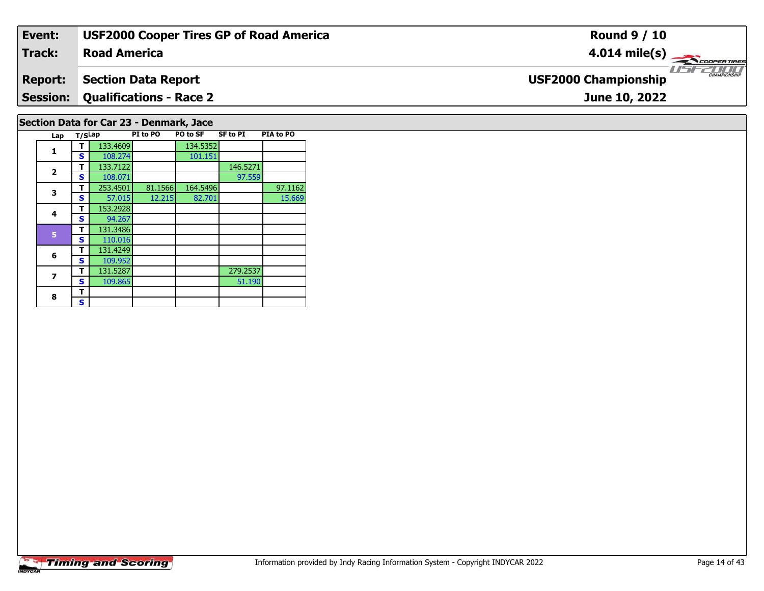| Event:                                  | <b>USF2000 Cooper Tires GP of Road America</b> | <b>Round 9 / 10</b>                                |  |  |  |  |  |  |  |
|-----------------------------------------|------------------------------------------------|----------------------------------------------------|--|--|--|--|--|--|--|
| Track:                                  | <b>Road America</b>                            | $4.014 \text{ mile(s)}$                            |  |  |  |  |  |  |  |
| <b>Report:</b>                          | <b>Section Data Report</b>                     | <b>EXAMPLONSHIP</b><br><b>USF2000 Championship</b> |  |  |  |  |  |  |  |
| <b>Session:</b>                         | <b>Qualifications - Race 2</b>                 | June 10, 2022                                      |  |  |  |  |  |  |  |
| Section Data for Car 23 - Denmark, Jace |                                                |                                                    |  |  |  |  |  |  |  |

## **Lap T/SLap PI to PO PO to SF SF to PI PIA to PO 11 T** 133.4609 134.5352<br>**S** 108.274 101.151 **2d T** 133.7122 146.5271 146.5271 146.5271 97.559 **3T** 253.4501 81.1566 164.5496 97.1162<br>**S** 57.015 12.215 82.701 15.669 15.669 **4 <sup>T</sup>** 153.2928 **<sup>S</sup>** 94.26794.267 **5 <sup>T</sup>** 131.3486 **<sup>S</sup>** 110.016 **6 <sup>T</sup>** 131.4249 **<sup>S</sup>** 109.952131.5287 **7T** 131.5287 279.2537<br>**S** 109.865 51.190 51.190 8  $\frac{1}{s}$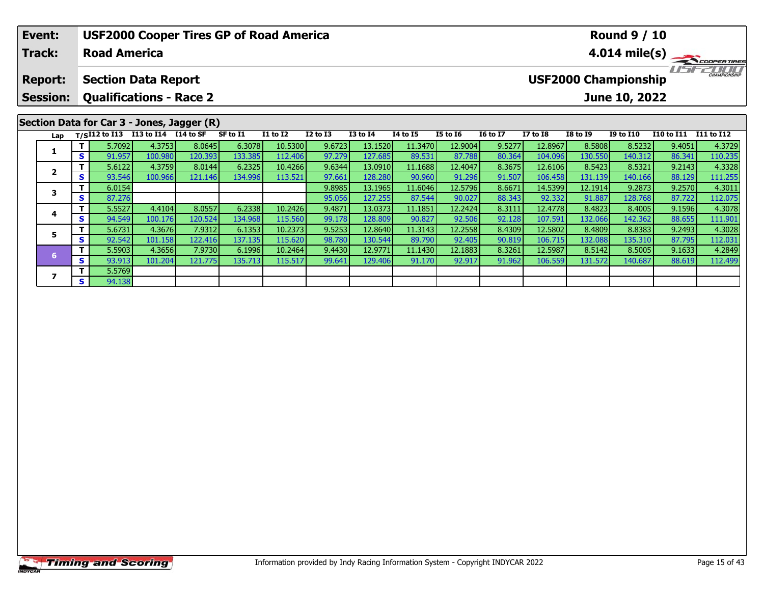| Event:                            |                                                              |                     |                                                                    |         | <b>USF2000 Cooper Tires GP of Road America</b> |                 |                 |                 | <b>Round 9 / 10</b> |                         |                                                                     |                 |                 |                  |            |            |
|-----------------------------------|--------------------------------------------------------------|---------------------|--------------------------------------------------------------------|---------|------------------------------------------------|-----------------|-----------------|-----------------|---------------------|-------------------------|---------------------------------------------------------------------|-----------------|-----------------|------------------|------------|------------|
| <b>Track:</b>                     |                                                              | <b>Road America</b> |                                                                    |         |                                                |                 |                 |                 |                     | $4.014 \text{ mile(s)}$ |                                                                     |                 |                 |                  |            |            |
| <b>Report:</b><br><b>Session:</b> | <b>Section Data Report</b><br><b>Qualifications - Race 2</b> |                     |                                                                    |         |                                                |                 |                 |                 |                     |                         | <b>CHAMPIONSHIP</b><br><b>USF2000 Championship</b><br>June 10, 2022 |                 |                 |                  |            |            |
| Lap                               |                                                              | $T/SI12$ to $I13$   | Section Data for Car 3 - Jones, Jagger (R)<br>I13 to I14 I14 to SF |         | SF to I1                                       | <b>I1 to I2</b> | <b>I2 to I3</b> | <b>I3 to I4</b> | 14 to 15            | <b>I5 to 16</b>         | <b>16 to 17</b>                                                     | <b>I7 to I8</b> | <b>I8 to I9</b> | <b>I9 to I10</b> | I10 to I11 | I11 to I12 |
|                                   |                                                              | 5.7092              | 4.3753                                                             | 8.0645  | 6.3078                                         | 10.5300         | 9.6723          | 13.1520         | 11.3470             | 12.9004                 | 9.5277                                                              | 12.8967         | 8.5808          | 8.5232           | 9.4051     | 4.3729     |
| 1                                 | S.                                                           | 91.957              | 100.980                                                            | 120.393 | 133.385                                        | 112.406         | 97.279          | 127.685         | 89.531              | 87.788                  | 80.364                                                              | 104.096         | 130.550         | 140.312          | 86.341     | 110.235    |
| $\overline{\mathbf{2}}$           |                                                              | 5.6122              | 4.3759                                                             | 8.0144  | 6.2325                                         | 10.4266         | 9.6344          | 13.0910         | 11.1688             | 12.4047                 | 8.3675                                                              | 12.6106         | 8.5423          | 8.5321           | 9.2143     | 4.3328     |
|                                   | S.                                                           | 93.546              | 100.966                                                            | 121.146 | 134.996                                        | 113.521         | 97.661          | 128.280         | 90.960              | 91.296                  | 91.507                                                              | 106.458         | 131.139         | 140.166          | 88.129     | 111.255    |
| 3                                 |                                                              | 6.0154              |                                                                    |         |                                                |                 | 9.8985          | 13.1965         | 11.6046             | 12.5796                 | 8.6671                                                              | 14.5399         | 12.1914         | 9.2873           | 9.2570     | 4.3011     |
|                                   | S.                                                           | 87.276              |                                                                    |         |                                                |                 | 95.056          | 127.255         | 87.544              | 90.027                  | 88.343                                                              | 92.332          | 91.887          | 128.768          | 87.722     | 112.075    |
| 4                                 |                                                              | 5.5527              | 4.4104                                                             | 8.0557  | 6.2338                                         | 10.2426         | 9.4871          | 13.0373         | 11.1851             | 12.2424                 | 8.3111                                                              | 12.4778         | 8.4823          | 8.4005           | 9.1596     | 4.3078     |
|                                   | S                                                            | 94.549              | 100.176                                                            | 120.524 | 134.968                                        | 115.560         | 99.178          | 128.809         | 90.827              | 92.506                  | 92.128                                                              | 107.591         | 132.066         | 142.362          | 88.655     | 111.901    |

**<sup>T</sup>** 5.6731 4.3676 7.9312 6.1353 10.2373 9.5253 12.8640 11.3143 12.2558 8.4309 12.5802 8.4809 8.8383 9.2493 4.3028 **<sup>S</sup>** 92.542 101.158 122.416 137.135 115.620 98.780 130.544 89.790 92.405 90.819 106.715 132.088 135.310 87.795 112.031

6 T | 5.5903 4.3656 7.9730 6.1996 10.2464 9.4430 12.9771 11.1430 12.1883 8.3261 12.5987 8.5142 8.5005 9.1633 4.2849<br>S | 93.913 101.204 121.775 135.713 115.517 99.641 129.406 91.170 92.917 91.962 106.559 131.572 140.687 88.

**5**

**7**

**7 S** 5.5769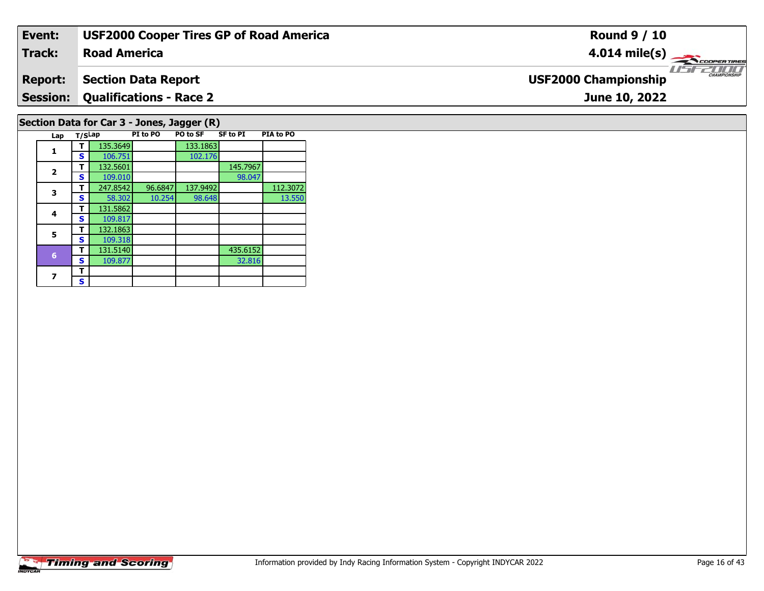| Event:                                                                                                               | <b>USF2000 Cooper Tires GP of Road America</b> | <b>Round 9 / 10</b>                                    |  |  |  |  |  |  |
|----------------------------------------------------------------------------------------------------------------------|------------------------------------------------|--------------------------------------------------------|--|--|--|--|--|--|
| Track:                                                                                                               | <b>Road America</b>                            | $4.014 \text{ mile(s)}$                                |  |  |  |  |  |  |
| <b>Report:</b>                                                                                                       | <b>Section Data Report</b>                     | <b>THE CHAMPIONSHIP</b><br><b>USF2000 Championship</b> |  |  |  |  |  |  |
|                                                                                                                      | <b>Session: Qualifications - Race 2</b>        | June 10, 2022                                          |  |  |  |  |  |  |
| Section Data for Car 3 - Jones, Jagger (R)<br>SF to PT<br><b>PTA to PO</b><br><b>PT to PO FO FO SE</b><br>lan T/Clan |                                                |                                                        |  |  |  |  |  |  |

| Lap                     | T/SLap |          | PI to PO | <b>PO to SF</b> | <b>SF to PI</b> | <b>PIA to PO</b> |
|-------------------------|--------|----------|----------|-----------------|-----------------|------------------|
| 1                       |        | 135.3649 |          | 133.1863        |                 |                  |
|                         | S      | 106.751  |          | 102.176         |                 |                  |
| $\overline{\mathbf{2}}$ | т      | 132.5601 |          |                 | 145.7967        |                  |
|                         | s      | 109.010  |          |                 | 98.047          |                  |
| 3                       | т      | 247.8542 | 96.6847  | 137.9492        |                 | 112.3072         |
|                         | S      | 58.302   | 10.254   | 98.648          |                 | 13.550           |
| 4                       | т      | 131.5862 |          |                 |                 |                  |
|                         | S      | 109.817  |          |                 |                 |                  |
| 5                       | т      | 132.1863 |          |                 |                 |                  |
|                         | S      | 109.318  |          |                 |                 |                  |
| $6\phantom{1}$          | т      | 131.5140 |          |                 | 435.6152        |                  |
|                         | S      | 109.877  |          |                 | 32.816          |                  |
| 7                       | т      |          |          |                 |                 |                  |
|                         | S      |          |          |                 |                 |                  |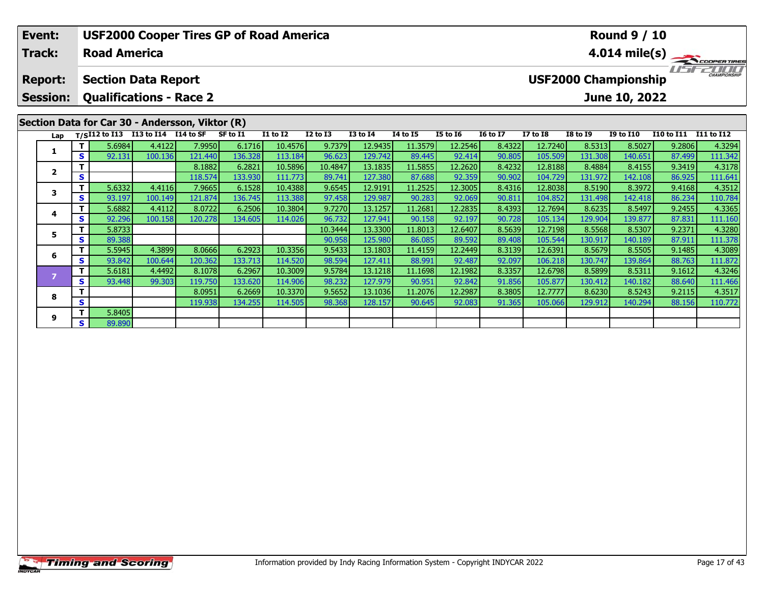|                                                                    | Event:<br><b>Track:</b> |    | <b>Road America</b> |                      | <b>USF2000 Cooper Tires GP of Road America</b>  |          |                 |                 | <b>Round 9 / 10</b><br>$4.014 \text{ mile(s)}$ |          |                 |                 |                             |                 |                  |                   |            |
|--------------------------------------------------------------------|-------------------------|----|---------------------|----------------------|-------------------------------------------------|----------|-----------------|-----------------|------------------------------------------------|----------|-----------------|-----------------|-----------------------------|-----------------|------------------|-------------------|------------|
| <b>Section Data Report</b><br><b>Report:</b>                       |                         |    |                     |                      |                                                 |          |                 |                 |                                                |          |                 |                 | <b>USF2000 Championship</b> |                 |                  |                   |            |
| <b>Qualifications - Race 2</b><br>June 10, 2022<br><b>Session:</b> |                         |    |                     |                      |                                                 |          |                 |                 |                                                |          |                 |                 |                             |                 |                  |                   |            |
|                                                                    |                         |    |                     |                      | Section Data for Car 30 - Andersson, Viktor (R) |          |                 |                 |                                                |          |                 |                 |                             |                 |                  |                   |            |
|                                                                    | Lap                     |    | $T/SI12$ to $I13$   | I13 to I14 I14 to SF |                                                 | SF to I1 | <b>I1 to I2</b> | <b>I2 to I3</b> | <b>I3 to I4</b>                                | 14 to 15 | <b>I5 to 16</b> | <b>16 to 17</b> | <b>I7 to I8</b>             | <b>I8 to I9</b> | <b>I9 to I10</b> | <b>I10 to I11</b> | I11 to I12 |
|                                                                    | 1                       |    | 5.6984              | 4.4122               | 7.9950                                          | 6.1716   | 10.4576         | 9.7379          | 12.9435                                        | 11.3579  | 12.2546         | 8.4322          | 12.7240                     | 8.5313          | 8.5027           | 9.2806            | 4.3294     |
|                                                                    |                         | s  | 92.131              | 100.136              | 121.440                                         | 136.328  | 113.184         | 96.623          | 129.742                                        | 89.445   | 92.414          | 90.805          | 105.509                     | 131.308         | 140.651          | 87.499            | 111.342    |
|                                                                    | $\overline{2}$          |    |                     |                      | 8.1882                                          | 6.2821   | 10.5896         | 10.4847         | 13.1835                                        | 11.5855  | 12.2620         | 8.4232          | 12.8188                     | 8.4884          | 8.4155           | 9.3419            | 4.3178     |
|                                                                    |                         | S  |                     |                      | 118.574                                         | 133.930  | 111.773         | 89.741          | 127.380                                        | 87.688   | 92.359          | 90.902          | 104.729                     | 131.972         | 142.108          | 86.925            | 111.641    |
|                                                                    | 3                       |    | 5.6332              | 4.4116               | 7.9665                                          | 6.1528   | 10.4388         | 9.6545          | 12.9191                                        | 11.2525  | 12.3005         | 8.4316          | 12.8038                     | 8.5190          | 8.3972           | 9.4168            | 4.3512     |
|                                                                    |                         | s  | 93.197              | 100.149              | 121.874                                         | 136.745  | 113.388         | 97.458          | 129.987                                        | 90.283   | 92.069          | 90.811          | 104.852                     | 131.498         | 142.418          | 86.234            | 110.784    |
|                                                                    | 4                       |    | 5.6882              | 4.4112               | 8.0722                                          | 6.2506   | 10.3804         | 9.7270          | 13.1257                                        | 11.2681  | 12.2835         | 8.4393          | 12.7694                     | 8.6235          | 8.5497           | 9.2455            | 4.3365     |
|                                                                    |                         | S  | 92.296              | 100.158              | 120.278                                         | 134.605  | 114.026         | 96.732          | 127.941                                        | 90.158   | 92.197          | 90.728          | 105.134                     | 129.904         | 139.877          | 87.831            | 111.160    |
|                                                                    | 5                       |    | 5.8733              |                      |                                                 |          |                 | 10.3444         | 13.3300                                        | 11.8013  | 12.6407         | 8.5639          | 12.7198                     | 8.5568          | 8.5307           | 9.2371            | 4.3280     |
|                                                                    |                         | S  | 89.388              |                      |                                                 |          |                 | 90.958          | 125.980                                        | 86.085   | 89.592          | 89.408          | 105.544                     | 130.917         | 140.1891         | 87.911            | 111.378    |
|                                                                    | 6                       |    | 5.5945              | 4.3899               | 8.0666                                          | 6.2923   | 10.3356         | 9.5433          | 13.1803                                        | 11.4159  | 12.2449         | 8.3139          | 12.6391                     | 8.5679          | 8.5505           | 9.1485            | 4.3089     |
|                                                                    |                         | S. | 93.842              | 100.644              | 120.362                                         | 133.713  | 114.520         | 98.594          | 127.411                                        | 88.991   | 92.487          | 92.097          | 106.218                     | 130.747         | 139.864          | 88.763            | 111.872    |
|                                                                    |                         | T. | 5.6181              | 4.4492               | 8.1078                                          | 6.2967   | 10.3009         | 9.5784          | 13.1218                                        | 11.1698  | 12.1982         | 8.3357          | 12.6798                     | 8.5899          | 8.5311           | 9.1612            | 4.3246     |

**<sup>T</sup>** 5.6181 4.4492 8.1078 6.2967 10.3009 9.5784 13.1218 11.1698 12.1982 8.3357 12.6798 8.5899 8.5311 9.1612 4.3246 **<sup>S</sup>** 93.448 99.303 119.750 133.620 114.906 98.232 127.979 90.951 92.842 91.856 105.877 130.412 140.182 88.640 111.466

**<sup>T</sup>** 8.0951 6.2669 10.3370 9.5652 13.1036 11.2076 12.2987 8.3805 12.7777 8.6230 8.5243 9.2115 4.3517 **<sup>S</sup>** 119.938 134.255 114.505 98.368 128.157 90.645 92.083 91.365 105.066 129.912 140.294 88.156 110.772

**8**

**9**

**T** 5.8405<br>**S** 89.890 89.890

111.466<br>4.3517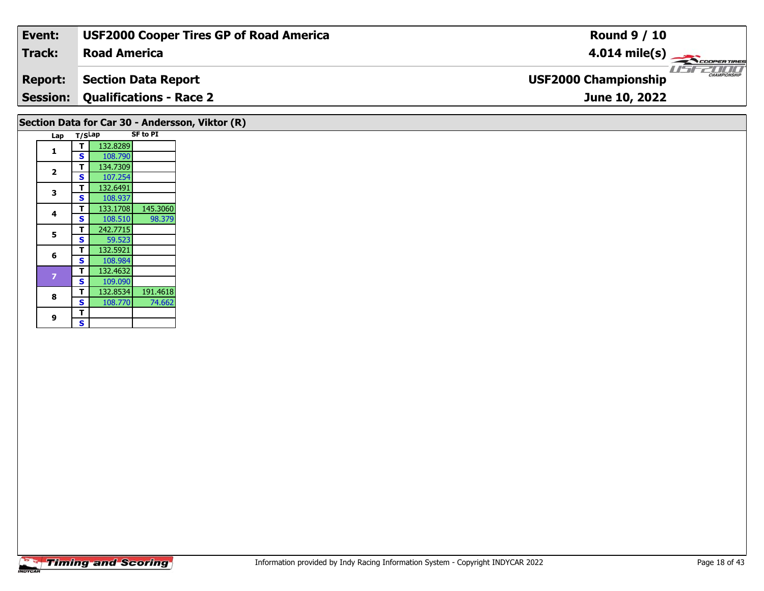| Event:                                          | <b>USF2000 Cooper Tires GP of Road America</b> | <b>Round 9 / 10</b>                         |  |  |  |  |  |  |
|-------------------------------------------------|------------------------------------------------|---------------------------------------------|--|--|--|--|--|--|
| Track:                                          | <b>Road America</b>                            | $4.014 \text{ mile(s)}$                     |  |  |  |  |  |  |
| <b>Report:</b>                                  | Section Data Report                            | CHAMPIONSHIP<br><b>USF2000 Championship</b> |  |  |  |  |  |  |
|                                                 | <b>Session: Qualifications - Race 2</b>        | June 10, 2022                               |  |  |  |  |  |  |
| Section Data for Car 30 - Andersson, Viktor (R) |                                                |                                             |  |  |  |  |  |  |

| Lap                     | T/SLap |          | <b>SF to PI</b> |
|-------------------------|--------|----------|-----------------|
| 1                       | т      | 132.8289 |                 |
|                         | S      | 108.790  |                 |
| $\overline{\mathbf{2}}$ | т      | 134.7309 |                 |
|                         | S      | 107.254  |                 |
| 3                       | T      | 132.6491 |                 |
|                         | S      | 108.937  |                 |
| 4                       | т      | 133.1708 | 145.3060        |
|                         | S      | 108.510  | 98.379          |
| 5                       | т      | 242.7715 |                 |
|                         | S      | 59.523   |                 |
| 6                       | т      | 132.5921 |                 |
|                         | S      | 108.984  |                 |
| 7                       | т      | 132.4632 |                 |
|                         | S      | 109.090  |                 |
| 8                       | т      | 132.8534 | 191.4618        |
|                         | S      | 108.770  | 74.662          |
| 9                       | Т      |          |                 |
|                         | S      |          |                 |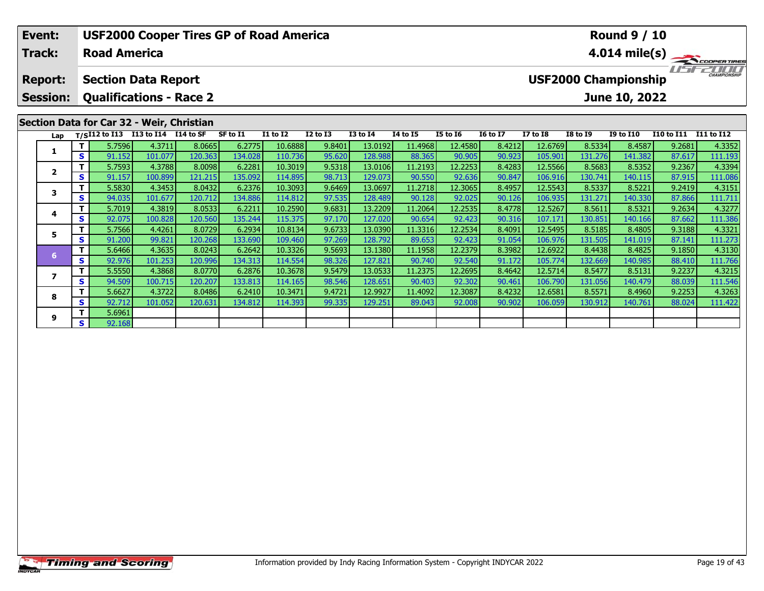|                                                                                                                                                   | Event:<br><b>Track:</b> |     | <b>USF2000 Cooper Tires GP of Road America</b><br><b>Round 9 / 10</b><br>$4.014 \text{ mile(s)}$<br><b>Road America</b> |                      |                   |                   |                    |                  |                    |                   |                   |                  |                     |                   |                   |                   |                   |
|---------------------------------------------------------------------------------------------------------------------------------------------------|-------------------------|-----|-------------------------------------------------------------------------------------------------------------------------|----------------------|-------------------|-------------------|--------------------|------------------|--------------------|-------------------|-------------------|------------------|---------------------|-------------------|-------------------|-------------------|-------------------|
| <b>USF2000 Championship</b><br><b>Section Data Report</b><br><b>Report:</b><br><b>Qualifications - Race 2</b><br>June 10, 2022<br><b>Session:</b> |                         |     |                                                                                                                         |                      |                   |                   |                    |                  |                    |                   |                   |                  | <b>CHAMPIONSHIP</b> |                   |                   |                   |                   |
|                                                                                                                                                   |                         |     | Section Data for Car 32 - Weir, Christian                                                                               |                      |                   |                   |                    |                  |                    |                   |                   |                  |                     |                   |                   |                   |                   |
|                                                                                                                                                   | Lap                     |     | $T/SI12$ to $\overline{I13}$                                                                                            | I13 to I14 I14 to SF |                   | SF to I1          | <b>I1 to I2</b>    | $I2$ to $I3$     | <b>I3 to I4</b>    | 14 to 15          | <b>I5 to 16</b>   | <b>16 to 17</b>  | <b>I7 to I8</b>     | <b>I8 to I9</b>   | <b>I9 to I10</b>  | <b>I10 to I11</b> | <b>I11 to I12</b> |
|                                                                                                                                                   |                         | S.  | 5.7596<br>91.152                                                                                                        | 4.3711<br>101.077    | 8.0665<br>120.363 | 6.2775<br>134.028 | 10.6888<br>110.736 | 9.8401<br>95.620 | 13.0192<br>128.988 | 11.4968<br>88.365 | 12.4580<br>90.905 | 8.4212<br>90.923 | 12.6769<br>105.901  | 8.5334<br>131.276 | 8.4587<br>141.382 | 9.2681<br>87.617  | 4.3352<br>111.193 |
|                                                                                                                                                   |                         |     | 5.7593                                                                                                                  | 4.3788               | 8.0098            | 6.2281            | 10.3019            | 9.5318           | 13.0106            | 11.2193           | 12.2253           | 8.4283           | 12.5566             | 8.5683            | 8.5352            | 9.2367            | 4.3394            |
|                                                                                                                                                   | $\mathbf{2}$            | S.  | 91.157                                                                                                                  | 100.899              | 121.215           | 135.092           | 114.895            | 98.713           | 129.073            | 90.550            | 92.636            | 90.847           | 106.916             | 130.741           | 140.115           | 87.915            | 111.086           |
|                                                                                                                                                   |                         | Τ.  | 5.5830                                                                                                                  | 4.3453               | 8.0432            | 6.2376            | 10.3093            | 9.6469           | 13.0697            | 11.2718           | 12.3065           | 8.4957           | 12.5543             | 8.5337            | 8.5221            | 9.2419            | 4.3151            |
|                                                                                                                                                   | 3                       | S.  | 94.035                                                                                                                  | 101.677              | 120.712           | 134.886           | 114.812            | 97.535           | 128.489            | 90.128            | 92.025            | 90.126           | 106.935             | 131.271           | 140.330           | 87.866            | 111.711           |
|                                                                                                                                                   | 4                       |     | 5.7019                                                                                                                  | 4.3819               | 8.0533            | 6.2211            | 10.2590            | 9.6831           | 13.2209            | 11.2064           | 12.2535           | 8.4778           | 12.5267             | 8.5611            | 8.5321            | 9.2634            | 4.3277            |
|                                                                                                                                                   |                         | S.  | 92.075                                                                                                                  | 100.828              | 120.560           | 135.244           | 115.375            | 97.170           | 127.020            | 90.654            | 92.423            | 90.316           | 107.171             | 130.851           | 140.166           | 87.662            | 111.386           |
|                                                                                                                                                   | 5                       |     | 5.7566                                                                                                                  | 4.4261               | 8.0729            | 6.2934            | 10.8134            | 9.6733           | 13.0390            | 11.3316           | 12.2534           | 8.4091           | 12.5495             | 8.5185            | 8.4805            | 9.3188            | 4.3321            |
|                                                                                                                                                   |                         | S.  | 91.200                                                                                                                  | 99.821               | 120.268           | 133.690           | 109.460            | 97.269           | 128.792            | 89.653            | 92.423            | 91.054           | 106.976             | 131.505           | 141.019           | 87.141            | 111.273           |
|                                                                                                                                                   | 6                       | Τ.  | 5.6466                                                                                                                  | 4.3635               | 8.0243            | 6.2642            | 10.3326            | 9.5693           | 13.1380            | 11.1958           | 12.2379           | 8.3982           | 12.6922             | 8.4438            | 8.4825            | 9.1850            | 4.3130            |
|                                                                                                                                                   |                         | S.  | 92.976                                                                                                                  | 101.253              | 120.996           | 134.313           | 114.554            | 98.326           | 127.821            | 90.740            | 92.540            | 91.172           | 105.774             | 132.669           | 140.985           | 88.410            | 111.766           |
|                                                                                                                                                   |                         | T I | 5.5550                                                                                                                  | 4.3868               | 8.0770            | 6.2876            | 10.3678            | 9.5479           | 13.05331           | 11.2375           | 12.26951          | 8.4642           | 12.5714             | 8.5477            | 8.5131            | 9.2237            | 4.3215            |

7 | T | 5.5550 4.3868 8.0770 6.2876 10.3678 9.5479 13.0533 11.2375 12.2695 8.4642 12.5714 8.5477 8.5131 9.2237 4.3215<br>7 | S | 94.509 100.715 120.207 133.813 114.165 98.546 128.651 90.403 92.302 90.461 106.790 131.056 140.4

8 T | 5.6627 4.3722 8.0486 6.2410 10.3471 9.4721 12.9927 11.4092 12.3087 8.4232 12.6581 8.5571 8.4960 9.2253 4.3263<br>S S 92.712 101.052 120.631 134.812 114.393 99.335 129.251 89.043 92.008 90.902 106.059 130.912 140.761 88.

**7**

**8**

**9**

**<sup>T</sup>** 5.6961 **<sup>S</sup>** 92.168

111.546<br>4.3263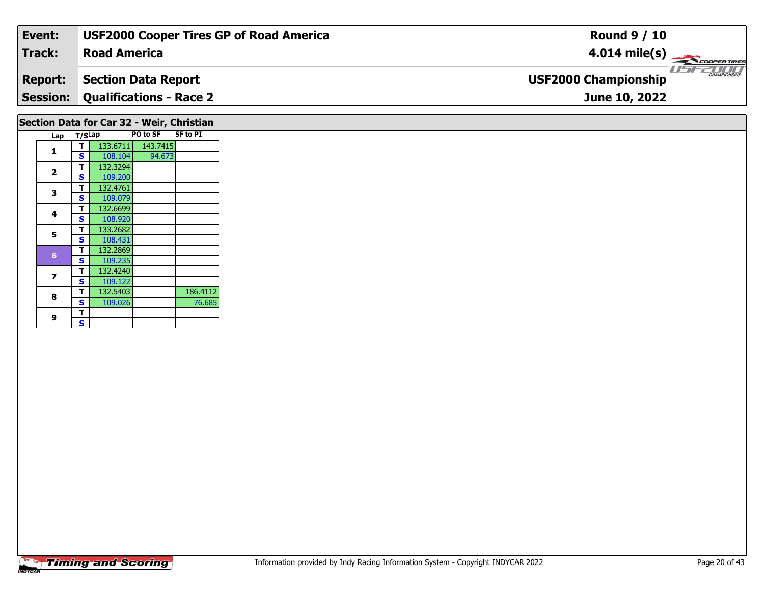| Event:                                    | <b>USF2000 Cooper Tires GP of Road America</b> | <b>Round 9 / 10</b>                                       |  |  |  |  |  |
|-------------------------------------------|------------------------------------------------|-----------------------------------------------------------|--|--|--|--|--|
| <b>Track:</b>                             | <b>Road America</b>                            | $4.014 \text{ mile(s)}$                                   |  |  |  |  |  |
| <b>Report:</b>                            | <b>Section Data Report</b>                     | <b>LISITE CHAMPIONSHIP</b><br><b>USF2000 Championship</b> |  |  |  |  |  |
| <b>Session:</b>                           | <b>Qualifications - Race 2</b>                 | June 10, 2022                                             |  |  |  |  |  |
| Section Data for Car 32 - Weir, Christian |                                                |                                                           |  |  |  |  |  |

|                         |        |          | .        |                 |
|-------------------------|--------|----------|----------|-----------------|
| Lap                     | T/SLap |          | PO to SF | <b>SF to PI</b> |
|                         | т      | 133.6711 | 143.7415 |                 |
| 1                       | S      | 108.104  | 94.673   |                 |
|                         | т      | 132.3294 |          |                 |
| $\overline{\mathbf{2}}$ | S      | 109.200  |          |                 |
|                         | т      | 132.4761 |          |                 |
| 3                       | S      | 109.079  |          |                 |
|                         | т      | 132.6699 |          |                 |
| 4                       | S      | 108.920  |          |                 |
| 5                       | т      | 133.2682 |          |                 |
|                         | S      | 108.431  |          |                 |
|                         | т      | 132.2869 |          |                 |
| 6                       | S      | 109.235  |          |                 |
|                         | т      | 132.4240 |          |                 |
| 7                       | S      | 109.122  |          |                 |
| 8                       | т      | 132.5403 |          | 186.4112        |
|                         | S      | 109.026  |          | 76.685          |
| 9                       | т      |          |          |                 |
|                         | S      |          |          |                 |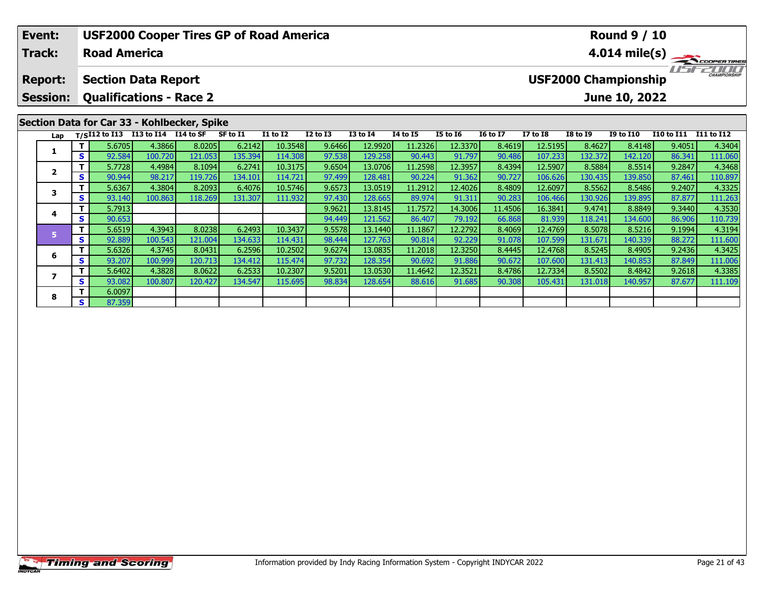|                                                                                                               | Event:                                      |    |                     | <b>USF2000 Cooper Tires GP of Road America</b> |         |          |          | <b>Round 9 / 10</b> |                 |                 |                 |                 |                         |                 |                  |                   |            |  |  |
|---------------------------------------------------------------------------------------------------------------|---------------------------------------------|----|---------------------|------------------------------------------------|---------|----------|----------|---------------------|-----------------|-----------------|-----------------|-----------------|-------------------------|-----------------|------------------|-------------------|------------|--|--|
|                                                                                                               | <b>Track:</b>                               |    | <b>Road America</b> |                                                |         |          |          |                     |                 |                 |                 |                 | $4.014 \text{ mile(s)}$ |                 |                  |                   |            |  |  |
| <b>USF2000 Championship</b><br><b>Section Data Report</b><br><b>Report:</b><br><b>Qualifications - Race 2</b> |                                             |    |                     |                                                |         |          |          |                     |                 |                 |                 |                 |                         |                 | CHAMPIONSHIP     |                   |            |  |  |
|                                                                                                               | <b>Session:</b>                             |    |                     |                                                |         |          |          |                     |                 |                 |                 |                 |                         |                 | June 10, 2022    |                   |            |  |  |
|                                                                                                               | Section Data for Car 33 - Kohlbecker, Spike |    |                     |                                                |         |          |          |                     |                 |                 |                 |                 |                         |                 |                  |                   |            |  |  |
|                                                                                                               | Lap                                         |    |                     | T/SI12 to I13 I13 to I14 I14 to SF             |         | SF to I1 | I1 to I2 | <b>I2 to I3</b>     | <b>I3 to I4</b> | <b>I4 to I5</b> | <b>I5 to 16</b> | <b>16 to 17</b> | <b>I7 to I8</b>         | <b>I8 to I9</b> | <b>I9 to I10</b> | <b>I10 to I11</b> | I11 to I12 |  |  |
|                                                                                                               |                                             |    | 5.6705              | 4.3866                                         | 8.0205  | 6.2142   | 10.3548  | 9.6466              | 12.9920         | 11.2326         | 12.3370         | 8.4619          | 12.5195                 | 8.4627          | 8.4148           | 9.4051            | 4.3404     |  |  |
|                                                                                                               |                                             | S  | 92.584              | 100.720                                        | 121.053 | 135.394  | 114.308  | 97.538              | 129.258         | 90.443          | 91.797          | 90.486          | 107.233                 | 132.372         | 142.120          | 86.341            | 111.060    |  |  |
|                                                                                                               | $\overline{2}$                              |    | 5.7728              | 4.4984                                         | 8.1094  | 6.2741   | 10.3175  | 9.6504              | 13.0706         | 11.2598         | 12.3957         | 8.4394          | 12.5907                 | 8.5884          | 8.5514           | 9.2847            | 4.3468     |  |  |
|                                                                                                               |                                             | S. | 90.944              | 98.217                                         | 119.726 | 134.101  | 114.721  | 97.499              | 128.481         | 90.224          | 91.362          | 90.727          | 106.626                 | 130.435         | 139.850          | 87.461            | 110.897    |  |  |
|                                                                                                               | 3                                           |    | 5.6367              | 4.3804                                         | 8.2093  | 6.4076   | 10.5746  | 9.6573              | 13.0519         | 11.2912         | 12.4026         | 8.4809          | 12.6097                 | 8.5562          | 8.5486           | 9.2407            | 4.3325     |  |  |
|                                                                                                               |                                             | S. | 93.140              | 100.863                                        | 118.269 | 131.307  | 111.932  | 97.430              | 128.665         | 89.974          | 91.311          | 90.283          | 106.466                 | 130.926         | 139.895          | 87.877            | 111.263    |  |  |
|                                                                                                               | 4                                           |    | 5.7913              |                                                |         |          |          | 9.9621              | 13.8145         | 11.7572         | 14.3006         | 11.4506         | 16.3841                 | 9.4741          | 8.8849           | 9.3440            | 4.3530     |  |  |
|                                                                                                               |                                             | S. | 90.653              |                                                |         |          |          | 94.449              | 121.562         | 86.407          | 79.192          | 66.868          | 81.939                  | 118.241         | 134.600          | 86.906            | 110.739    |  |  |
|                                                                                                               |                                             | т  | 5.6519              | 4.3943                                         | 8.0238  | 6.2493   | 10.3437  | 9.5578              | 13.1440         | 11.1867         | 12.2792         | 8.4069          | 12.4769                 | 8.5078          | 8.5216           | 9.1994            | 4.3194     |  |  |
|                                                                                                               | 5                                           | S  | 92.889              | 100.543                                        | 121.004 | 134.633  | 114.431  | 98.444              | 127.763         | 90.814          | 92.229          | 91.078          | 107.599                 | 131.671         | 140.339          | 88.272            | 111.600    |  |  |

6 | T | 5.6326| 4.3745| 8.0431| 6.2596| 10.2502| 9.6274| 13.0835| 11.2018| 12.3250| 8.4445| 12.4768| 8.5245| 8.4905| 9.2436| 4.3425<br>| S | 93.207| 100.999| 120.713| 134.412| 115.474| 97.732| 128.354| 90.692| 91.886| 90.672|

7 | T | 5.6402 | 4.3828 | 8.0622 | 6.2533 | 10.2307 | 9.5201 | 13.0530 | 11.4642 | 12.3521 | 8.4786 | 12.7334 | 8.5502 | 8.4842 | 9.2618 | 4.3385<br>7 | S | 93.082 | 100.807 | 120.427 | 134.547 | 115.695 | 98.834 | 128.654 |

**6**

**7**

**8**

**<sup>T</sup>** 6.0097 **<sup>S</sup>** 87.359

4.3425

111.006<br>4.3385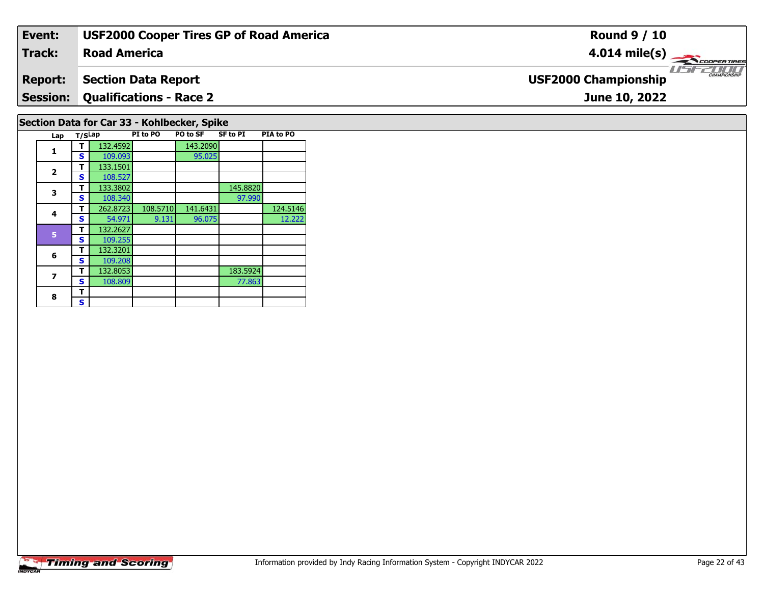| Event:                                      | <b>USF2000 Cooper Tires GP of Road America</b> | <b>Round 9 / 10</b>                          |  |  |  |  |  |
|---------------------------------------------|------------------------------------------------|----------------------------------------------|--|--|--|--|--|
| Track:                                      | <b>Road America</b>                            | $4.014 \text{ mile(s)}$                      |  |  |  |  |  |
| <b>Report:</b>                              | Section Data Report                            | $\frac{1}{1}$<br><b>USF2000 Championship</b> |  |  |  |  |  |
|                                             | <b>Session: Qualifications - Race 2</b>        | June 10, 2022                                |  |  |  |  |  |
| Section Data for Car 33 - Kohlbecker, Spike |                                                |                                              |  |  |  |  |  |

|                       |  | <b>Timing and Scoring</b> |
|-----------------------|--|---------------------------|
| <i><b>INDYCAR</b></i> |  |                           |

**Lap T/SLap PI to PO PO to SF SF to PI PIA to PO** 

**T** 262.8723 108.5710 141.6431 124.5146<br> **S** 54.971 9.131 96.075 12.222

95.025

97.990

77.863

12.222

**<sup>T</sup>** 132.4592 143.2090 **<sup>S</sup>** 109.093 95.025

**T** 133.3802 145.8820<br> **S** 108.340 97.990

**T** 132.8053 183.5924<br>**S** 108.809 77.863

**1**

**2**

**3**

**4**

**6**

**7**

8  $\frac{1}{s}$ 

**2 S** 108.527

**<sup>T</sup>** 132.2627 **<sup>S</sup>** 109.255

 **<sup>T</sup>** 132.3201 **<sup>S</sup>** 109.208132.8053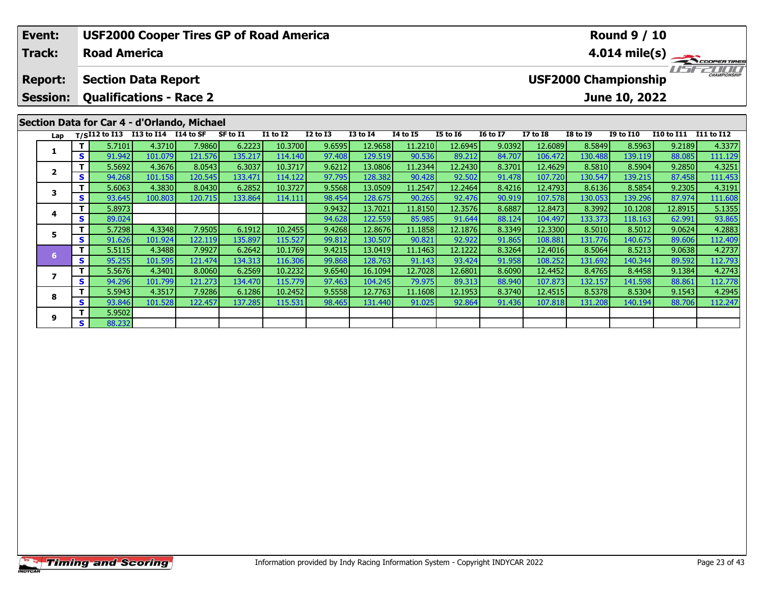| Event:                   |          | <b>USF2000 Cooper Tires GP of Road America</b>  |                   |                   |                   |                    |                  |                    |                   |                   | <b>Round 9 / 10</b>                                   |                         |                   |                   |                   |                   |  |
|--------------------------|----------|-------------------------------------------------|-------------------|-------------------|-------------------|--------------------|------------------|--------------------|-------------------|-------------------|-------------------------------------------------------|-------------------------|-------------------|-------------------|-------------------|-------------------|--|
| <b>Track:</b>            |          | <b>Road America</b>                             |                   |                   |                   |                    |                  |                    |                   |                   |                                                       | $4.014 \text{ mile(s)}$ |                   |                   |                   |                   |  |
| <b>Report:</b>           |          | <b>Section Data Report</b>                      |                   |                   |                   |                    |                  |                    |                   |                   | CHAMPIONSHIP<br>i isan<br><b>USF2000 Championship</b> |                         |                   |                   |                   |                   |  |
| <b>Session:</b>          |          | <b>Qualifications - Race 2</b>                  |                   |                   |                   |                    |                  |                    |                   |                   | June 10, 2022                                         |                         |                   |                   |                   |                   |  |
|                          |          | Section Data for Car 4 - d'Orlando, Michael     |                   |                   |                   |                    |                  |                    |                   |                   |                                                       |                         |                   |                   |                   |                   |  |
| Lap                      |          | T/SI12 to I13 I13 to I14 $\overline{114}$ to SF |                   |                   | SF to I1          | <b>I1 to I2</b>    | <b>I2 to I3</b>  | <b>I3 to I4</b>    | 14 to 15          | <b>I5 to 16</b>   | <b>16 to 17</b>                                       | <b>I7 to I8</b>         | <b>I8 to 19</b>   | <b>I9 to I10</b>  | <b>I10 to I11</b> | I11 to I12        |  |
|                          | Τ.<br>S. | 5.7101<br>91.942                                | 4.3710<br>101.079 | 7.9860<br>121.576 | 6.2223<br>135.217 | 10.3700<br>114.140 | 9.6595<br>97.408 | 12.9658<br>129.519 | 11.2210<br>90.536 | 12.6945<br>89.212 | 9.0392<br>84.707                                      | 12.6089<br>106.472      | 8.5849<br>130.488 | 8.5963<br>139.119 | 9.2189<br>88.085  | 4.3377<br>111.129 |  |
|                          | Τ.       | 5.5692                                          | 4.3676            | 8.0543            | 6.3037            | 10.3717            | 9.6212           | 13.0806            | 11.2344           | 12.2430           | 8.3701                                                | 12.4629                 | 8.5810            | 8.5904            | 9.2850            | 4.3251            |  |
| $\overline{2}$           | S.       | 94.268                                          | 101.158           | 120.545           | 133.471           | 114.122            | 97.795           | 128.382            | 90.428            | 92.502            | 91.478                                                | 107.720                 | 130.547           | 139.215           | 87.458            | 111.453           |  |
|                          | Τ.       | 5.6063                                          | 4.3830            | 8.0430            | 6.2852            | 10.3727            | 9.5568           | 13.0509            | 11.2547           | 12.2464           | 8.4216                                                | 12.4793                 | 8.6136            | 8.5854            | 9.2305            | 4.3191            |  |
| 3                        | S.       | 93.645                                          | 100.803           | 120.715           | 133.864           | 114.111            | 98.454           | 128.675            | 90.265            | 92.476            | 90.919                                                | 107.578                 | 130.053           | 139.296           | 87.974            | 111.608           |  |
| 4                        | Τ.       | 5.8973                                          |                   |                   |                   |                    | 9.9432           | 13.7021            | 11.8150           | 12.3576           | 8.6887                                                | 12.8473                 | 8.3992            | 10.1208           | 12.8915           | 5.1355            |  |
|                          | S        | 89.024                                          |                   |                   |                   |                    | 94.628           | 122.559            | 85.985            | 91.644            | 88.124                                                | 104.497                 | 133.373           | 118.163           | 62.991            | 93.865            |  |
| 5                        | Τ.       | 5.7298                                          | 4.3348            | 7.9505            | 6.1912            | 10.2455            | 9.4268           | 12.8676            | 11.1858           | 12.1876           | 8.3349                                                | 12.3300                 | 8.5010            | 8.5012            | 9.0624            | 4.2883            |  |
|                          | s l      | 91.626                                          | 101.924           | 122.119           | 135.897           | 115.527            | 99.812           | 130.507            | 90.821            | 92.922            | 91.865                                                | 108.881                 | 131.776           | 140.675           | 89.606            | 112.409           |  |
| 6                        | Τ.       | 5.5115                                          | 4.3488            | 7.9927            | 6.2642            | 10.1769            | 9.4215           | 13.0419            | 11.1463           | 12.1222           | 8.3264                                                | 12.4016                 | 8.5064            | 8.5213            | 9.0638            | 4.2737            |  |
|                          | S.       | 95.255                                          | 101.595           | 121.474           | 134.313           | 116.306            | 99.868           | 128.763            | 91.143            | 93.424            | 91.958                                                | 108.252                 | 131.692           | 140.344           | 89.592            | 112.793           |  |
| $\overline{\phantom{a}}$ | т.       | 5.5676                                          | 4.3401            | 8.0060            | 6.2569            | 10.2232            | 9.6540           | 16.1094            | 12.7028           | 12.6801           | 8.6090                                                | 12.4452                 | 8.4765            | 8.4458            | 9.1384            | 4.2743            |  |
|                          | S.       | 94.296                                          | 101.799           | 121.273           | 134.470           | 115.779            | 97.463           | 104.245            | 79.975            | 89.313            | 88.940                                                | 107.873                 | 132.157           | 141.598           | 88.861            | 112.778           |  |

8 T | 5.5943 4.3517 7.9286 6.1286 10.2452 9.5558 12.7763 11.1608 12.1953 8.3740 12.4515 8.5378 8.5304 9.1543 4.2945<br>8 S 93.846 101.528 122.457 137.285 115.531 98.465 131.440 91.025 92.864 91.436 107.818 131.208 140.194 88.

**8**

**9**

**<sup>T</sup>** 5.9502 **<sup>S</sup>** 88.232

112.778<br>4.2945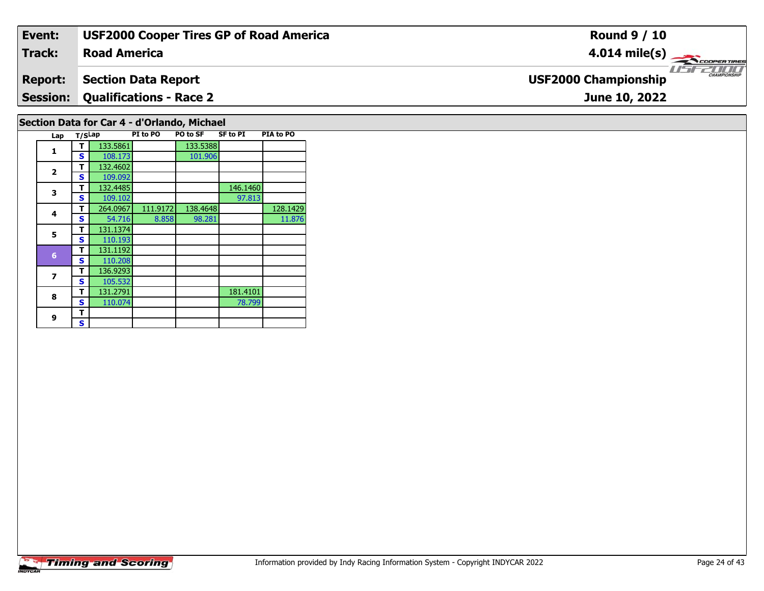| Event:                                      | <b>USF2000 Cooper Tires GP of Road America</b> | <b>Round 9 / 10</b>                         |  |  |  |  |  |
|---------------------------------------------|------------------------------------------------|---------------------------------------------|--|--|--|--|--|
| Track:                                      | <b>Road America</b>                            | $4.014 \text{ mile(s)}$                     |  |  |  |  |  |
| <b>Report:</b>                              | <b>Section Data Report</b>                     | CHAMPIONSHIP<br><b>USF2000 Championship</b> |  |  |  |  |  |
|                                             | <b>Session: Qualifications - Race 2</b>        | June 10, 2022                               |  |  |  |  |  |
| Section Data for Car 4 - d'Orlando, Michael |                                                |                                             |  |  |  |  |  |

| Lap                     | T/SLap |          | PI to PO | PO to SF | <b>SF to PI</b> | PIA to PO |
|-------------------------|--------|----------|----------|----------|-----------------|-----------|
| 1                       | т      | 133.5861 |          | 133.5388 |                 |           |
|                         | S      | 108.173  |          | 101.906  |                 |           |
| $\overline{\mathbf{2}}$ | т      | 132.4602 |          |          |                 |           |
|                         | S      | 109.092  |          |          |                 |           |
| 3                       | т      | 132.4485 |          |          | 146.1460        |           |
|                         | S      | 109.102  |          |          | 97.813          |           |
| 4                       | т      | 264.0967 | 111.9172 | 138.4648 |                 | 128.1429  |
|                         | s      | 54.716   | 8.858    | 98.281   |                 | 11.876    |
| 5                       | т      | 131.1374 |          |          |                 |           |
|                         | S      | 110.193  |          |          |                 |           |
| $6\phantom{1}6$         | т      | 131.1192 |          |          |                 |           |
|                         | S      | 110.208  |          |          |                 |           |
| 7                       | т      | 136.9293 |          |          |                 |           |
|                         | S      | 105.532  |          |          |                 |           |
| 8                       | т      | 131.2791 |          |          | 181.4101        |           |
|                         | S      | 110.074  |          |          | 78.799          |           |
| 9                       | т      |          |          |          |                 |           |
|                         | S      |          |          |          |                 |           |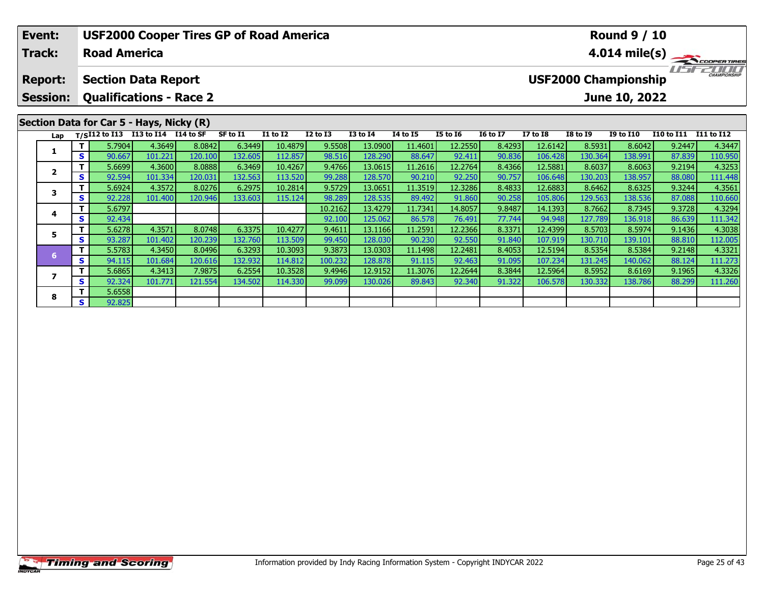|                                                                                                                                                   | Event:                  |    | <b>USF2000 Cooper Tires GP of Road America</b><br><b>Round 9 / 10</b> |                                          |         |          |                 |                 |                 |                 |                 |                 |                 |                     |                  |                   |                         |
|---------------------------------------------------------------------------------------------------------------------------------------------------|-------------------------|----|-----------------------------------------------------------------------|------------------------------------------|---------|----------|-----------------|-----------------|-----------------|-----------------|-----------------|-----------------|-----------------|---------------------|------------------|-------------------|-------------------------|
|                                                                                                                                                   | <b>Track:</b>           |    | <b>Road America</b>                                                   |                                          |         |          |                 |                 |                 |                 |                 |                 |                 |                     |                  |                   | $4.014 \text{ mile(s)}$ |
| <b>USF2000 Championship</b><br><b>Section Data Report</b><br><b>Report:</b><br><b>Qualifications - Race 2</b><br>June 10, 2022<br><b>Session:</b> |                         |    |                                                                       |                                          |         |          |                 |                 |                 |                 |                 |                 |                 | <b>CHAMPIONSHIP</b> |                  |                   |                         |
|                                                                                                                                                   |                         |    |                                                                       |                                          |         |          |                 |                 |                 |                 |                 |                 |                 |                     |                  |                   |                         |
|                                                                                                                                                   |                         |    |                                                                       | Section Data for Car 5 - Hays, Nicky (R) |         |          |                 |                 |                 |                 |                 |                 |                 |                     |                  |                   |                         |
|                                                                                                                                                   | Lap                     |    | T/SI12 to I13                                                         | I13 to I14 I14 to SF                     |         | SF to I1 | <b>I1 to I2</b> | <b>I2 to I3</b> | <b>I3 to I4</b> | <b>I4 to I5</b> | <b>I5 to 16</b> | <b>16 to 17</b> | <b>I7 to I8</b> | <b>I8 to I9</b>     | <b>I9 to I10</b> | <b>I10 to I11</b> | I11 to I12              |
|                                                                                                                                                   | 1                       |    | 5.7904                                                                | 4.3649                                   | 8.0842  | 6.3449   | 10.4879         | 9.5508          | 13.0900         | 11.4601         | 12.2550         | 8.4293          | 12.6142         | 8.5931              | 8.6042           | 9.2447            | 4.3447                  |
|                                                                                                                                                   |                         | S. | 90.667                                                                | 101.221                                  | 120.100 | 132.605  | 112.857         | 98.516          | 128.290         | 88.647          | 92.411          | 90.836          | 106.428         | 130.364             | 138.991          | 87.839            | 110.950                 |
|                                                                                                                                                   | $\overline{\mathbf{2}}$ |    | 5.6699                                                                | 4.3600                                   | 8.0888  | 6.3469   | 10.4267         | 9.4766          | 13.0615         | 11.2616         | 12.2764         | 8.4366          | 12.5881         | 8.6037              | 8.6063           | 9.2194            | 4.3253                  |
|                                                                                                                                                   |                         | S. | 92.594                                                                | 101.334                                  | 120.031 | 132.563  | 113.520         | 99.288          | 128.570         | 90.210          | 92.250          | 90.757          | 106.648         | 130.203             | 138.957          | 88.080            | 111.448                 |
|                                                                                                                                                   | 3                       |    | 5.6924                                                                | 4.3572                                   | 8.0276  | 6.2975   | 10.2814         | 9.5729          | 13.0651         | 11.3519         | 12.3286         | 8.4833          | 12.6883         | 8.6462              | 8.6325           | 9.3244            | 4.3561                  |
|                                                                                                                                                   |                         | S  | 92.228                                                                | 101.400                                  | 120.946 | 133.603  | 115.124         | 98.289          | 128.535         | 89.492          | 91.860          | 90.258          | 105.806         | 129.563             | 138.536          | 87.088            | 110.660                 |
|                                                                                                                                                   | 4                       |    | 5.6797                                                                |                                          |         |          |                 | 10.2162         | 13.4279         | 11.7341         | 14.8057         | 9.8487          | 14.1393         | 8.7662              | 8.7345           | 9.3728            | 4.3294                  |
|                                                                                                                                                   |                         | S  | 92.434                                                                |                                          |         |          |                 | 92.100          | 125.062         | 86.578          | 76.491          | 77.744          | 94.948          | 127.789             | 136.918          | 86.639            | 111.342                 |
|                                                                                                                                                   | 5                       |    | 5.6278                                                                | 4.3571                                   | 8.0748  | 6.3375   | 10.4277         | 9.4611          | 13.1166         | 11.2591         | 12.2366         | 8.3371          | 12.4399         | 8.5703              | 8.5974           | 9.1436            | 4.3038                  |
|                                                                                                                                                   |                         | S. | 93.287                                                                | 101.402                                  | 120.239 | 132.760  | 113.509         | 99.450          | 128.030         | 90.230          | 92.550          | 91.840          | 107.919         | 130.710             | 139.101          | 88.810            | 112.005                 |

6 T | 5.5783 4.3450 8.0496 6.3293 10.3093 9.3873 13.0303 11.1498 12.2481 8.4053 12.5194 8.5354 8.5384 9.2148 4.3321<br>S 94.115 101.684 120.616 132.932 114.812 100.232 128.878 91.115 92.463 91.095 107.234 131.245 140.062 88.1

7 | T | 5.6865| 4.3413| 7.9875| 6.2554| 10.3528| 9.4946| 12.9152| 11.3076| 12.2644| 8.3844| 12.5964| 8.5952| 8.6169| 9.1965| 4.3326<br>7 | S | 92.324| 101.771 121.554| 134.502| 114.330| 99.099| 130.026| 89.843| 92.340| 91.322

**6**

**7**

**8**

**<sup>T</sup>** 5.6558 **<sup>S</sup>** 92.825

111.273<br>4.3326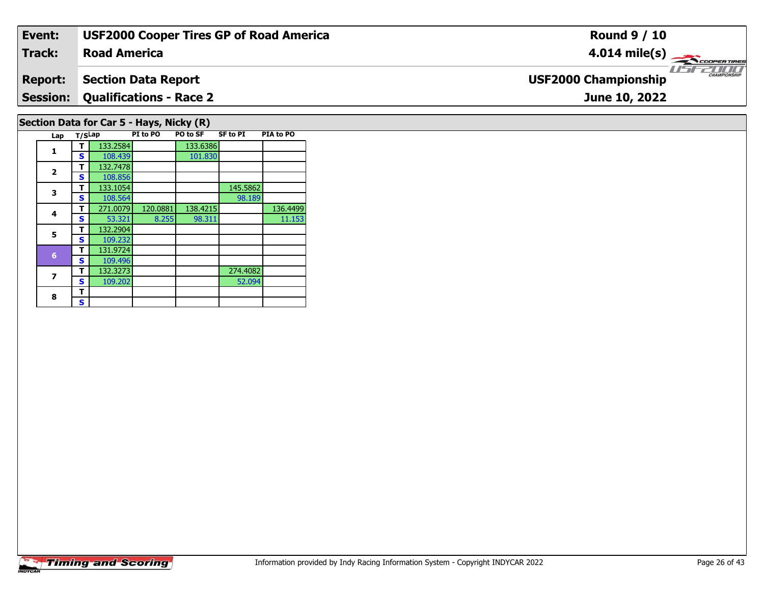| Event:          |                                          |          |                     |                 | <b>USF2000 Cooper Tires GP of Road America</b> | <b>Round 9 / 10</b>                         |
|-----------------|------------------------------------------|----------|---------------------|-----------------|------------------------------------------------|---------------------------------------------|
| <b>Track:</b>   | <b>Road America</b>                      |          |                     |                 |                                                | $4.014$ mile(s)<br><b>COOPERTIRES</b>       |
| <b>Report:</b>  | <b>Section Data Report</b>               |          |                     |                 |                                                | CHAMPIONSHIP<br><b>USF2000 Championship</b> |
| <b>Session:</b> | <b>Qualifications - Race 2</b>           |          |                     |                 |                                                | June 10, 2022                               |
|                 | Section Data for Car 5 - Hays, Nicky (R) |          |                     |                 |                                                |                                             |
|                 | Lap T/SLap                               | PI to PO | PO to SF            | <b>SF to PI</b> | PIA to PO                                      |                                             |
|                 | 133.2584<br>108.439<br><b>S</b>          |          | 133.6386<br>101.830 |                 |                                                |                                             |

**2**

**3**

**4**

**5**

**7**

8  $\frac{1}{s}$ 

 **<sup>T</sup>** 132.7478 **<sup>S</sup>** 108.856108.856<br>133.1054

**5 T** 132.2904<br>**S** 109.232

 **<sup>T</sup>** 131.9724 **<sup>S</sup>** 109.496132.3273

101.830

98.189

52.094

11.153

**T** 133.1054 145.5862<br> **S** 108.564 98.189

**T** 132.3273 274.4082<br>**S** 109.202 52.094

**4 T** 271.0079 120.0881 138.4215 136.4499<br>**S** 53.321 8.255 98.311 11.153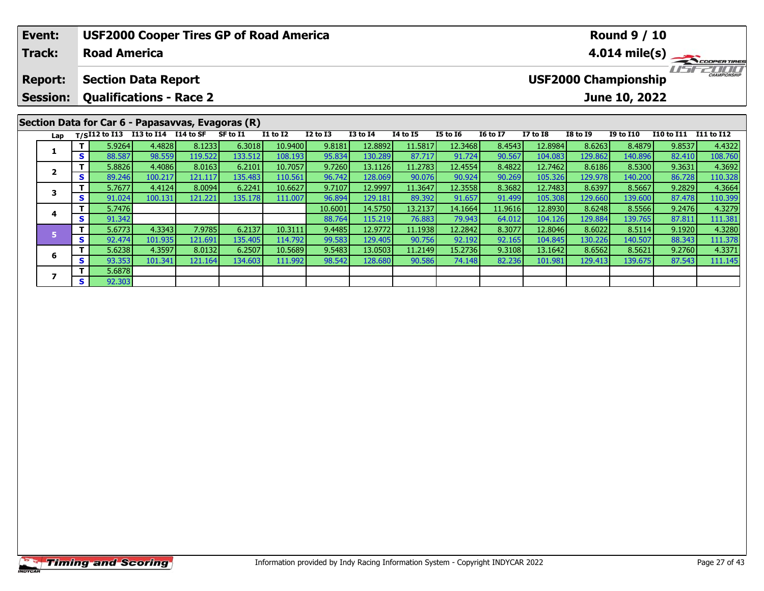|                                                                                                   | Event:                                            |    |                     | <b>USF2000 Cooper Tires GP of Road America</b>  |         |          |                 |              |                 |                 |                 |                 |                 |                             | <b>Round 9 / 10</b> |                   |                         |
|---------------------------------------------------------------------------------------------------|---------------------------------------------------|----|---------------------|-------------------------------------------------|---------|----------|-----------------|--------------|-----------------|-----------------|-----------------|-----------------|-----------------|-----------------------------|---------------------|-------------------|-------------------------|
|                                                                                                   | <b>Track:</b>                                     |    | <b>Road America</b> |                                                 |         |          |                 |              |                 |                 |                 |                 |                 |                             |                     |                   | $4.014 \text{ mile(s)}$ |
| <b>Section Data Report</b><br><b>Report:</b><br><b>Qualifications - Race 2</b><br><b>Session:</b> |                                                   |    |                     |                                                 |         |          |                 |              |                 |                 |                 |                 |                 | <b>USF2000 Championship</b> | June 10, 2022       |                   |                         |
|                                                                                                   | Section Data for Car 6 - Papasavvas, Evagoras (R) |    |                     | T/SI12 to I13 I13 to I14 $\overline{114}$ to SF |         | SF to I1 | <b>I1 to I2</b> | $I2$ to $I3$ | <b>I3 to I4</b> | <b>I4 to I5</b> | <b>I5 to 16</b> | <b>16 to 17</b> | <b>I7 to I8</b> | <b>I8 to I9</b>             | <b>I9 to I10</b>    | <b>I10 to I11</b> | I11 to I12              |
|                                                                                                   | Lap                                               |    |                     |                                                 |         |          |                 |              |                 |                 |                 |                 |                 |                             |                     |                   |                         |
|                                                                                                   |                                                   |    | 5.9264              | 4.4828                                          | 8.1233  | 6.3018   | 10.9400         | 9.8181       | 12.8892         | 11.5817         | 12.3468         | 8.4543          | 12.8984         | 8.6263                      | 8.4879              | 9.8537            | 4.4322                  |
|                                                                                                   |                                                   | S. | 88.587              | 98.559                                          | 119.522 | 133.512  | 108.193         | 95.834       | 130.289         | 87.717          | 91.724          | 90.567          | 104.083         | 129.862                     | 140.896             | 82.410            | 108.760                 |
|                                                                                                   | $\overline{\mathbf{z}}$                           |    | 5.8826              | 4.4086                                          | 8.0163  | 6.2101   | 10.7057         | 9.7260       | 13.1126         | 11.2783         | 12.4554         | 8.4822          | 12.7462         | 8.6186                      | 8.5300              | 9.3631            | 4.3692                  |
|                                                                                                   |                                                   | S. | 89.246              | 100.217                                         | 121.117 | 135.483  | 110.561         | 96.742       | 128.069         | 90.076          | 90.924          | 90.269          | 105.326         | 129.978                     | 140.200             | 86.728            | 110.328                 |
|                                                                                                   | 3                                                 |    | 5.7677              | 4.4124                                          | 8.0094  | 6.2241   | 10.6627         | 9.7107       | 12.9997         | 11.3647         | 12.3558         | 8.3682          | 12.7483         | 8.6397                      | 8.5667              | 9.2829            | 4.3664                  |
|                                                                                                   |                                                   | S. | 91.024              | 100.131                                         | 121.221 | 135.178  | 111.007         | 96.894       | 129.181         | 89.392          | 91.657          | 91.499          | 105.308         | 129.660                     | 139.600             | 87.478            | 110.399                 |
|                                                                                                   | 4                                                 |    | 5.7476              |                                                 |         |          |                 | 10.6001      | 14.5750         | 13.2137         | 14.1664         | 11.9616         | 12.8930         | 8.6248                      | 8.5566              | 9.2476            | 4.3279                  |
|                                                                                                   |                                                   | S. | 91.342              |                                                 |         |          |                 | 88.764       | 115.219         | 76.883          | 79.943          | 64.012          | 104.126         | 129.884                     | 139.765             | 87.811            | 111.381                 |
|                                                                                                   |                                                   | т  | 5.6773              | 4.3343                                          | 7.9785  | 6.2137   | 10.3111         | 9.4485       | 12.9772         | 11.1938         | 12.2842         | 8.3077          | 12.8046         | 8.6022                      | 8.5114              | 9.1920            | 4.3280                  |
|                                                                                                   | 5                                                 | S  | 92.474              | 101.935                                         | 121.691 | 135.405  | 114.792         | 99.583       | 129.405         | 90.756          | 92.192          | 92.165          | 104.845         | 130.226                     | 140.507             | 88.343            | 111.378                 |

6 | T | 5.6238| 4.3597| 8.0132| 6.2507| 10.5689| 9.5483| 13.0503| 11.2149| 15.2736| 9.3108| 13.1642| 8.6562| 8.5621| 9.2760| 4.3371<br>| S | 93.353| 101.341| 121.164| 134.603| 111.992| 98.542| 128.680| 90.586| 74.148| 82.236|

**6**

**7**

**7 S** 5.6878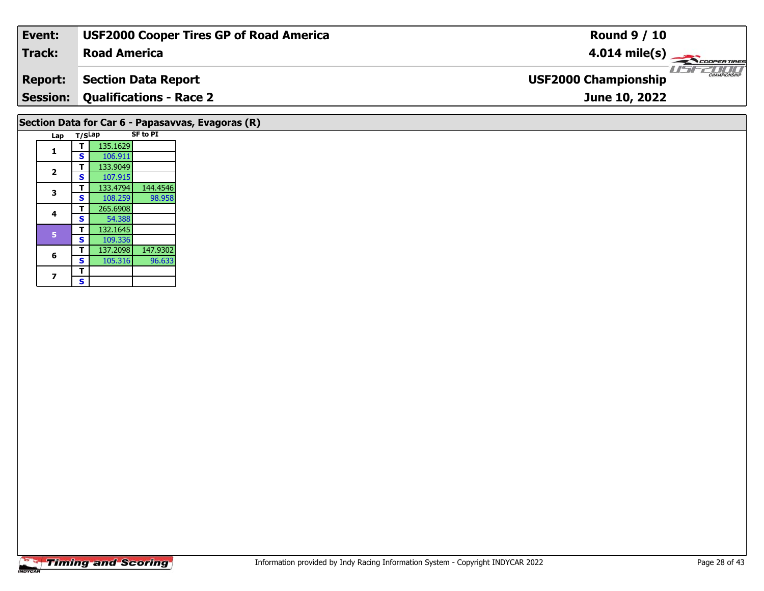| Event:         | <b>USF2000 Cooper Tires GP of Road America</b>    | <b>Round 9 / 10</b>                     |
|----------------|---------------------------------------------------|-----------------------------------------|
| Track:         | <b>Road America</b>                               | $4.014$ mile(s)<br><b>COOPERTIRES</b>   |
| <b>Report:</b> | <b>Section Data Report</b>                        | 77 M M M<br><b>USF2000 Championship</b> |
|                | <b>Session: Qualifications - Race 2</b>           | June 10, 2022                           |
|                | Section Data for Car 6 - Papasavvas, Evagoras (R) |                                         |
| Lap            | <b>SF to PI</b><br>T/SLap                         |                                         |
|                | 135.1629                                          |                                         |
|                | <b>S</b><br>106.911                               |                                         |
|                | 133.9049                                          |                                         |
| $\overline{2}$ | 107.915<br>S                                      |                                         |

**3**

**4**

**6**

**7**

 **<sup>T</sup>** 265.6908 **<sup>S</sup>** 54.38854.38

**<sup>T</sup>** 132.1645 **<sup>S</sup>** 109.336

 $\overline{\mathbf{T}}$  $\mathbf{s}$ 

**<sup>T</sup>** 133.4794 144.4546 **<sup>S</sup>** 108.259 98.958

**<sup>T</sup>** 137.2098 147.9302 **<sup>S</sup>** 105.316 96.633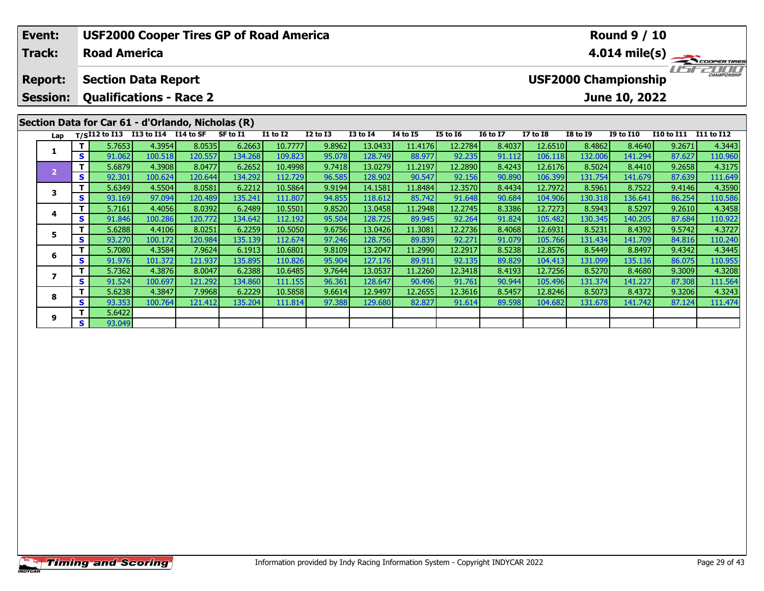| Event:          |          |                                    |                   |                                                   | <b>USF2000 Cooper Tires GP of Road America</b> |                    |                  |                    |                   |                                                    |                  | <b>Round 9 / 10</b>     |                   |                   |                  |                   |  |  |  |
|-----------------|----------|------------------------------------|-------------------|---------------------------------------------------|------------------------------------------------|--------------------|------------------|--------------------|-------------------|----------------------------------------------------|------------------|-------------------------|-------------------|-------------------|------------------|-------------------|--|--|--|
| <b>Track:</b>   |          | <b>Road America</b>                |                   |                                                   |                                                |                    |                  |                    |                   |                                                    |                  | $4.014 \text{ mile(s)}$ |                   |                   |                  |                   |  |  |  |
| <b>Report:</b>  |          | <b>Section Data Report</b>         |                   |                                                   |                                                |                    |                  |                    |                   | <b>CHAMPIONSHIP</b><br><b>USF2000 Championship</b> |                  |                         |                   |                   |                  |                   |  |  |  |
| <b>Session:</b> |          | <b>Qualifications - Race 2</b>     |                   |                                                   |                                                |                    |                  |                    |                   |                                                    |                  |                         |                   | June 10, 2022     |                  |                   |  |  |  |
|                 |          |                                    |                   | Section Data for Car 61 - d'Orlando, Nicholas (R) |                                                |                    |                  |                    |                   |                                                    |                  |                         |                   |                   |                  |                   |  |  |  |
| Lap             |          | T/SI12 to I13 I13 to I14 I14 to SF |                   |                                                   | SF to I1                                       | I1 to I2           | I2 to I3         | <b>I3 to I4</b>    | <b>I4 to I5</b>   | <b>I5 to 16</b>                                    | <b>16 to 17</b>  | <b>I7 to I8</b>         | <b>I8 to I9</b>   | <b>I9 to I10</b>  | I10 to I11       | <b>I11 to I12</b> |  |  |  |
|                 | Τ.<br>S. | 5.7653<br>91.062                   | 4.3954<br>100.518 | 8.0535<br>120.557                                 | 6.2663<br>134.268                              | 10.7777<br>109.823 | 9.8962<br>95.078 | 13.0433<br>128.749 | 11.4176<br>88.977 | 12.2784<br>92.235                                  | 8.4037<br>91.112 | 12.6510<br>106.118      | 8.4862<br>132.006 | 8.4640<br>141.294 | 9.2671<br>87.627 | 4.3443<br>110.960 |  |  |  |
|                 | Τ.       | 5.6879                             | 4.3908            | 8.0477                                            | 6.2652                                         | 10.4998            | 9.7418           | 13.0279            | 11.2197           | 12.2890                                            | 8.4243           | 12.6176                 | 8.5024            | 8.4410            | 9.2658           | 4.3175            |  |  |  |
| $\overline{2}$  | S.       | 92.301                             | 100.624           | 120.644                                           | 134.292                                        | 112.729            | 96.585           | 128.902            | 90.547            | 92.156                                             | 90.890           | 106.399                 | 131.754           | 141.679           | 87.639           | 111.649           |  |  |  |
| 3               | Τ.       | 5.6349                             | 4.5504            | 8.0581                                            | 6.2212                                         | 10.5864            | 9.9194           | 14.1581            | 11.8484           | 12.3570                                            | 8.4434           | 12.7972                 | 8.5961            | 8.7522            | 9.4146           | 4.3590            |  |  |  |
|                 | S.       | 93.169                             | 97.094            | 120.489                                           | 135.241                                        | 111.807            | 94.855           | 118.612            | 85.742            | 91.648                                             | 90.684           | 104.906                 | 130.318           | 136.641           | 86.254           | 110.586           |  |  |  |
| 4               | Τ.       | 5.7161                             | 4.4056            | 8.0392                                            | 6.2489                                         | 10.5501            | 9.8520           | 13.0458            | 11.2948           | 12.2745                                            | 8.3386           | 12.7273                 | 8.5943            | 8.5297            | 9.2610           | 4.3458            |  |  |  |
|                 | S.       | 91.846                             | 100.286           | 120.772                                           | 134.642                                        | 112.192            | 95.504           | 128.725            | 89.945            | 92.264                                             | 91.824           | 105.482                 | 130.345           | 140.205           | 87.684           | 110.922           |  |  |  |
| 5               | Τ.       | 5.6288                             | 4.4106            | 8.0251                                            | 6.2259                                         | 10.5050            | 9.6756           | 13.0426            | 11.3081           | 12.2736                                            | 8.4068           | 12.6931                 | 8.5231            | 8.4392            | 9.5742           | 4.3727            |  |  |  |
|                 | s l      | 93.270                             | 100.172           | 120.984                                           | 135.139                                        | 112.674            | 97.246           | 128.756            | 89.839            | 92.271                                             | 91.079           | 105.766                 | 131.434           | 141.709           | 84.816           | 110.240           |  |  |  |
| 6               | Τ.       | 5.7080                             | 4.3584            | 7.9624                                            | 6.1913                                         | 10.6801            | 9.8109           | 13.2047            | 11.2990           | 12.2917                                            | 8.5238           | 12.8576                 | 8.5449            | 8.8497            | 9.4342           | 4.3445            |  |  |  |
|                 | S.       | 91.976                             | 101.372           | 121.937                                           | 135.895                                        | 110.826            | 95.904           | 127.176            | 89.911            | 92.135                                             | 89.829           | 104.413                 | 131.099           | 135.136           | 86.075           | 110.955           |  |  |  |
| 7               | т.       | 5.7362                             | 4.3876            | 8.0047                                            | 6.2388                                         | 10.6485            | 9.7644           | 13.0537            | 11.2260           | 12.3418                                            | 8.4193           | 12.7256                 | 8.5270            | 8.4680            | 9.3009           | 4.3208            |  |  |  |
|                 | S.       | 91.524                             | 100.697           | 121.292                                           | 134.860                                        | 111.155            | 96.361           | 128.647            | 90.496            | 91.761                                             | 90.944           | 105.496                 | 131.374           | 141.227           | 87.308           | 111.564           |  |  |  |

8 T | 5.6238 4.3847 7.9968 6.2229 10.5858 9.6614 12.9497 12.2655 12.3616 8.5457 12.8246 8.5073 8.4372 9.3206 4.3243<br>8 S 93.353 100.764 121.412 135.204 111.814 97.388 129.680 82.827 91.614 89.598 104.682 131.678 141.742 87.

**8**

**9**

**<sup>T</sup>** 5.6422 **<sup>S</sup>** 93.049

111.564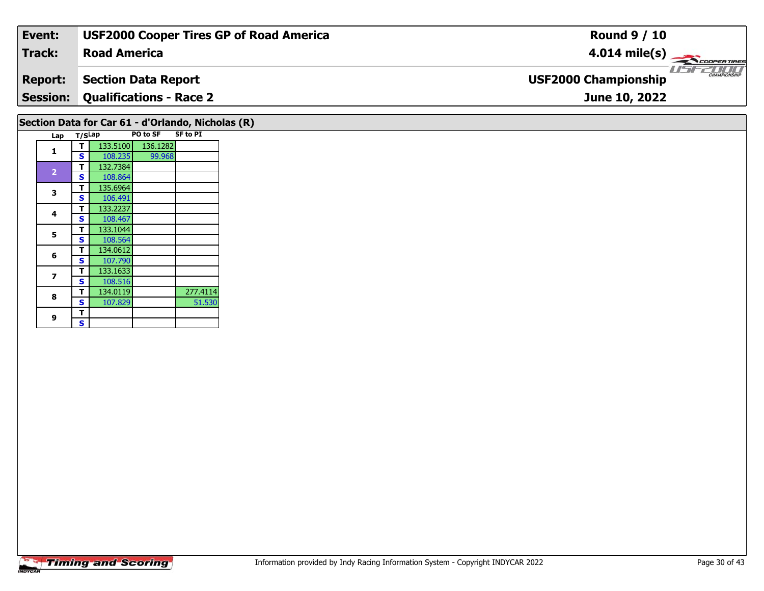| Event:                                            | <b>USF2000 Cooper Tires GP of Road America</b> | <b>Round 9 / 10</b>                                        |  |  |  |  |  |  |  |  |
|---------------------------------------------------|------------------------------------------------|------------------------------------------------------------|--|--|--|--|--|--|--|--|
| <b>Track:</b>                                     | <b>Road America</b>                            | $4.014 \text{ mile(s)}$                                    |  |  |  |  |  |  |  |  |
| <b>Report:</b>                                    | <b>Section Data Report</b>                     | 2000<br><b>CHAMPIONSHIP</b><br><b>USF2000 Championship</b> |  |  |  |  |  |  |  |  |
| <b>Session:</b>                                   | <b>Qualifications - Race 2</b>                 | June 10, 2022                                              |  |  |  |  |  |  |  |  |
| Section Data for Car 61 - d'Orlando, Nicholas (R) |                                                |                                                            |  |  |  |  |  |  |  |  |

| Lap                     | T/SLap |          | PO to SF | <b>SF to PI</b> |
|-------------------------|--------|----------|----------|-----------------|
|                         | т      | 133,5100 | 136.1282 |                 |
| 1                       | S      | 108.235  | 99.968   |                 |
|                         | т      | 132.7384 |          |                 |
| $\overline{\mathbf{2}}$ | S      | 108.864  |          |                 |
| 3                       | т      | 135.6964 |          |                 |
|                         | S      | 106.491  |          |                 |
| 4                       | т      | 133.2237 |          |                 |
|                         | S      | 108.467  |          |                 |
| 5                       | т      | 133.1044 |          |                 |
|                         | S      | 108.564  |          |                 |
| 6                       | т      | 134.0612 |          |                 |
|                         | S      | 107.790  |          |                 |
| 7                       | т      | 133.1633 |          |                 |
|                         | S      | 108.516  |          |                 |
| 8                       | т      | 134.0119 |          | 277.4114        |
|                         | S      | 107.829  |          | 51.530          |
| 9                       | т      |          |          |                 |
|                         | S      |          |          |                 |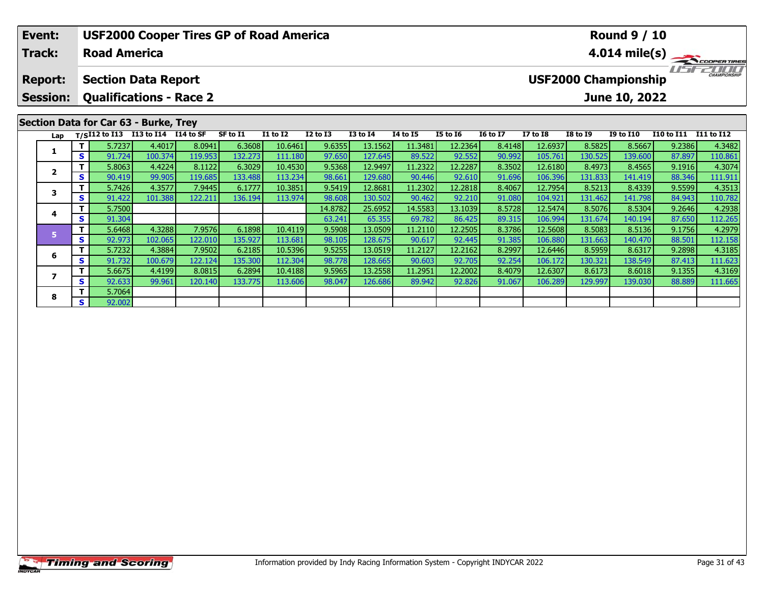|                                      | Event:                                       |                                |        | <b>USF2000 Cooper Tires GP of Road America</b>  |         |          |          | <b>Round 9 / 10</b> |                 |                 |                 |                         |                                                    |                 |                  |                   |                   |  |  |  |
|--------------------------------------|----------------------------------------------|--------------------------------|--------|-------------------------------------------------|---------|----------|----------|---------------------|-----------------|-----------------|-----------------|-------------------------|----------------------------------------------------|-----------------|------------------|-------------------|-------------------|--|--|--|
| <b>Road America</b><br><b>Track:</b> |                                              |                                |        |                                                 |         |          |          |                     |                 |                 |                 | $4.014 \text{ mile(s)}$ |                                                    |                 |                  |                   |                   |  |  |  |
|                                      | <b>Section Data Report</b><br><b>Report:</b> |                                |        |                                                 |         |          |          |                     |                 |                 |                 |                         | <b>CHAMPIONSHIP</b><br><b>USF2000 Championship</b> |                 |                  |                   |                   |  |  |  |
|                                      | <b>Session:</b>                              | <b>Qualifications - Race 2</b> |        |                                                 |         |          |          |                     |                 |                 |                 |                         |                                                    |                 | June 10, 2022    |                   |                   |  |  |  |
|                                      | Section Data for Car 63 - Burke, Trey        |                                |        |                                                 |         |          |          |                     |                 |                 |                 |                         |                                                    |                 |                  |                   |                   |  |  |  |
|                                      | Lap                                          |                                |        | T/SI12 to I13 I13 to I14 $\overline{114}$ to SF |         | SF to I1 | I1 to I2 | $I2$ to $I3$        | <b>I3 to I4</b> | <b>I4 to I5</b> | <b>I5 to 16</b> | <b>16 to 17</b>         | <b>I7 to I8</b>                                    | <b>I8 to I9</b> | <b>I9 to I10</b> | <b>I10 to I11</b> | <b>I11 to I12</b> |  |  |  |
|                                      |                                              |                                | 5.7237 | 4.4017                                          | 8.0941  | 6.3608   | 10.6461  | 9.6355              | 13.1562         | 11.3481         | 12.2364         | 8.4148                  | 12.6937                                            | 8.5825          | 8.5667           | 9.2386            | 4.3482            |  |  |  |
|                                      |                                              | S.                             | 91.724 | 100.374                                         | 119.953 | 132.273  | 111.180  | 97.650              | 127.645         | 89.522          | 92.552          | 90.992                  | 105.761                                            | 130.525         | 139.600          | 87.897            | 110.861           |  |  |  |
|                                      | $\overline{2}$                               |                                | 5.8063 | 4.4224                                          | 8.1122  | 6.3029   | 10.4530  | 9.5368              | 12.9497         | 11.2322         | 12.2287         | 8.3502                  | 12.6180                                            | 8.4973          | 8.4565           | 9.1916            | 4.3074            |  |  |  |
|                                      |                                              | S.                             | 90.419 | 99.905                                          | 119.685 | 133.488  | 113.234  | 98.661              | 129.680         | 90.446          | 92.610          | 91.696                  | 106.396                                            | 131.833         | 141.419          | 88.346            | 111.911           |  |  |  |
|                                      | 3                                            |                                | 5.7426 | 4.3577                                          | 7.9445  | 6.1777   | 10.3851  | 9.5419              | 12.8681         | 11.2302         | 12.2818         | 8.4067                  | 12.7954                                            | 8.5213          | 8.4339           | 9.5599            | 4.3513            |  |  |  |
|                                      |                                              | S.                             | 91.422 | 101.388                                         | 122.211 | 136.194  | 113.974  | 98.608              | 130.502         | 90.462          | 92.210          | 91.080                  | 104.921                                            | 131.462         | 141.798          | 84.943            | 110.782           |  |  |  |
|                                      | 4                                            |                                | 5.7500 |                                                 |         |          |          | 14.8782             | 25.6952         | 14.5583         | 13.1039         | 8.5728                  | 12.5474                                            | 8.5076          | 8.5304           | 9.2646            | 4.2938            |  |  |  |
|                                      |                                              | S.                             | 91.304 |                                                 |         |          |          | 63.241              | 65.355          | 69.782          | 86.425          | 89.315                  | 106.994                                            | 131.674         | 140.194          | 87.650            | 112.265           |  |  |  |
|                                      | 5                                            | т                              | 5.6468 | 4.3288                                          | 7.9576  | 6.1898   | 10.4119  | 9.5908              | 13.0509         | 11.2110         | 12.2505         | 8.3786                  | 12.5608                                            | 8.5083          | 8.5136           | 9.1756            | 4.2979            |  |  |  |
|                                      |                                              | S                              | 92.973 | 102.065                                         | 122.010 | 135.927  | 113.681  | 98.105              | 128.675         | 90.617          | 92.445          | 91.385                  | 106.880                                            | 131.663         | 140.470          | 88.501            | 112.158           |  |  |  |

**<sup>T</sup>** 5.7232 4.3884 7.9502 6.2185 10.5396 9.5255 13.0519 11.2127 12.2162 8.2997 12.6446 8.5959 8.6317 9.2898 4.3185 **<sup>S</sup>** 91.732 100.679 122.124 135.300 112.304 98.778 128.665 90.603 92.705 92.254 106.172 130.321 138.549 87.413 111.623

7 | T | 5.6675| 4.4199| 8.0815| 6.2894| 10.4188| 9.5965| 13.2558| 11.2951| 12.2002| 8.4079| 12.6307| 8.6173| 8.6018| 9.1355| 4.3169<br>7 | S | 92.633 | 99.961 120.140 133.775 113.606 | 98.047 126.686 | 89.942 | 92.826 | 91.06

**6**

**7**

**8**

**<sup>T</sup>** 5.7064 **<sup>S</sup>** 92.002

111.623<br>4.3169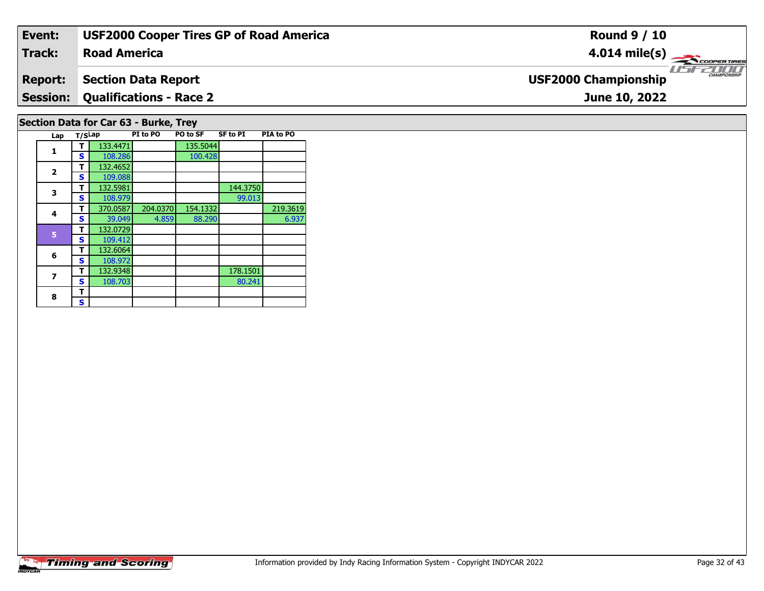| Event:                                | <b>USF2000 Cooper Tires GP of Road America</b> | <b>Round 9 / 10</b>                          |  |  |  |  |  |  |  |  |
|---------------------------------------|------------------------------------------------|----------------------------------------------|--|--|--|--|--|--|--|--|
| Track:                                | <b>Road America</b>                            | $4.014 \text{ mile(s)}$                      |  |  |  |  |  |  |  |  |
| <b>Report:</b>                        | <b>Section Data Report</b>                     | $\frac{1}{1}$<br><b>USF2000 Championship</b> |  |  |  |  |  |  |  |  |
| <b>Session:</b>                       | <b>Qualifications - Race 2</b>                 | June 10, 2022                                |  |  |  |  |  |  |  |  |
| Section Data for Car 63 - Burke, Trey |                                                |                                              |  |  |  |  |  |  |  |  |

**Lap T/SLap PI to PO PO to SF SF to PI PIA to PO** 

**<sup>T</sup>** 370.0587 204.0370 154.1332 219.3619 **<sup>S</sup>** 39.049 4.859 88.290 6.937

100.428

99.013

80.241

6.937

**T** 133.4471 135.5044<br> **S** 108.286 100.428

**T** 132.5981 144.3750<br> **S** 108.979 99.013

**T** 132.9348 178.1501 178.1501 **S** 108.703

**1**

**2**

**3**

**4**

**6**

**7**

8  $\frac{1}{s}$ 

 **<sup>T</sup>** 132.4652 **<sup>S</sup>** 109.088109.088<br>132.5981

**<sup>T</sup>** 132.0729 **<sup>S</sup>** 109.412

**<sup>T</sup>** 132.6064 **<sup>S</sup>** 108.972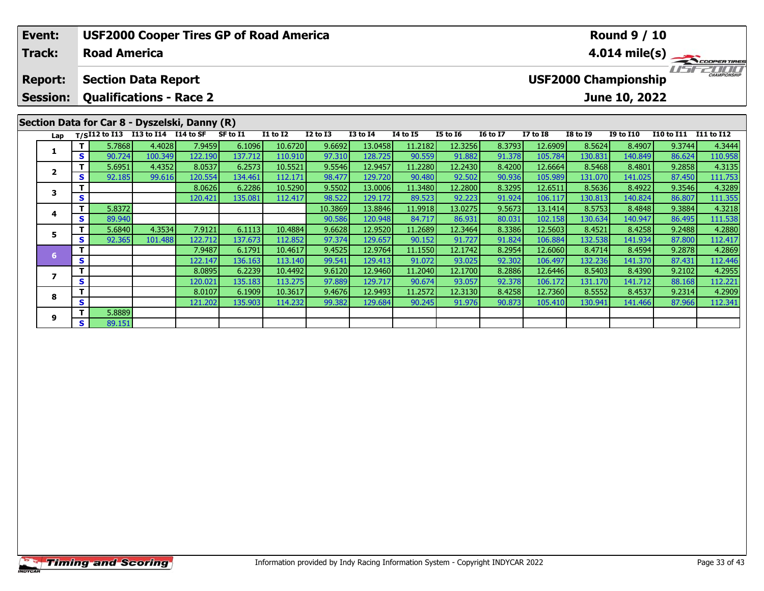|                                              | <b>USF2000 Cooper Tires GP of Road America</b><br><b>Round 9 / 10</b><br>Event:<br><b>Track:</b><br><b>Road America</b><br>$4.014 \text{ mile(s)}$ |                                                 |                                                                    |                      |         |          |          |                 |                 |                 |                             |                 |                     |                 |                  |                   |            |
|----------------------------------------------|----------------------------------------------------------------------------------------------------------------------------------------------------|-------------------------------------------------|--------------------------------------------------------------------|----------------------|---------|----------|----------|-----------------|-----------------|-----------------|-----------------------------|-----------------|---------------------|-----------------|------------------|-------------------|------------|
| <b>Section Data Report</b><br><b>Report:</b> |                                                                                                                                                    |                                                 |                                                                    |                      |         |          |          |                 |                 |                 | <b>USF2000 Championship</b> |                 | <b>CHAMPIONSHIP</b> |                 |                  |                   |            |
|                                              | <b>Session:</b>                                                                                                                                    | <b>Qualifications - Race 2</b><br>June 10, 2022 |                                                                    |                      |         |          |          |                 |                 |                 |                             |                 |                     |                 |                  |                   |            |
|                                              |                                                                                                                                                    |                                                 | Section Data for Car 8 - Dyszelski, Danny (R)<br>$T/SI12$ to $I13$ | I13 to I14 I14 to SF |         | SF to I1 | I1 to I2 | <b>I2 to I3</b> | <b>I3 to I4</b> | <b>I4 to I5</b> | <b>I5 to 16</b>             | <b>16 to 17</b> | <b>I7 to I8</b>     | <b>I8 to 19</b> | <b>I9 to I10</b> | <b>I10 to I11</b> | I11 to I12 |
|                                              | Lap                                                                                                                                                |                                                 | 5.7868                                                             | 4.4028               | 7.9459  | 6.1096   | 10.6720  | 9.6692          | 13.0458         | 11.2182         | 12.3256                     | 8.3793          | 12.6909             | 8.5624          | 8.4907           | 9.3744            | 4.3444     |
|                                              | 1                                                                                                                                                  | S.                                              | 90.724                                                             | 100.349              | 122.190 | 137.712  | 110.910  | 97.310          | 128.725         | 90.559          | 91.882                      | 91.378          | 105.784             | 130.831         | 140.849          | 86.624            | 110.958    |
|                                              | $\overline{\mathbf{2}}$                                                                                                                            |                                                 | 5.6951                                                             | 4.4352               | 8.0537  | 6.2573   | 10.5521  | 9.5546          | 12.9457         | 11.2280         | 12.2430                     | 8.4200          | 12.6664             | 8.5468          | 8.4801           | 9.2858            | 4.3135     |
|                                              |                                                                                                                                                    | S                                               | 92.185                                                             | 99.616               | 120.554 | 134.461  | 112.171  | 98.477          | 129.720         | 90.480          | 92.502                      | 90.936          | 105.989             | 131.070         | 141.025          | 87.450            | 111.753    |
|                                              | 3                                                                                                                                                  |                                                 |                                                                    |                      | 8.0626  | 6.2286   | 10.5290  | 9.5502          | 13.0006         | 11.3480         | 12.2800                     | 8.3295          | 12.6511             | 8.5636          | 8.4922           | 9.3546            | 4.3289     |
|                                              |                                                                                                                                                    | S                                               |                                                                    |                      | 120.421 | 135.081  | 112.417  | 98.522          | 129.172         | 89.523          | 92.223                      | 91.924          | 106.117             | 130.813         | 140.824          | 86.807            | 111.355    |
|                                              | 4                                                                                                                                                  |                                                 | 5.8372                                                             |                      |         |          |          | 10.3869         | 13.8846         | 11.9918         | 13.0275                     | 9.5673          | 13.1414             | 8.5753          | 8.4848           | 9.3884            | 4.3218     |
|                                              |                                                                                                                                                    | S                                               | 89.940                                                             |                      |         |          |          | 90.586          | 120.948         | 84.717          | 86.931                      | 80.031          | 102.158             | 130.634         | 140.947          | 86.495            | 111.538    |
|                                              | 5                                                                                                                                                  |                                                 | 5.6840                                                             | 4.3534               | 7.9121  | 6.1113   | 10.4884  | 9.6628          | 12.9520         | 11.2689         | 12.3464                     | 8.3386          | 12.5603             | 8.4521          | 8.4258           | 9.2488            | 4.2880     |
|                                              |                                                                                                                                                    | S                                               | 92.365                                                             | 101.488              | 122.712 | 137.673  | 112.852  | 97.374          | 129.657         | 90.152          | 91.727                      | 91.824          | 106.884             | 132.538         | 141.934          | 87.800            | 112.417    |
|                                              | 6                                                                                                                                                  |                                                 |                                                                    |                      | 7.9487  | 6.1791   | 10.4617  | 9.4525          | 12.9764         | 11.1550         | 12.1742                     | 8.2954          | 12.6060             | 8.4714          | 8.4594           | 9.2878            | 4.2869     |
|                                              |                                                                                                                                                    | S                                               |                                                                    |                      | 122.147 | 136.163  | 113.140  | 99.541          | 129.4131        | 91.072          | 93.025                      | 92.302          | 106.497             | 132.236         | 141.370          | 87.431            | 112.446    |

**<sup>T</sup>** 8.0895 6.2239 10.4492 9.6120 12.9460 11.2040 12.1700 8.2886 12.6446 8.5403 8.4390 9.2102 4.2955 **<sup>S</sup>** 120.021 135.183 113.275 97.889 129.717 90.674 93.057 92.378 106.172 131.170 141.712 88.168 112.221

**<sup>T</sup>** 8.0107 6.1909 10.3617 9.4676 12.9493 11.2572 12.3130 8.4258 12.7360 8.5552 8.4537 9.2314 4.2909 **<sup>S</sup>** 121.202 135.903 114.232 99.382 129.684 90.245 91.976 90.873 105.410 130.941 141.466 87.966 112.341

**7**

**8**

**9**

**<sup>T</sup>** 5.8889 **<sup>S</sup>** 89.151

4.2955

112.221<br>4.2909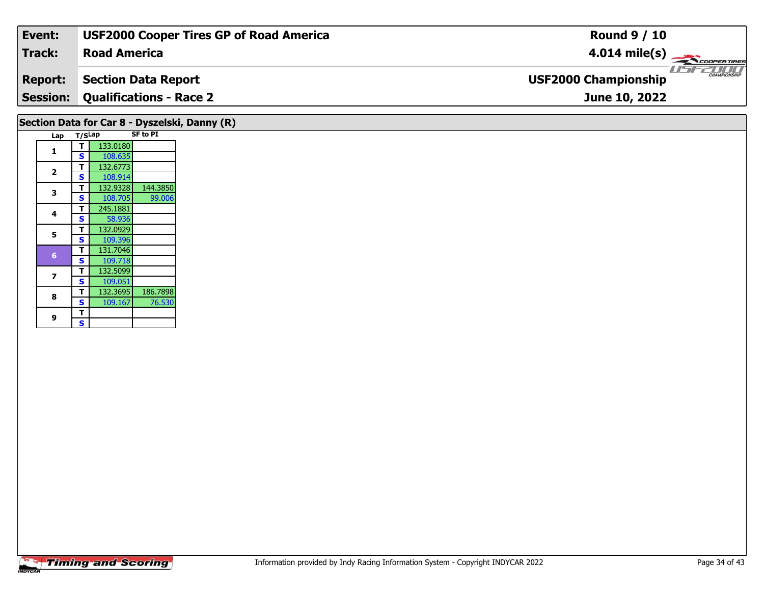| Event:                                        | <b>USF2000 Cooper Tires GP of Road America</b> | <b>Round 9 / 10</b>                    |  |  |  |  |  |  |  |  |  |
|-----------------------------------------------|------------------------------------------------|----------------------------------------|--|--|--|--|--|--|--|--|--|
| Track:                                        | <b>Road America</b>                            | $4.014 \text{ mile(s)}$                |  |  |  |  |  |  |  |  |  |
| <b>Report:</b>                                | <b>Section Data Report</b>                     | $L = E$<br><b>USF2000 Championship</b> |  |  |  |  |  |  |  |  |  |
|                                               | <b>Session: Qualifications - Race 2</b>        | June 10, 2022                          |  |  |  |  |  |  |  |  |  |
| Section Data for Car 8 - Dyszelski, Danny (R) |                                                |                                        |  |  |  |  |  |  |  |  |  |

|     |        |          | <b>SF to PI</b> |  |  |  |
|-----|--------|----------|-----------------|--|--|--|
| Lap | T/SLap |          |                 |  |  |  |
| 1   | т      | 133.0180 |                 |  |  |  |
|     | S      | 108.635  |                 |  |  |  |
| 2   | т      | 132.6773 |                 |  |  |  |
|     | S      | 108.914  |                 |  |  |  |
| 3   | T      | 132.9328 | 144.3850        |  |  |  |
|     | S      | 108.705  | 99.006          |  |  |  |
| 4   | т      | 245.1881 |                 |  |  |  |
|     | S      | 58.936   |                 |  |  |  |
| 5   | т      | 132.0929 |                 |  |  |  |
|     | S      | 109.396  |                 |  |  |  |
| 6   | т      | 131.7046 |                 |  |  |  |
|     | S      | 109.718  |                 |  |  |  |
| 7   | т      | 132.5099 |                 |  |  |  |
|     | S      | 109.051  |                 |  |  |  |
| 8   | т      | 132.3695 | 186.7898        |  |  |  |
|     | S      | 109.167  | 76.530          |  |  |  |
|     | т      |          |                 |  |  |  |
| 9   | S      |          |                 |  |  |  |
|     |        |          |                 |  |  |  |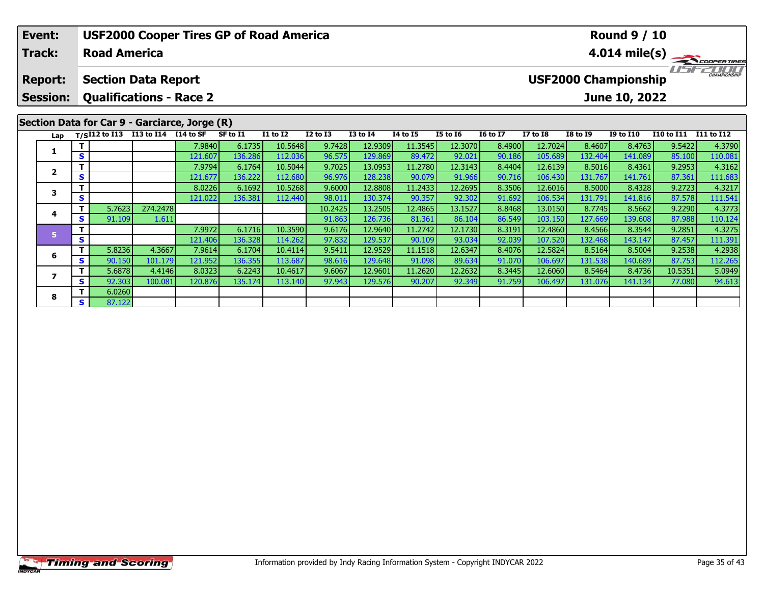| Event:                            | <b>USF2000 Cooper Tires GP of Road America</b><br><b>Round 9 / 10</b> |                                                                                                              |                                               |         |          |                 |                 |                 |                 |                 |                 |                 |                 |                  |                   |                   |  |  |
|-----------------------------------|-----------------------------------------------------------------------|--------------------------------------------------------------------------------------------------------------|-----------------------------------------------|---------|----------|-----------------|-----------------|-----------------|-----------------|-----------------|-----------------|-----------------|-----------------|------------------|-------------------|-------------------|--|--|
| <b>Track:</b>                     |                                                                       | <b>Road America</b>                                                                                          |                                               |         |          |                 |                 |                 |                 |                 |                 | 4.014 mile(s)   |                 |                  |                   |                   |  |  |
| <b>Report:</b><br><b>Session:</b> |                                                                       | <b>USF2000 Championship</b><br><b>Section Data Report</b><br><b>Qualifications - Race 2</b><br>June 10, 2022 |                                               |         |          |                 |                 |                 |                 |                 |                 |                 |                 |                  |                   |                   |  |  |
|                                   |                                                                       |                                                                                                              | Section Data for Car 9 - Garciarce, Jorge (R) |         |          |                 |                 |                 |                 |                 |                 |                 |                 |                  |                   |                   |  |  |
| Lap                               |                                                                       | $T/SI12$ to $I13$                                                                                            | I13 to I14 I14 to SF                          |         | SF to I1 | <b>I1 to I2</b> | <b>I2 to I3</b> | <b>I3 to I4</b> | <b>I4 to I5</b> | <b>I5 to 16</b> | <b>16 to 17</b> | <b>I7 to I8</b> | <b>I8 to I9</b> | <b>I9 to I10</b> | <b>I10 to I11</b> | <b>I11 to I12</b> |  |  |
| 1                                 |                                                                       |                                                                                                              |                                               | 7.9840  | 6.1735   | 10.5648         | 9.7428          | 12.9309         | 11.3545         | 12.3070         | 8.4900          | 12.7024         | 8.4607          | 8.4763           | 9.5422            | 4.3790            |  |  |
|                                   | S                                                                     |                                                                                                              |                                               | 121.607 | 136.286  | 112.036         | 96.575          | 129.869         | 89.472          | 92.021          | 90.186          | 105.689         | 132.404         | 141.089          | 85.100            | 110.081           |  |  |
| $\overline{\mathbf{2}}$           |                                                                       |                                                                                                              |                                               | 7.9794  | 6.1764   | 10.5044         | 9.7025          | 13.0953         | 11.2780         | 12.3143         | 8.4404          | 12.6139         | 8.5016          | 8.4361           | 9.2953            | 4.3162            |  |  |
|                                   | S                                                                     |                                                                                                              |                                               | 121.677 | 136.222  | 112.680         | 96.976          | 128.238         | 90.079          | 91.966          | 90.716          | 106.430         | 131.767         | 141.761          | 87.361            | 111.683           |  |  |
| 3                                 |                                                                       |                                                                                                              |                                               | 8.0226  | 6.1692   | 10.5268         | 9.6000          | 12.8808         | 11.2433         | 12.2695         | 8.3506          | 12.6016         | 8.5000          | 8.4328           | 9.2723            | 4.3217            |  |  |
|                                   | S                                                                     |                                                                                                              |                                               | 121.022 | 136.381  | 112.440         | 98.011          | 130.374         | 90.357          | 92.302          | 91.692          | 106.534         | 131.791         | 141.816          | 87.578            | 111.541           |  |  |
| 4                                 |                                                                       | 5.7623                                                                                                       | 274.2478                                      |         |          |                 | 10.2425         | 13.2505         | 12.4865         | 13.1527         | 8.8468          | 13.0150         | 8.7745          | 8.5662           | 9.2290            | 4.3773            |  |  |
|                                   | S.                                                                    | 91.109                                                                                                       | 1.611                                         |         |          |                 | 91.863          | 126.736         | 81.361          | 86.104          | 86.549          | 103.150         | 127.669         | 139.608          | 87.988            | 110.124           |  |  |
| 5                                 |                                                                       |                                                                                                              |                                               | 7.9972  | 6.1716   | 10.3590         | 9.6176          | 12.9640         | 11.2742         | 12.1730         | 8.3191          | 12.4860         | 8.4566          | 8.3544           | 9.2851            | 4.3275            |  |  |
|                                   | S                                                                     |                                                                                                              |                                               | 121.406 | 136.328  | 114.262         | 97.832          | 129.537         | 90.109          | 93.034          | 92.039          | 107.520         | 132.468         | 143.147          | 87.457            | 111.391           |  |  |

6 | T | 5.8236| 4.3667| 7.9614| 6.1704| 10.4114| 9.5411| 12.9529| 11.1518| 12.6347| 8.4076| 12.5824| 8.5164| 8.5004| 9.2538| 4.2938<br>| S | 90.150| 101.179| 121.952| 136.355| 113.687| 98.616| 129.648| 91.098| 89.634| 91.070|

7 | T | 5.6878| 4.4146| 8.0323| 6.2243| 10.4617| 9.6067| 12.9601| 11.2620| 12.2632| 8.3445| 12.6060| 8.5464| 8.4736| 10.5351| 5.0949<br>7 | S | 92.303 100.081 120.876 135.174 113.140 97.943 129.576 90.207 92.349 91.759 106.49

**6**

**7**

**8**

**<sup>T</sup>** 6.0260 **<sup>S</sup>** 87.122

4.2938

112.265<br>5.0949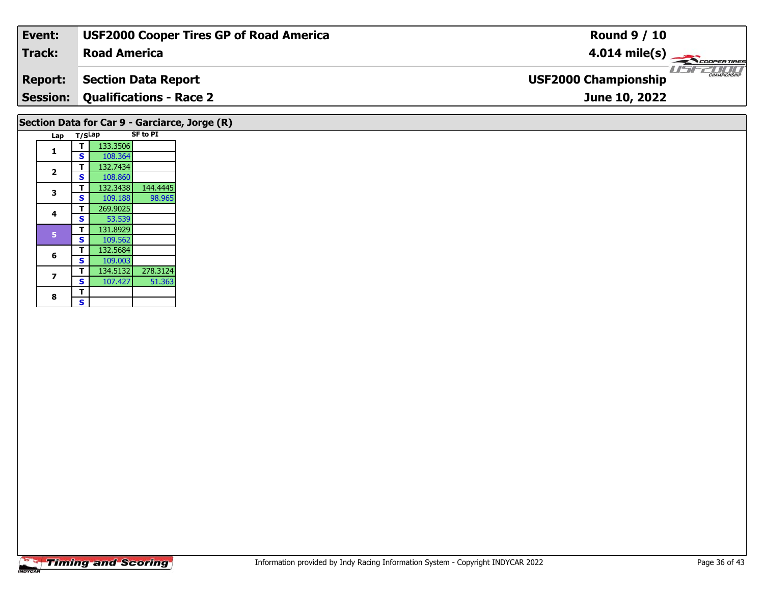| Event:                                        | <b>USF2000 Cooper Tires GP of Road America</b> | <b>Round 9 / 10</b>                                      |  |  |  |  |  |  |  |  |  |
|-----------------------------------------------|------------------------------------------------|----------------------------------------------------------|--|--|--|--|--|--|--|--|--|
| Track:                                        | <b>Road America</b>                            | $4.014 \text{ mile(s)}$                                  |  |  |  |  |  |  |  |  |  |
| <b>Report:</b>                                | <b>Section Data Report</b>                     | <b>LISTER MANPIONSHIP</b><br><b>USF2000 Championship</b> |  |  |  |  |  |  |  |  |  |
|                                               | <b>Session: Qualifications - Race 2</b>        | June 10, 2022                                            |  |  |  |  |  |  |  |  |  |
| Section Data for Car 9 - Garciarce, Jorge (R) |                                                |                                                          |  |  |  |  |  |  |  |  |  |

| Lap            | T/SLap |          | <b>SF to PI</b> |  |  |
|----------------|--------|----------|-----------------|--|--|
| 1              | т      | 133.3506 |                 |  |  |
|                | S      | 108.364  |                 |  |  |
| $\overline{2}$ | т      | 132.7434 |                 |  |  |
|                | S      | 108.860  |                 |  |  |
| 3              | т      | 132.3438 | 144.4445        |  |  |
|                | S      | 109.188  | 98.965          |  |  |
| 4              | т      | 269.9025 |                 |  |  |
|                | S      | 53.539   |                 |  |  |
| 5              | т      | 131.8929 |                 |  |  |
|                | S      | 109.562  |                 |  |  |
| 6              | т      | 132.5684 |                 |  |  |
|                | S      | 109.003  |                 |  |  |
| 7              | т      | 134.5132 | 278.3124        |  |  |
|                | S      | 107.427  | 51.363          |  |  |
| 8              | т      |          |                 |  |  |
|                | S      |          |                 |  |  |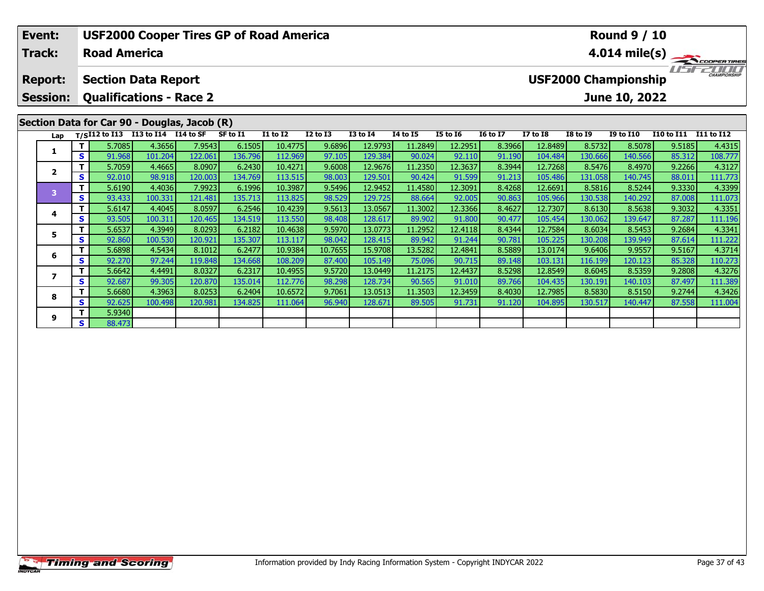| Event:                                       |                                                 |          |                  |                                    |                   | <b>USF2000 Cooper Tires GP of Road America</b> |                    |                                                                                                                                                                                                                                                                                                                                                                                                                                                                | <b>Round 9 / 10</b> |                   |                   |                         |                    |                   |                   |                   |                   |
|----------------------------------------------|-------------------------------------------------|----------|------------------|------------------------------------|-------------------|------------------------------------------------|--------------------|----------------------------------------------------------------------------------------------------------------------------------------------------------------------------------------------------------------------------------------------------------------------------------------------------------------------------------------------------------------------------------------------------------------------------------------------------------------|---------------------|-------------------|-------------------|-------------------------|--------------------|-------------------|-------------------|-------------------|-------------------|
| <b>Track:</b>                                |                                                 |          |                  | <b>Road America</b>                |                   |                                                |                    |                                                                                                                                                                                                                                                                                                                                                                                                                                                                |                     |                   |                   | $4.014 \text{ mile(s)}$ |                    |                   |                   |                   |                   |
| <b>Report:</b>                               |                                                 |          |                  | <b>Section Data Report</b>         |                   |                                                |                    | $\frac{1}{\sqrt{1-\frac{1}{2}}}\frac{1}{\sqrt{1-\frac{1}{2}}}\frac{1}{\sqrt{1-\frac{1}{2}}}\frac{1}{\sqrt{1-\frac{1}{2}}}\frac{1}{\sqrt{1-\frac{1}{2}}}\frac{1}{\sqrt{1-\frac{1}{2}}}\frac{1}{\sqrt{1-\frac{1}{2}}}\frac{1}{\sqrt{1-\frac{1}{2}}}\frac{1}{\sqrt{1-\frac{1}{2}}}\frac{1}{\sqrt{1-\frac{1}{2}}}\frac{1}{\sqrt{1-\frac{1}{2}}}\frac{1}{\sqrt{1-\frac{1}{2}}}\frac{1}{\sqrt{1-\frac{1}{2}}}\frac{1}{\sqrt{1-\frac{$<br><b>USF2000 Championship</b> |                     |                   |                   |                         |                    |                   |                   |                   |                   |
| <b>Session:</b>                              | <b>Qualifications - Race 2</b><br>June 10, 2022 |          |                  |                                    |                   |                                                |                    |                                                                                                                                                                                                                                                                                                                                                                                                                                                                |                     |                   |                   |                         |                    |                   |                   |                   |                   |
| Section Data for Car 90 - Douglas, Jacob (R) |                                                 |          |                  |                                    |                   |                                                |                    |                                                                                                                                                                                                                                                                                                                                                                                                                                                                |                     |                   |                   |                         |                    |                   |                   |                   |                   |
|                                              | Lap                                             |          |                  | T/SI12 to I13 I13 to I14 I14 to SF |                   | SF to I1                                       | <b>I1 to I2</b>    | <b>I2 to I3</b>                                                                                                                                                                                                                                                                                                                                                                                                                                                | <b>I3 to I4</b>     | <b>14 to 15</b>   | <b>I5 to 16</b>   | <b>16 to 17</b>         | <b>I7 to I8</b>    | <b>I8 to I9</b>   | <b>I9 to I10</b>  | <b>I10 to I11</b> | I11 to I12        |
|                                              |                                                 | Τ.<br>S. | 5.7085<br>91.968 | 4.3656<br>101.204                  | 7.9543<br>122.061 | 6.1505<br>136.796                              | 10.4775<br>112.969 | 9.6896<br>97.105                                                                                                                                                                                                                                                                                                                                                                                                                                               | 12.9793<br>129.384  | 11.2849<br>90.024 | 12.2951<br>92.110 | 8.3966<br>91.190        | 12.8489<br>104.484 | 8.5732<br>130.666 | 8.5078<br>140.566 | 9.5185<br>85.312  | 4.4315<br>108.777 |
|                                              |                                                 | Τ.       | 5.7059           | 4.4665                             | 8.0907            | 6.2430                                         | 10.4271            | 9.6008                                                                                                                                                                                                                                                                                                                                                                                                                                                         | 12.9676             | 11.2350           | 12.3637           | 8.3944                  | 12.7268            | 8.5476            | 8.4970            | 9.2266            | 4.3127            |
|                                              | $\overline{2}$                                  | S.       | 92.010           | 98.918                             | 120.003           | 134.769                                        | 113.515            | 98.003                                                                                                                                                                                                                                                                                                                                                                                                                                                         | 129.501             | 90.424            | 91.599            | 91.213                  | 105.486            | 131.058           | 140.745           | 88.011            | 111.773           |
|                                              | 3                                               | T.       | 5.6190           | 4.4036                             | 7.9923            | 6.1996                                         | 10.3987            | 9.5496                                                                                                                                                                                                                                                                                                                                                                                                                                                         | 12.9452             | 11.4580           | 12.3091           | 8.4268                  | 12.6691            | 8.5816            | 8.5244            | 9.3330            | 4.3399            |
|                                              |                                                 | S.       | 93.433           | 100.331                            | 121.481           | 135.713                                        | 113.825            | 98.529                                                                                                                                                                                                                                                                                                                                                                                                                                                         | 129.725             | 88.664            | 92.005            | 90.863                  | 105.966            | 130.538           | 140.292           | 87.008            | 111.073           |
|                                              | 4                                               | Τ.       | 5.6147           | 4.4045                             | 8.0597            | 6.2546                                         | 10.4239            | 9.5613                                                                                                                                                                                                                                                                                                                                                                                                                                                         | 13.0567             | 11.3002           | 12.3366           | 8.4627                  | 12.7307            | 8.6130            | 8.5638            | 9.3032            | 4.3351            |
|                                              |                                                 | S.       | 93.505           | 100.311                            | 120.465           | 134.519                                        | 113.550            | 98.408                                                                                                                                                                                                                                                                                                                                                                                                                                                         | 128.617             | 89.902            | 91.800            | 90.477                  | 105.454            | 130.062           | 139.647           | 87.287            | 111.196           |
|                                              | 5                                               | Τ.       | 5.6537           | 4.3949                             | 8.0293            | 6.2182                                         | 10.4638            | 9.5970                                                                                                                                                                                                                                                                                                                                                                                                                                                         | 13.0773             | 11.2952           | 12.4118           | 8.4344                  | 12.7584            | 8.6034            | 8.5453            | 9.2684            | 4.3341            |
|                                              |                                                 | <b>S</b> | 92.860           | 100.530                            | 120.921           | 135.307                                        | 113.117            | 98.042                                                                                                                                                                                                                                                                                                                                                                                                                                                         | 128.415             | 89.942            | 91.244            | 90.781                  | 105.225            | 130.208           | 139.949           | 87.614            | 111.222           |
| 6                                            |                                                 | Τ.       | 5.6898           | 4.5434                             | 8.1012            | 6.2477                                         | 10.9384            | 10.7655                                                                                                                                                                                                                                                                                                                                                                                                                                                        | 15.9708             | 13.5282           | 12.4841           | 8.5889                  | 13.0174            | 9.6406            | 9.9557            | 9.5167            | 4.3714            |
|                                              |                                                 | S.       | 92.270           | 97.244                             | 119.848           | 134.668                                        | 108.209            | 87.400                                                                                                                                                                                                                                                                                                                                                                                                                                                         | 105.149             | 75.096            | 90.715            | 89.148                  | 103.131            | 116.199           | 120.123           | 85.328            | 110.273           |
|                                              | 7                                               | т<br>S.  | 5.6642<br>92.687 | 4.4491<br>99.305                   | 8.0327<br>120.870 | 6.2317<br>135.014                              | 10.4955<br>112.776 | 9.5720<br>98.298                                                                                                                                                                                                                                                                                                                                                                                                                                               | 13.0449<br>128.734  | 11.2175<br>90.565 | 12.4437<br>91.010 | 8.5298<br>89.766        | 12.8549<br>104.435 | 8.6045<br>130.191 | 8.5359<br>140.103 | 9.2808<br>87.497  | 4.3276<br>111.389 |

8 T | 5.6680 4.3963 8.0253 6.2404 10.6572 9.7061 13.0513 11.3503 12.3459 8.4030 12.7985 8.5830 8.5150 9.2744 4.3426<br>- S 92.625 100.498 120.981 134.825 111.064 96.940 128.671 89.505 91.731 91.120 104.895 130.517 140.447 87.

**8**

**9**

**<sup>T</sup>** 5.9340 **<sup>S</sup>** 88.473

111.389<br>4.3426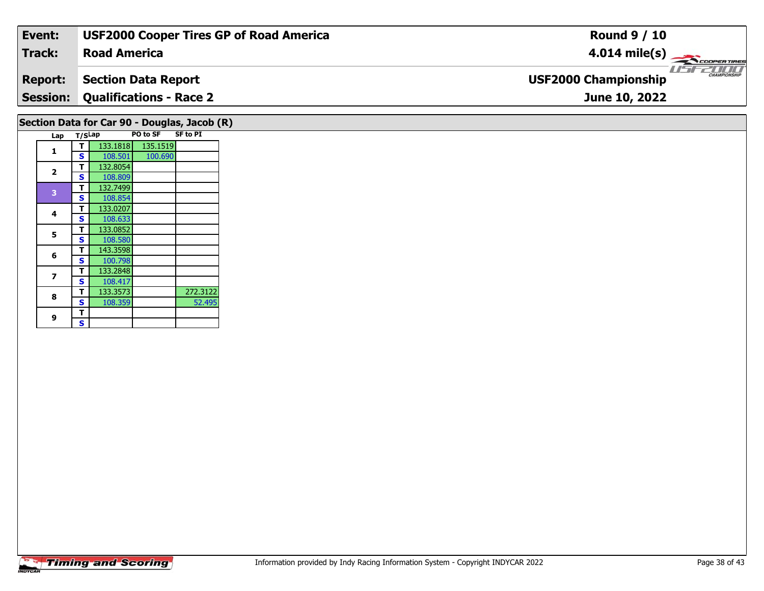| Event:                                       | <b>USF2000 Cooper Tires GP of Road America</b> | <b>Round 9 / 10</b>                                |  |  |  |  |  |  |
|----------------------------------------------|------------------------------------------------|----------------------------------------------------|--|--|--|--|--|--|
| Track:                                       | <b>Road America</b>                            | $4.014 \text{ mile(s)}$                            |  |  |  |  |  |  |
| <b>Report:</b>                               | <b>Section Data Report</b>                     | <b>CHAMPIONSHIP</b><br><b>USF2000 Championship</b> |  |  |  |  |  |  |
|                                              | <b>Session: Qualifications - Race 2</b>        | June 10, 2022                                      |  |  |  |  |  |  |
| Section Data for Car 90 - Douglas, Jacob (R) |                                                |                                                    |  |  |  |  |  |  |

|  |                         | s | 108.501  | 100.690 |          |
|--|-------------------------|---|----------|---------|----------|
|  | $\overline{\mathbf{2}}$ | т | 132.8054 |         |          |
|  |                         | S | 108.809  |         |          |
|  | 3                       | т | 132.7499 |         |          |
|  |                         | S | 108.854  |         |          |
|  |                         | т | 133.0207 |         |          |
|  | 4                       | S | 108.633  |         |          |
|  | 5                       | т | 133.0852 |         |          |
|  |                         | S | 108.580  |         |          |
|  | 6                       | т | 143.3598 |         |          |
|  |                         | S | 100.798  |         |          |
|  | 7                       | т | 133.2848 |         |          |
|  |                         | S | 108.417  |         |          |
|  | 8                       | т | 133.3573 |         | 272.3122 |
|  |                         | S | 108.359  |         | 52.495   |
|  |                         | т |          |         |          |
|  | 9                       | S |          |         |          |

**Lap T/SLap PO to SF SF to PI** 

**T** 133.1818 135.1519

**1**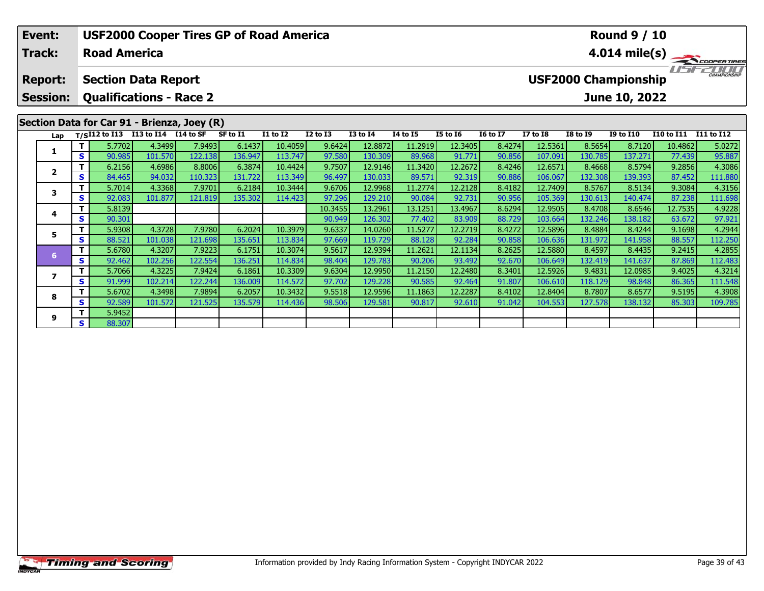| Event:                                      |                                                 |                                    |         |         |          | <b>USF2000 Cooper Tires GP of Road America</b> |                 |                 | <b>Round 9 / 10</b> |                         |                 |                 |                 |                             |                       |         |
|---------------------------------------------|-------------------------------------------------|------------------------------------|---------|---------|----------|------------------------------------------------|-----------------|-----------------|---------------------|-------------------------|-----------------|-----------------|-----------------|-----------------------------|-----------------------|---------|
| <b>Track:</b>                               |                                                 | <b>Road America</b>                |         |         |          |                                                |                 |                 |                     | $4.014 \text{ mile(s)}$ |                 |                 |                 |                             |                       |         |
| <b>Report:</b>                              |                                                 | <b>Section Data Report</b>         |         |         |          |                                                |                 |                 |                     |                         |                 |                 |                 | <b>USF2000 Championship</b> |                       |         |
| <b>Session:</b>                             | <b>Qualifications - Race 2</b><br>June 10, 2022 |                                    |         |         |          |                                                |                 |                 |                     |                         |                 |                 |                 |                             |                       |         |
| Section Data for Car 91 - Brienza, Joey (R) |                                                 |                                    |         |         |          |                                                |                 |                 |                     |                         |                 |                 |                 |                             |                       |         |
| Lap                                         |                                                 | T/SI12 to I13 I13 to I14 I14 to SF |         |         | SF to I1 | <b>I1 to I2</b>                                | <b>I2 to I3</b> | <b>I3 to I4</b> | <b>I4 to I5</b>     | <b>I5 to 16</b>         | <b>16 to 17</b> | <b>I7 to I8</b> | <b>I8 to 19</b> | <b>I9 to I10</b>            | I10 to I11 I11 to I12 |         |
|                                             |                                                 | 5.7702                             | 4.3499  | 7.9493  | 6.1437   | 10.4059                                        | 9.6424          | 12.8872         | 11.2919             | 12.3405                 | 8.4274          | 12.5361         | 8.5654          | 8.7120                      | 10.4862               | 5.0272  |
|                                             | S.                                              | 90.985                             | 101.570 | 122.138 | 136.947  | 113.747                                        | 97.580          | 130.309         | 89.968              | 91.771                  | 90.856          | 107.091         | 130.785         | 137.271                     | 77.439                | 95.887  |
| $\overline{2}$                              | Τ.                                              | 6.2156                             | 4.6986  | 8.8006  | 6.3874   | 10.4424                                        | 9.7507          | 12.9146         | 11.3420             | 12.2672                 | 8.4246          | 12.6571         | 8.4668          | 8.5794                      | 9.2856                | 4.3086  |
|                                             | S.                                              | 84.465                             | 94.032  | 110.323 | 131.722  | 113.349                                        | 96.497          | 130.033         | 89.571              | 92.319                  | 90.886          | 106.067         | 132.308         | 139.393                     | 87.452                | 111.880 |
| 3                                           | Τ                                               | 5.7014                             | 4.3368  | 7.9701  | 6.2184   | 10.3444                                        | 9.6706          | 12.9968         | 11.2774             | 12.2128                 | 8.4182          | 12.7409         | 8.5767          | 8.5134                      | 9.3084                | 4.3156  |
|                                             | S.                                              | 92.083                             | 101.877 | 121.819 | 135.302  | 114.423                                        | 97.296          | 129.210         | 90.084              | 92.731                  | 90.956          | 105.369         | 130.613         | 140.474                     | 87.238                | 111.698 |
| 4                                           | Τ.                                              | 5.8139                             |         |         |          |                                                | 10.3455         | 13.2961         | 13.1251             | 13.4967                 | 8.6294          | 12.9505         | 8.4708          | 8.6546                      | 12.7535               | 4.9228  |
|                                             | S.                                              | 90.301                             |         |         |          |                                                | 90.949          | 126.302         | 77.402              | 83.909                  | 88.729          | 103.664         | 132.246         | 138.182                     | 63.672                | 97.921  |
| 5                                           | т                                               | 5.9308                             | 4.3728  | 7.9780  | 6.2024   | 10.3979                                        | 9.6337          | 14.0260         | 11.5277             | 12.2719                 | 8.4272          | 12.5896         | 8.4884          | 8.4244                      | 9.1698                | 4.2944  |
|                                             | S.                                              | 88.521                             | 101.038 | 121.698 | 135.651  | 113.834                                        | 97.669          | 119.729         | 88.128              | 92.284                  | 90.858          | 106.636         | 131.972         | 141.958                     | 88.557                | 112.250 |
| 6 <sup>1</sup>                              |                                                 | 5.6780                             | 4.3207  | 7.9223  | 6.1751   | 10.3074                                        | 9.5617          | 12.9394         | 11.2621             | 12.1134                 | 8.2625          | 12.5880         | 8.4597          | 8.4435                      | 9.2415                | 4.2855  |
|                                             | S.                                              | 92.462                             | 102.256 | 122.554 | 136.251  | 114.834                                        | 98.404          | 129.783         | 90.206              | 93.492                  | 92.670          | 106.649         | 132.419         | 141.637                     | 87.869                | 112.483 |
| 7                                           | Τ.                                              | 5.7066                             | 4.3225  | 7.9424  | 6.1861   | 10.3309                                        | 9.6304          | 12.9950         | 11.2150             | 12.2480                 | 8.3401          | 12.5926         | 9.4831          | 12.0985                     | 9.4025                | 4.3214  |
|                                             | S.                                              | 91.999                             | 102.214 | 122.244 | 136.009  | 114.572                                        | 97.702          | 129.228         | 90.585              | 92.464                  | 91.807          | 106.610         | 118.129         | 98.848                      | 86.365                | 111.548 |
| $\overline{\phantom{a}}$                    | T                                               | 5.6702                             | 4.3498  | 7.9894  | 6.2057   | 10.3432                                        | 9.5518          | 12.9596         | 11.1863             | 12.2287                 | 8.4102          | 12.8404         | 8.7807          | 8.6577                      | 9.5195                | 4.3908  |

8 T | 5.6702 4.3498 7.9894 6.2057 10.3432 9.5518 12.9596 11.1863 12.2287 8.4102 12.8404 8.7807 8.6577 9.5195 4.3908<br>- S 92.589 101.572 121.525 135.579 114.436 98.506 129.581 90.817 92.610 91.042 104.553 127.578 138.132 85.

**8**

**9**

**<sup>T</sup>** 5.9452 **<sup>S</sup>** 88.307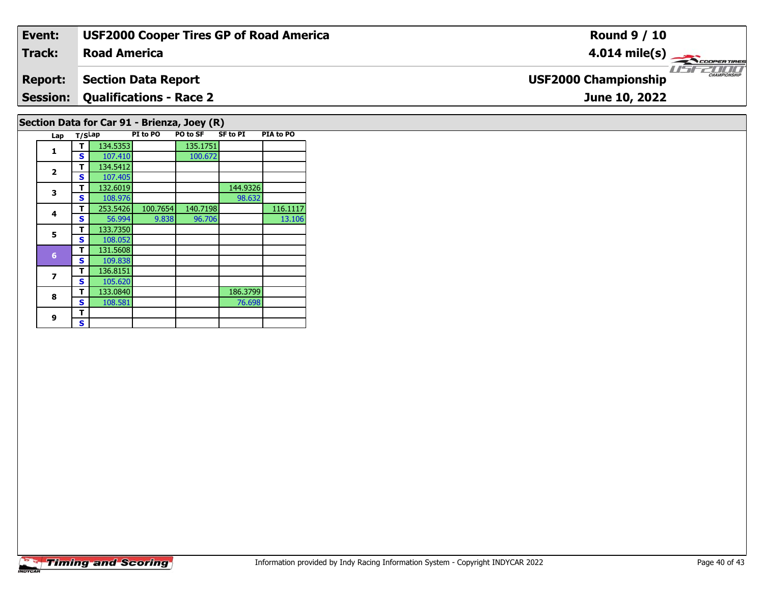| Event:                                                                                                   | <b>USF2000 Cooper Tires GP of Road America</b> | <b>Round 9 / 10</b>                         |  |  |  |  |  |  |  |
|----------------------------------------------------------------------------------------------------------|------------------------------------------------|---------------------------------------------|--|--|--|--|--|--|--|
| <b>Track:</b>                                                                                            | <b>Road America</b>                            | $4.014 \text{ mile(s)}$                     |  |  |  |  |  |  |  |
| <b>Report:</b>                                                                                           | <b>Section Data Report</b>                     | CHAMPIONSHIP<br><b>USF2000 Championship</b> |  |  |  |  |  |  |  |
| <b>Session:</b>                                                                                          | Qualifications - Race 2                        | June 10, 2022                               |  |  |  |  |  |  |  |
| Section Data for Car 91 - Brienza, Joey (R)                                                              |                                                |                                             |  |  |  |  |  |  |  |
| DIA to DO<br>$DT + \alpha$ DO $T$ DO $T \alpha$ CE<br>CE to DT<br>$\mathbf{r}$ $\mathbf{r}$ $\mathbf{r}$ |                                                |                                             |  |  |  |  |  |  |  |

| Lap                     | T/SLap |          | PI to PO | PO to SF | SF to PI | <b>PIA to PO</b> |
|-------------------------|--------|----------|----------|----------|----------|------------------|
| 1                       | т      | 134.5353 |          | 135.1751 |          |                  |
|                         | S      | 107.410  |          | 100.672  |          |                  |
|                         | т      | 134.5412 |          |          |          |                  |
| $\overline{\mathbf{2}}$ | S      | 107.405  |          |          |          |                  |
| 3                       | T      | 132.6019 |          |          | 144.9326 |                  |
|                         | S      | 108.976  |          |          | 98.632   |                  |
| 4                       | т      | 253.5426 | 100.7654 | 140.7198 |          | 116.1117         |
|                         | S      | 56.994   | 9.838    | 96.706   |          | 13.106           |
| 5                       | т      | 133.7350 |          |          |          |                  |
|                         | S      | 108.052  |          |          |          |                  |
| 6                       | т      | 131.5608 |          |          |          |                  |
|                         | S      | 109.838  |          |          |          |                  |
| 7                       | т      | 136.8151 |          |          |          |                  |
|                         | S      | 105.620  |          |          |          |                  |
| 8                       | т      | 133.0840 |          |          | 186.3799 |                  |
|                         | S      | 108.581  |          |          | 76.698   |                  |
| 9                       | т      |          |          |          |          |                  |
|                         | S      |          |          |          |          |                  |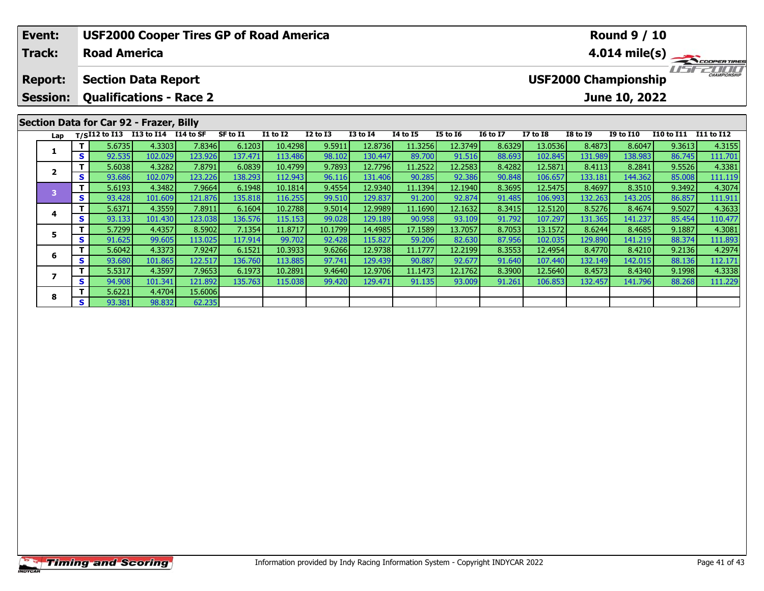| Event:                                  |                                                              |        | <b>USF2000 Cooper Tires GP of Road America</b>  |         |          |                 |              | <b>Round 9 / 10</b> |                 |                 |                 |                         |                                                              |                  |                   |            |  |
|-----------------------------------------|--------------------------------------------------------------|--------|-------------------------------------------------|---------|----------|-----------------|--------------|---------------------|-----------------|-----------------|-----------------|-------------------------|--------------------------------------------------------------|------------------|-------------------|------------|--|
| Track:<br><b>Road America</b>           |                                                              |        |                                                 |         |          |                 |              |                     |                 |                 |                 | $4.014 \text{ mile(s)}$ |                                                              |                  |                   |            |  |
| <b>Report:</b><br><b>Session:</b>       | <b>Section Data Report</b><br><b>Qualifications - Race 2</b> |        |                                                 |         |          |                 |              |                     |                 |                 |                 |                         | CHAMPIONSHIP<br><b>USF2000 Championship</b><br>June 10, 2022 |                  |                   |            |  |
|                                         |                                                              |        |                                                 |         |          |                 |              |                     |                 |                 |                 |                         |                                                              |                  |                   |            |  |
| Section Data for Car 92 - Frazer, Billy |                                                              |        |                                                 |         |          |                 |              |                     |                 |                 |                 |                         |                                                              |                  |                   |            |  |
| Lap                                     |                                                              |        | T/SI12 to I13 I13 to I14 $\overline{114}$ to SF |         | SF to I1 | <b>I1 to I2</b> | $I2$ to $I3$ | <b>I3 to I4</b>     | <b>I4 to I5</b> | <b>I5 to 16</b> | <b>16 to 17</b> | <b>I7 to I8</b>         | <b>I8 to I9</b>                                              | <b>I9 to I10</b> | <b>I10 to I11</b> | I11 to I12 |  |
|                                         |                                                              | 5.6735 | 4.3303                                          | 7.8346  | 6.1203   | 10.4298         | 9.5911       | 12.8736             | 11.3256         | 12.3749         | 8.6329          | 13.0536                 | 8.4873                                                       | 8.6047           | 9.3613            | 4.3155     |  |
|                                         | S I                                                          | 92.535 | 102.029                                         | 123.926 | 137.471  | 113.486         | 98.102       | 130.447             | 89.700          | 91.516          | 88.693          | 102.845                 | 131.989                                                      | 138.983          | 86.745            | 111.701    |  |
| $\overline{2}$                          |                                                              | 5.6038 | 4.3282                                          | 7.8791  | 6.0839   | 10.4799         | 9.7893       | 12.7796             | 11.2522         | 12.2583         | 8.4282          | 12.5871                 | 8.4113                                                       | 8.2841           | 9.5526            | 4.3381     |  |
|                                         | $\mathbf{s}$                                                 | 93.686 | 102.079                                         | 123.226 | 138.293  | 112.943         | 96.116       | 131.406             | 90.285          | 92.386          | 90.848          | 106.657                 | 133.181                                                      | 144.362          | 85.008            | 111.119    |  |
| $\overline{\mathbf{3}}$                 | Τ.                                                           | 5.6193 | 4.3482                                          | 7.9664  | 6.1948   | 10.1814         | 9.4554       | 12.9340             | 11.1394         | 12.1940         | 8.3695          | 12.5475                 | 8.4697                                                       | 8.3510           | 9.3492            | 4.3074     |  |
|                                         | S                                                            | 93.428 | 101.609                                         | 121.876 | 135.818  | 116.255         | 99.510       | 129.837             | 91.200          | 92.874          | 91.485          | 106.993                 | 132.263                                                      | 143.205          | 86.857            | 111.911    |  |
| 4                                       |                                                              | 5.6371 | 4.3559                                          | 7.8911  | 6.1604   | 10.2788         | 9.5014       | 12.9989             | 11.1690         | 12.1632         | 8.3415          | 12.5120                 | 8.5276                                                       | 8.4674           | 9.5027            | 4.3633     |  |
|                                         | S                                                            | 93.133 | 101.430                                         | 123.038 | 136.576  | 115.153         | 99.028       | 129.189             | 90.958          | 93.109          | 91.792          | 107.297                 | 131.365                                                      | 141.237          | 85.454            | 110.477    |  |
| 5                                       |                                                              | 5.7299 | 4.4357                                          | 8.5902  | 7.1354   | 11.8717         | 10.1799      | 14.4985             | 17.1589         | 13.7057         | 8.7053          | 13.1572                 | 8.6244                                                       | 8.4685           | 9.1887            | 4.3081     |  |
|                                         | s l                                                          | 91.625 | 99.605                                          | 113.025 | 117.914  | 99.702          | 92.428       | 115.827             | 59.206          | 82.630          | 87.956          | 102.035                 | 129.890                                                      | 141.219          | 88.374            | 111.893    |  |

**<sup>T</sup>** 5.6042 4.3373 7.9247 6.1521 10.3933 9.6266 12.9738 11.1777 12.2199 8.3553 12.4954 8.4770 8.4210 9.2136 4.2974 **<sup>S</sup>** 93.680 101.865 122.517 136.760 113.885 97.741 129.439 90.887 92.677 91.640 107.440 132.149 142.015 88.136 112.171

7 | T | 5.5317 | 4.3597 | 7.9653 | 6.1973 | 10.2891 | 9.4640 | 12.9706 | 11.1473 | 12.1762 | 8.3900 | 12.5640 | 8.4573 | 8.4340 | 9.1998 | 4.3338<br>7 | S | 94.908 | 101.341 | 121.892 | 135.763 | 115.038 | 99.420 | 129.471 |

**6**

**7**

**8**

**<sup>T</sup>** 5.6221 4.4704 15.6006 **<sup>S</sup>** 93.381 98.832 62.235

62.235

112.171<br>4.3338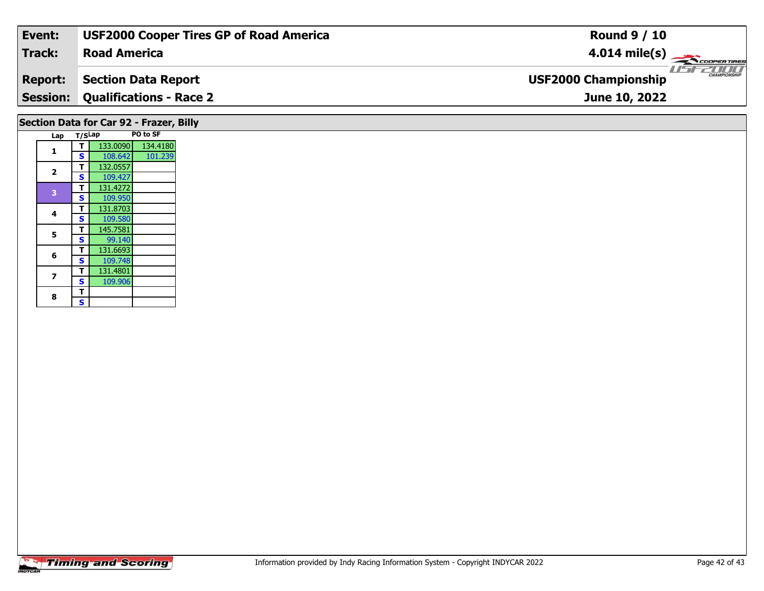| Event:                                  | <b>USF2000 Cooper Tires GP of Road America</b> | <b>Round 9 / 10</b>                                |  |  |  |  |  |  |
|-----------------------------------------|------------------------------------------------|----------------------------------------------------|--|--|--|--|--|--|
| Track:                                  | <b>Road America</b>                            | $4.014 \text{ mile(s)}$                            |  |  |  |  |  |  |
| <b>Report:</b>                          | <b>Section Data Report</b>                     | <b>CHAMPIONSHIP</b><br><b>USF2000 Championship</b> |  |  |  |  |  |  |
|                                         | <b>Session: Qualifications - Race 2</b>        | June 10, 2022                                      |  |  |  |  |  |  |
| Section Data for Car 92 - Frazer, Billy |                                                |                                                    |  |  |  |  |  |  |

|  | Lap                     | T/SLap |          | PO to SF |
|--|-------------------------|--------|----------|----------|
|  | 1                       | т      | 133.0090 | 134.4180 |
|  |                         | S      | 108.642  | 101.239  |
|  | $\overline{\mathbf{z}}$ | т      | 132.0557 |          |
|  |                         | S      | 109.427  |          |
|  | 3                       | т      | 131.4272 |          |
|  |                         | S      | 109.950  |          |
|  |                         | т      | 131.8703 |          |
|  | 4                       | S      | 109.580  |          |
|  | 5                       | т      | 145.7581 |          |
|  |                         | S      | 99.140   |          |
|  |                         | т      | 131.6693 |          |
|  | 6                       | S      | 109.748  |          |
|  |                         | Т      | 131.4801 |          |
|  | 7                       | S      | 109.906  |          |
|  |                         | т      |          |          |
|  | 8                       | S      |          |          |